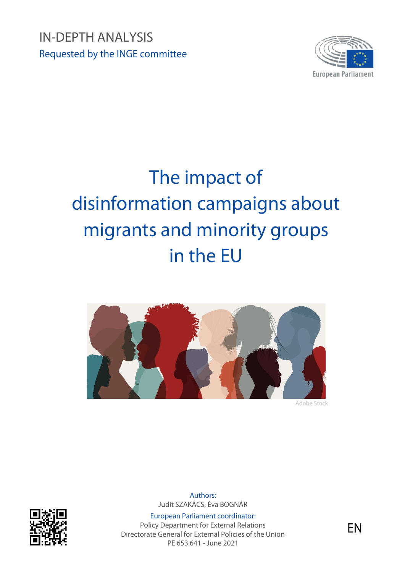IN-DEPTH ANALYSIS Requested by the INGE committee



# The impact of disinformation campaigns about migrants and minority groups in the EU



Adobe Stock



Authors: Judit SZAKÁCS, Éva BOGNÁR

European Parliament coordinator: Policy Department for External Relations Directorate General for External Policies of the Union PE 653.641 - June 2021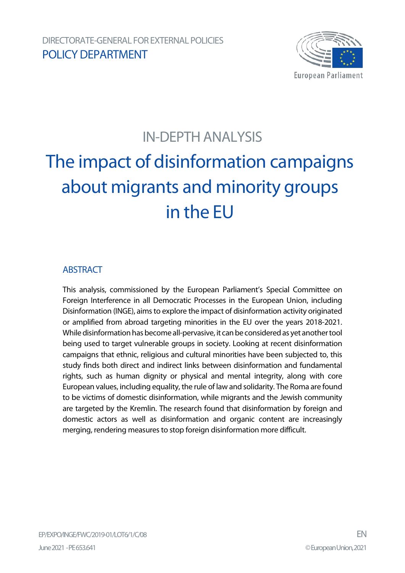

# IN-DEPTH ANALYSIS

# The impact of disinformation campaigns about migrants and minority groups in the EU

### **ABSTRACT**

This analysis, commissioned by the European Parliament's Special Committee on Foreign Interference in all Democratic Processes in the European Union, including Disinformation (INGE), aims to explore the impact of disinformation activity originated or amplified from abroad targeting minorities in the EU over the years 2018-2021. While disinformation has become all-pervasive, it can be considered as yet another tool being used to target vulnerable groups in society. Looking at recent disinformation campaigns that ethnic, religious and cultural minorities have been subjected to, this study finds both direct and indirect links between disinformation and fundamental rights, such as human dignity or physical and mental integrity, along with core European values, including equality, the rule of law and solidarity. The Roma are found to be victims of domestic disinformation, while migrants and the Jewish community are targeted by the Kremlin. The research found that disinformation by foreign and domestic actors as well as disinformation and organic content are increasingly merging, rendering measures to stop foreign disinformation more difficult.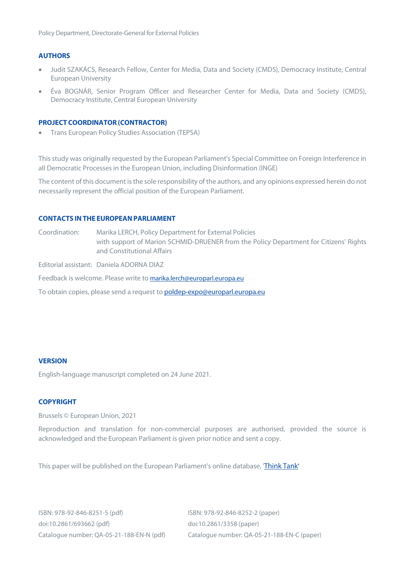Policy Department, Directorate-General for External Policies

#### **AUTHORS**

- Judit SZAKÁCS, Research Fellow, Center for Media, Data and Society (CMDS), Democracy Institute, Central European University
- Éva BOGNÁR, Senior Program Officer and Researcher Center for Media, Data and Society (CMDS), Democracy Institute, Central European University

#### **PROJECT COORDINATOR (CONTRACTOR)**

• Trans European Policy Studies Association (TEPSA)

This study was originally requested by the European Parliament's Special Committee on Foreign Interference in all Democratic Processes in the European Union, including Disinformation (INGE)

The content of this document is the sole responsibility of the authors, and any opinions expressed herein do not necessarily represent the official position of the European Parliament.

#### **CONTACTS INTHE EUROPEANPARLIAMENT**

Coordination: Marika LERCH, Policy Department for External Policies with support of Marion SCHMID-DRUENER from the Policy Department for Citizens' Rights and Constitutional Affairs

Editorial assistant: Daniela ADORNA DIAZ

Feedback is welcome. Please write to [marika.lerch@europarl.europa.eu](mailto:marika.lerch@europarl.europa.eu)

To obtain copies, please send a request to **[poldep-expo@europarl.europa.eu](mailto:poldep-expo@europarl.europa.eu)** 

#### **VERSION**

English-language manuscript completed on 24 June 2021.

#### **COPYRIGHT**

Brussels © European Union, 2021

Reproduction and translation for non-commercial purposes are authorised, provided the source is acknowledged and the European Parliament is given prior notice and sent a copy.

This paper will be published on the European Parliament's online database, ['Think Tank'](http://www.europarl.europa.eu/thinktank/en/home.html)

ISBN: 978-92-846-8251-5 (pdf) ISBN: 978-92-846-8252-2 (paper) doi:10.2861/693662 (pdf) doi:10.2861/3358 (paper)

Catalogue number: QA-05-21-188-EN-N (pdf) Catalogue number: QA-05-21-188-EN-C (paper)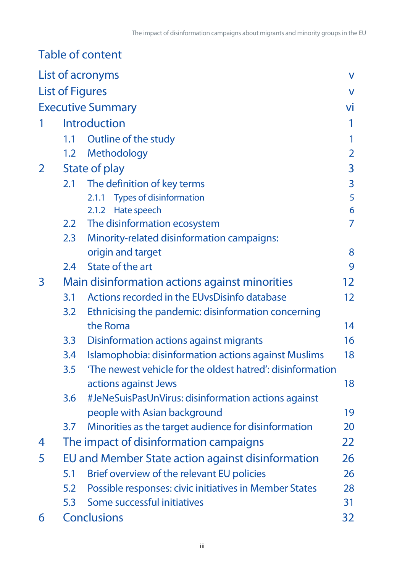|              |                                                   | Table of content                                          |                   |
|--------------|---------------------------------------------------|-----------------------------------------------------------|-------------------|
|              |                                                   | List of acronyms                                          | V                 |
|              |                                                   | <b>List of Figures</b>                                    | V                 |
|              |                                                   | <b>Executive Summary</b>                                  | Vİ                |
|              |                                                   | <b>Introduction</b>                                       | 1                 |
|              | 1.1                                               | Outline of the study                                      |                   |
|              |                                                   | 1.2 Methodology                                           | $\overline{2}$    |
| $\mathbf{2}$ |                                                   | State of play                                             | 3                 |
|              | 2.1                                               | The definition of key terms                               | $\overline{3}$    |
|              |                                                   | <b>Types of disinformation</b><br>2.1.1                   | 5                 |
|              |                                                   | 2.1.2 Hate speech                                         | 6                 |
|              | 2.2                                               | The disinformation ecosystem                              | 7                 |
|              | 2.3                                               | Minority-related disinformation campaigns:                |                   |
|              |                                                   | origin and target                                         | 8                 |
|              | 2.4                                               | State of the art                                          | 9                 |
| 3            |                                                   | Main disinformation actions against minorities            | 12                |
|              | 3.1                                               | Actions recorded in the EUvsDisinfo database              | $12 \overline{ }$ |
|              | 3.2                                               | Ethnicising the pandemic: disinformation concerning       |                   |
|              |                                                   | the Roma                                                  | 14                |
|              | 3.3                                               | <b>Disinformation actions against migrants</b>            | 16                |
|              | 3.4                                               | Islamophobia: disinformation actions against Muslims      | 18                |
|              | 3.5                                               | The newest vehicle for the oldest hatred': disinformation |                   |
|              |                                                   | actions against Jews                                      | 18                |
|              | 3.6                                               | #JeNeSuisPasUnVirus: disinformation actions against       |                   |
|              |                                                   | people with Asian background                              | 19                |
|              | 3.7                                               | Minorities as the target audience for disinformation      | 20                |
| 4            |                                                   | The impact of disinformation campaigns                    | 22                |
| 5            | EU and Member State action against disinformation |                                                           |                   |
|              | 5.1                                               | Brief overview of the relevant EU policies                | 26                |
|              | 5.2                                               | Possible responses: civic initiatives in Member States    | 28                |
|              | 5.3                                               | Some successful initiatives                               | 31                |
| 6            |                                                   | <b>Conclusions</b>                                        | 32                |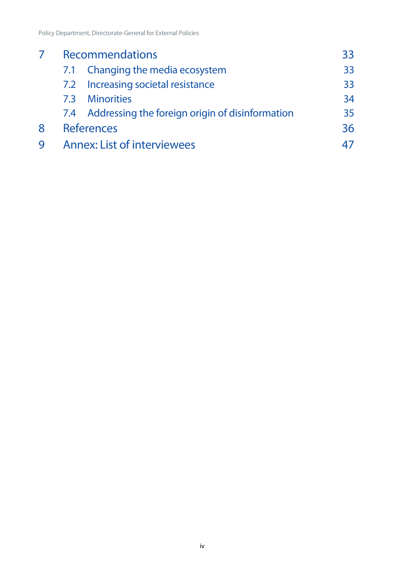|   | <b>Recommendations</b>             |                                                     | 33 |
|---|------------------------------------|-----------------------------------------------------|----|
|   |                                    | 7.1 Changing the media ecosystem                    | 33 |
|   |                                    | 7.2 Increasing societal resistance                  | 33 |
|   | 7.3                                | <b>Minorities</b>                                   | 34 |
|   |                                    | 7.4 Addressing the foreign origin of disinformation | 35 |
| 8 | <b>References</b>                  |                                                     | 36 |
|   | <b>Annex: List of interviewees</b> |                                                     |    |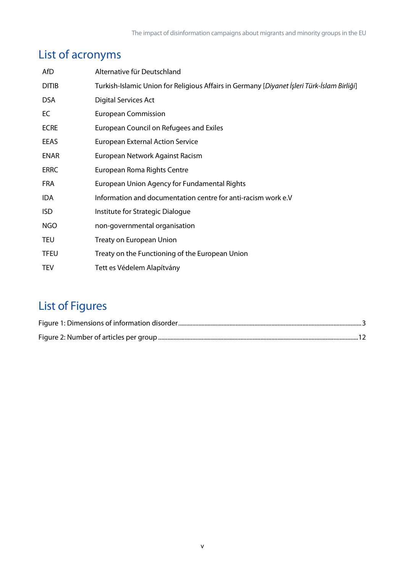# <span id="page-5-0"></span>List of acronyms

| AfD          | Alternative für Deutschland                                                                        |
|--------------|----------------------------------------------------------------------------------------------------|
| <b>DITIB</b> | Turkish-Islamic Union for Religious Affairs in Germany [Diyanet <i>İşleri Türk-İslam Birliği</i> ] |
| <b>DSA</b>   | <b>Digital Services Act</b>                                                                        |
| EC           | <b>European Commission</b>                                                                         |
| <b>ECRE</b>  | European Council on Refugees and Exiles                                                            |
| EEAS         | <b>European External Action Service</b>                                                            |
| <b>ENAR</b>  | European Network Against Racism                                                                    |
| <b>ERRC</b>  | European Roma Rights Centre                                                                        |
| <b>FRA</b>   | European Union Agency for Fundamental Rights                                                       |
| <b>IDA</b>   | Information and documentation centre for anti-racism work e.V                                      |
| <b>ISD</b>   | Institute for Strategic Dialogue                                                                   |
| <b>NGO</b>   | non-governmental organisation                                                                      |
| <b>TEU</b>   | Treaty on European Union                                                                           |
| <b>TFEU</b>  | Treaty on the Functioning of the European Union                                                    |
| <b>TEV</b>   | Tett es Védelem Alapítvány                                                                         |

# <span id="page-5-1"></span>List of Figures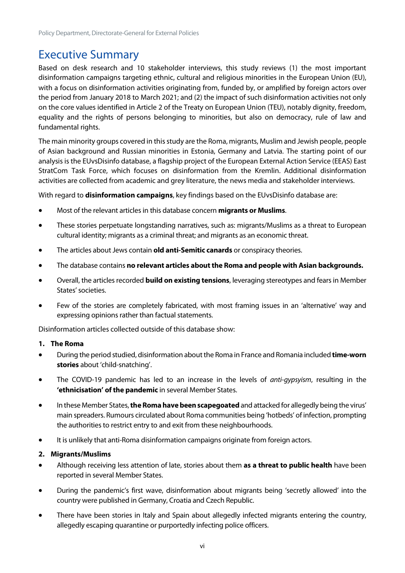# <span id="page-6-0"></span>Executive Summary

Based on desk research and 10 stakeholder interviews, this study reviews (1) the most important disinformation campaigns targeting ethnic, cultural and religious minorities in the European Union (EU), with a focus on disinformation activities originating from, funded by, or amplified by foreign actors over the period from January 2018 to March 2021; and (2) the impact of such disinformation activities not only on the core values identified in Article 2 of the Treaty on European Union (TEU), notably dignity, freedom, equality and the rights of persons belonging to minorities, but also on democracy, rule of law and fundamental rights.

The main minority groups covered in this study are the Roma, migrants, Muslim and Jewish people, people of Asian background and Russian minorities in Estonia, Germany and Latvia. The starting point of our analysis is the EUvsDisinfo database, a flagship project of the European External Action Service (EEAS) East StratCom Task Force, which focuses on disinformation from the Kremlin. Additional disinformation activities are collected from academic and grey literature, the news media and stakeholder interviews.

With regard to **disinformation campaigns**, key findings based on the EUvsDisinfo database are:

- Most of the relevant articles in this database concern **migrants or Muslims**.
- These stories perpetuate longstanding narratives, such as: migrants/Muslims as a threat to European cultural identity; migrants as a criminal threat; and migrants as an economic threat.
- The articles about Jews contain **old anti-Semitic canards** or conspiracy theories.
- The database contains **no relevant articles about the Roma and people with Asian backgrounds.**
- Overall, the articles recorded **build on existing tensions**, leveraging stereotypes and fears in Member States' societies.
- Few of the stories are completely fabricated, with most framing issues in an 'alternative' way and expressing opinions rather than factual statements.

Disinformation articles collected outside of this database show:

#### **1. The Roma**

- During the period studied, disinformation about the Roma in France and Romania included **time-worn stories** about 'child-snatching'.
- The COVID-19 pandemic has led to an increase in the levels of *anti-gypsyism*, resulting in the **'ethnicisation' of the pandemic** in several Member States.
- In these Member States, **the Roma have been scapegoated** and attacked for allegedly being the virus' main spreaders. Rumours circulated about Roma communities being 'hotbeds' of infection, prompting the authorities to restrict entry to and exit from these neighbourhoods.
- It is unlikely that anti-Roma disinformation campaigns originate from foreign actors.

#### **2. Migrants/Muslims**

- Although receiving less attention of late, stories about them **as a threat to public health** have been reported in several Member States.
- During the pandemic's first wave, disinformation about migrants being 'secretly allowed' into the country were published in Germany, Croatia and Czech Republic.
- There have been stories in Italy and Spain about allegedly infected migrants entering the country, allegedly escaping quarantine or purportedly infecting police officers.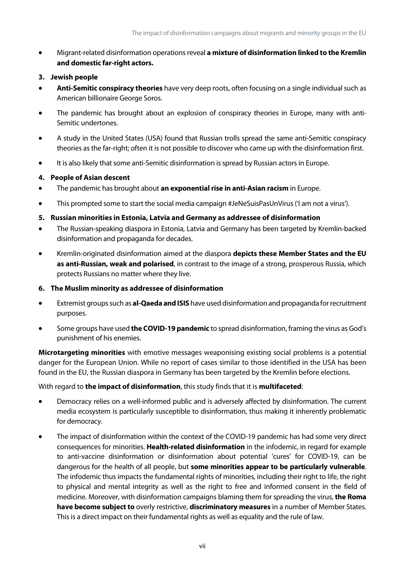• Migrant-related disinformation operations reveal **a mixture of disinformation linked to the Kremlin and domestic far-right actors.**

#### **3. Jewish people**

- **Anti-Semitic conspiracy theories** have very deep roots, often focusing on a single individual such as American billionaire George Soros.
- The pandemic has brought about an explosion of conspiracy theories in Europe, many with anti-Semitic undertones.
- A study in the United States (USA) found that Russian trolls spread the same anti-Semitic conspiracy theories as the far-right; often it is not possible to discover who came up with the disinformation first.
- It is also likely that some anti-Semitic disinformation is spread by Russian actors in Europe.

#### **4. People of Asian descent**

- The pandemic has brought about **an exponential rise in anti-Asian racism** in Europe.
- This prompted some to start the social media campaign #JeNeSuisPasUnVirus ('I am not a virus').
- **5. Russian minorities in Estonia, Latvia and Germany as addressee of disinformation**
- The Russian-speaking diaspora in Estonia, Latvia and Germany has been targeted by Kremlin-backed disinformation and propaganda for decades.
- Kremlin-originated disinformation aimed at the diaspora **depicts these Member States and the EU as anti-Russian, weak and polarised**, in contrast to the image of a strong, prosperous Russia, which protects Russians no matter where they live.

#### **6. The Muslim minority as addressee of disinformation**

- Extremist groups such as **al-Qaeda and ISIS** have used disinformation and propaganda for recruitment purposes.
- Some groups have used **the COVID-19 pandemic** to spread disinformation, framing the virus as God's punishment of his enemies.

**Microtargeting minorities** with emotive messages weaponising existing social problems is a potential danger for the European Union. While no report of cases similar to those identified in the USA has been found in the EU, the Russian diaspora in Germany has been targeted by the Kremlin before elections.

#### With regard to **the impact of disinformation**, this study finds that it is **multifaceted**:

- Democracy relies on a well-informed public and is adversely affected by disinformation. The current media ecosystem is particularly susceptible to disinformation, thus making it inherently problematic for democracy.
- The impact of disinformation within the context of the COVID-19 pandemic has had some very direct consequences for minorities. **Health-related disinformation** in the infodemic, in regard for example to anti-vaccine disinformation or disinformation about potential 'cures' for COVID-19, can be dangerous for the health of all people, but **some minorities appear to be particularly vulnerable**. The infodemic thus impacts the fundamental rights of minorities, including their right to life, the right to physical and mental integrity as well as the right to free and informed consent in the field of medicine. Moreover, with disinformation campaigns blaming them for spreading the virus, **the Roma have become subject to** overly restrictive, **discriminatory measures** in a number of Member States. This is a direct impact on their fundamental rights as well as equality and the rule of law.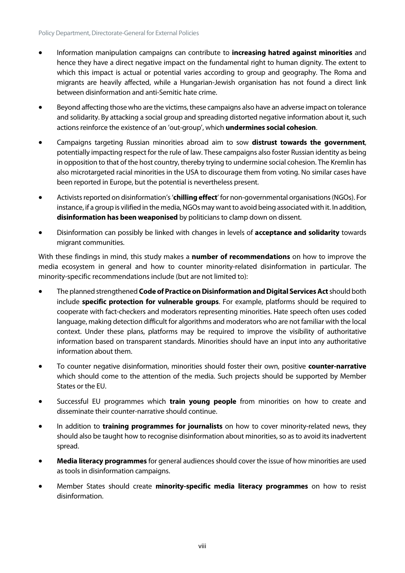- Information manipulation campaigns can contribute to **increasing hatred against minorities** and hence they have a direct negative impact on the fundamental right to human dignity. The extent to which this impact is actual or potential varies according to group and geography. The Roma and migrants are heavily affected, while a Hungarian-Jewish organisation has not found a direct link between disinformation and anti-Semitic hate crime.
- Beyond affecting those who are the victims, these campaigns also have an adverse impact on tolerance and solidarity. By attacking a social group and spreading distorted negative information about it, such actions reinforce the existence of an 'out-group', which **undermines social cohesion**.
- Campaigns targeting Russian minorities abroad aim to sow **distrust towards the government**, potentially impacting respect for the rule of law. These campaigns also foster Russian identity as being in opposition to that of the host country, thereby trying to undermine social cohesion. The Kremlin has also microtargeted racial minorities in the USA to discourage them from voting. No similar cases have been reported in Europe, but the potential is nevertheless present.
- Activists reported on disinformation's '**chilling effect**' for non-governmental organisations (NGOs). For instance, if a group is vilified in the media, NGOs may want to avoid being associated with it. In addition, disinformation has been weaponised by politicians to clamp down on dissent.
- Disinformation can possibly be linked with changes in levels of **acceptance and solidarity** towards migrant communities.

With these findings in mind, this study makes a **number of recommendations** on how to improve the media ecosystem in general and how to counter minority-related disinformation in particular. The minority-specific recommendations include (but are not limited to):

- The planned strengthened **Code of Practice on Disinformationand Digital Services Act**should both include **specific protection for vulnerable groups**. For example, platforms should be required to cooperate with fact-checkers and moderators representing minorities. Hate speech often uses coded language, making detection difficult for algorithms and moderators who are not familiar with the local context. Under these plans, platforms may be required to improve the visibility of authoritative information based on transparent standards. Minorities should have an input into any authoritative information about them.
- To counter negative disinformation, minorities should foster their own, positive **counter-narrative** which should come to the attention of the media. Such projects should be supported by Member States or the EU.
- Successful EU programmes which **train young people** from minorities on how to create and disseminate their counter-narrative should continue.
- In addition to **training programmes for journalists** on how to cover minority-related news, they should also be taught how to recognise disinformation about minorities, so as to avoid its inadvertent spread.
- **Media literacy programmes** for general audiences should cover the issue of how minorities are used as tools in disinformation campaigns.
- Member States should create **minority-specific media literacy programmes** on how to resist disinformation.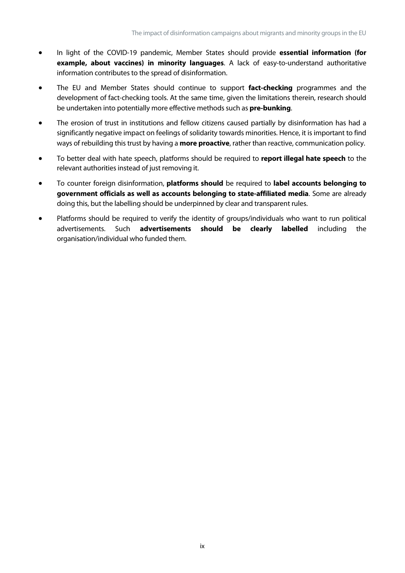- In light of the COVID-19 pandemic, Member States should provide **essential information (for example, about vaccines) in minority languages**. A lack of easy-to-understand authoritative information contributes to the spread of disinformation.
- The EU and Member States should continue to support **fact-checking** programmes and the development of fact-checking tools. At the same time, given the limitations therein, research should be undertaken into potentially more effective methods such as **pre-bunking**.
- The erosion of trust in institutions and fellow citizens caused partially by disinformation has had a significantly negative impact on feelings of solidarity towards minorities. Hence, it is important to find ways of rebuilding this trust by having a **more proactive**, rather than reactive, communication policy.
- To better deal with hate speech, platforms should be required to **report illegal hate speech** to the relevant authorities instead of just removing it.
- To counter foreign disinformation, **platforms should** be required to **label accounts belonging to government officials as well as accounts belonging to state-affiliated media**. Some are already doing this, but the labelling should be underpinned by clear and transparent rules.
- Platforms should be required to verify the identity of groups/individuals who want to run political advertisements. Such **advertisements should be clearly labelled** including the organisation/individual who funded them.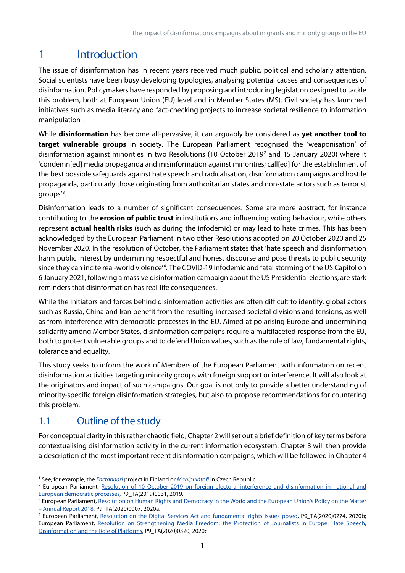# <span id="page-11-0"></span>1 Introduction

The issue of disinformation has in recent years received much public, political and scholarly attention. Social scientists have been busy developing typologies, analysing potential causes and consequences of disinformation. Policymakers have responded by proposing and introducing legislation designed to tackle this problem, both at European Union (EU) level and in Member States (MS). Civil society has launched initiatives such as media literacy and fact-checking projects to increase societal resilience to information  $manipulation<sup>1</sup>.$  $manipulation<sup>1</sup>.$  $manipulation<sup>1</sup>.$ 

While **disinformation** has become all-pervasive, it can arguably be considered as **yet another tool to target vulnerable groups** in society. The European Parliament recognised the 'weaponisation' of disinformation against minorities in two Resolutions (10 October 2019[2](#page-11-3) and 15 January 2020) where it 'condemn[ed] media propaganda and misinformation against minorities; call[ed] for the establishment of the best possible safeguards against hate speech and radicalisation, disinformation campaigns and hostile propaganda, particularly those originating from authoritarian states and non-state actors such as terrorist groups' [3](#page-11-4) .

Disinformation leads to a number of significant consequences. Some are more abstract, for instance contributing to the **erosion of public trust** in institutions and influencing voting behaviour, while others represent **actual health risks** (such as during the infodemic) or may lead to hate crimes. This has been acknowledged by the European Parliament in two other Resolutions adopted on 20 October 2020 and 25 November 2020. In the resolution of October, the Parliament states that 'hate speech and disinformation harm public interest by undermining respectful and honest discourse and pose threats to public security since they can incite real-world violence<sup>'[4](#page-11-5)</sup>. The COVID-19 infodemic and fatal storming of the US Capitol on 6 January 2021, following a massive disinformation campaign about the US Presidential elections, are stark reminders that disinformation has real-life consequences.

While the initiators and forces behind disinformation activities are often difficult to identify, global actors such as Russia, China and Iran benefit from the resulting increased societal divisions and tensions, as well as from interference with democratic processes in the EU. Aimed at polarising Europe and undermining solidarity among Member States, disinformation campaigns require a multifaceted response from the EU, both to protect vulnerable groups and to defend Union values, such as the rule of law, fundamental rights, tolerance and equality.

This study seeks to inform the work of Members of the European Parliament with information on recent disinformation activities targeting minority groups with foreign support or interference. It will also look at the originators and impact of such campaigns. Our goal is not only to provide a better understanding of minority-specific foreign disinformation strategies, but also to propose recommendations for countering this problem.

# <span id="page-11-1"></span>1.1 Outline of the study

For conceptual clarity in this rather chaotic field, Chapter 2 will set out a brief definition of key terms before contextualising disinformation activity in the current information ecosystem. Chapter 3 will then provide a description of the most important recent disinformation campaigns, which will be followed in Chapter 4

<span id="page-11-2"></span><sup>1</sup> See, for example, the *[Factabaari](http://www.faktabaari.fi/)* project in Finland or *[Manipulátoři](http://www.manipulatori.cz/)* in Czech Republic.

<span id="page-11-3"></span><sup>&</sup>lt;sup>2</sup> European Parliament, Resolution of 10 October 2019 on foreign electoral interference and disinformation in national and [European democratic processes,](https://www.europarl.europa.eu/doceo/document/TA-9-2019-0031_EN.html) P9\_TA(2019)0031, 2019.

<span id="page-11-4"></span><sup>&</sup>lt;sup>3</sup> European Parliament, Resolution on Human Rights and Democracy in the World and the European Union's Policy on the Matter – [Annual Report 2018,](https://www.europarl.europa.eu/doceo/document/TA-9-2020-0007_EN.html) P9\_TA(2020)0007, 2020a.

<span id="page-11-5"></span><sup>4</sup> European Parliamen[t, Resolution on the Digital Services Act and fundamental rights issues posed,](https://www.europarl.europa.eu/doceo/document/TA-9-2020-0274_EN.html) P9\_TA(2020)0274, 2020b; European Parliament, [Resolution on Strengthening Media Freedom: the Protection of Journalists in Europe, Hate Speech,](https://www.europarl.europa.eu/doceo/document/TA-9-2020-0320_EN.html#def_1_7)  [Disinformation and the Role of Platforms,](https://www.europarl.europa.eu/doceo/document/TA-9-2020-0320_EN.html#def_1_7) P9\_TA(2020)0320, 2020c.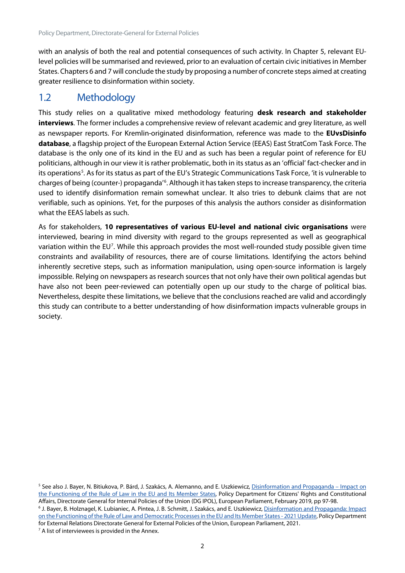with an analysis of both the real and potential consequences of such activity. In Chapter 5, relevant EUlevel policies will be summarised and reviewed, prior to an evaluation of certain civic initiativesin Member States. Chapters 6 and 7 will conclude the study by proposing a number of concrete steps aimed at creating greater resilience to disinformation within society.

### <span id="page-12-0"></span>1.2 Methodology

This study relies on a qualitative mixed methodology featuring **desk research and stakeholder interviews**. The former includes a comprehensive review of relevant academic and grey literature, as well as newspaper reports. For Kremlin-originated disinformation, reference was made to the **EUvsDisinfo database**, a flagship project of the European External Action Service (EEAS) East StratCom Task Force. The database is the only one of its kind in the EU and as such has been a regular point of reference for EU politicians, although in our view it is rather problematic, both in its status as an 'official' fact-checker and in its operations<sup>[5](#page-12-1)</sup>. As for its status as part of the EU's Strategic Communications Task Force, 'it is vulnerable to charges of being (counter-) propaganda<sup>7[6](#page-12-2)</sup>. Although it has taken steps to increase transparency, the criteria used to identify disinformation remain somewhat unclear. It also tries to debunk claims that are not verifiable, such as opinions. Yet, for the purposes of this analysis the authors consider as disinformation what the EEAS labels as such.

As for stakeholders, **10 representatives of various EU-level and national civic organisations** were interviewed, bearing in mind diversity with regard to the groups represented as well as geographical variation within the EU<sup>[7](#page-12-3)</sup>. While this approach provides the most well-rounded study possible given time constraints and availability of resources, there are of course limitations. Identifying the actors behind inherently secretive steps, such as information manipulation, using open-source information is largely impossible. Relying on newspapers as research sources that not only have their own political agendas but have also not been peer-reviewed can potentially open up our study to the charge of political bias. Nevertheless, despite these limitations, we believe that the conclusions reached are valid and accordingly this study can contribute to a better understanding of how disinformation impacts vulnerable groups in society.

<span id="page-12-3"></span> $7$  A list of interviewees is provided in the Annex.

<span id="page-12-1"></span><sup>&</sup>lt;sup>5</sup> See also J. Bayer, N. Bitiukova, P. Bárd, J. Szakács, A. Alemanno, and E. Uszkiewicz, [Disinformation and Propaganda –](https://www.europarl.europa.eu/RegData/etudes/STUD/2019/608864/IPOL_STU(2019)608864_EN.pdf) Impact on [the Functioning of the Rule of Law in the EU and Its Member States,](https://www.europarl.europa.eu/RegData/etudes/STUD/2019/608864/IPOL_STU(2019)608864_EN.pdf) Policy Department for Citizens' Rights and Constitutional Affairs, Directorate General for Internal Policies of the Union (DG IPOL), European Parliament, February 2019, pp 97-98.

<span id="page-12-2"></span><sup>&</sup>lt;sup>6</sup> J. Bayer, B. Holznagel, K. Lubianiec, A. Pintea, J. B. Schmitt, J. Szakács, and E. Uszkiewicz, Disinformation and Propaganda: Impact [on the Functioning of the Rule of Law and Democratic Processes in the EU and Its Member States -](https://www.europarl.europa.eu/RegData/etudes/STUD/2021/653633/EXPO_STU(2021)653633_EN.pdf) 2021 Update, Policy Department for External Relations Directorate General for External Policies of the Union, European Parliament, 2021.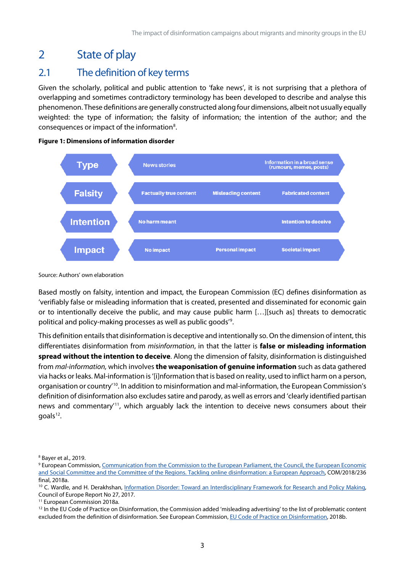# <span id="page-13-0"></span>2 State of play

# <span id="page-13-1"></span>2.1 The definition of key terms

Given the scholarly, political and public attention to 'fake news', it is not surprising that a plethora of overlapping and sometimes contradictory terminology has been developed to describe and analyse this phenomenon. These definitions are generally constructed along four dimensions, albeit not usually equally weighted: the type of information; the falsity of information; the intention of the author; and the consequences or impact of the information<sup>[8](#page-13-3)</sup>.

<span id="page-13-2"></span>



Source: Authors' own elaboration

Based mostly on falsity, intention and impact, the European Commission (EC) defines disinformation as 'verifiably false or misleading information that is created, presented and disseminated for economic gain or to intentionally deceive the public, and may cause public harm […][such as] threats to democratic political and policy-making processes as well as public goods' [9](#page-13-4) .

This definition entails that disinformation is deceptive and intentionally so. On the dimension of intent, this differentiates disinformation from *misinformation*, in that the latter is **false or misleading information spread without the intention to deceive**. Along the dimension of falsity, disinformation is distinguished from *mal-information,* which involves **the weaponisation of genuine information** such as data gathered via hacks or leaks. Mal-information is '[i]nformation that is based on reality, used to inflict harm on a person, organisation or country<sup>[10](#page-13-5)</sup>. In addition to misinformation and mal-information, the European Commission's definition of disinformation also excludes satire and parody, as well as errors and 'clearly identified partisan news and commentary' [11](#page-13-6), which arguably lack the intention to deceive news consumers about their  $q$ oals<sup>[12](#page-13-7)</sup>.

<span id="page-13-3"></span><sup>8</sup> Bayer et al., 2019.

<span id="page-13-4"></span><sup>&</sup>lt;sup>9</sup> European Commission, Communication from the Commission to the European Parliament, the Council, the European Economic [and Social Committee and the Committee of the Regions. Tackling online disinformation: a European Approach,](https://eur-lex.europa.eu/legal-content/EN/TXT/?uri=CELEX%3A52018DC0236) COM/2018/236 final, 2018a.

<span id="page-13-5"></span><sup>&</sup>lt;sup>10</sup> C. Wardle, and H. Derakhshan, Information Disorder: Toward an Interdisciplinary Framework for Research and Policy Making, Council of Europe Report No 27, 2017.

<span id="page-13-6"></span><sup>&</sup>lt;sup>11</sup> European Commission 2018a.

<span id="page-13-7"></span><sup>&</sup>lt;sup>12</sup> In the EU Code of Practice on Disinformation, the Commission added 'misleading advertising' to the list of problematic content excluded from the definition of disinformation. See European Commission[, EU Code of Practice on Disinformation,](https://digital-strategy.ec.europa.eu/en/policies/code-practice-disinformation) 2018b.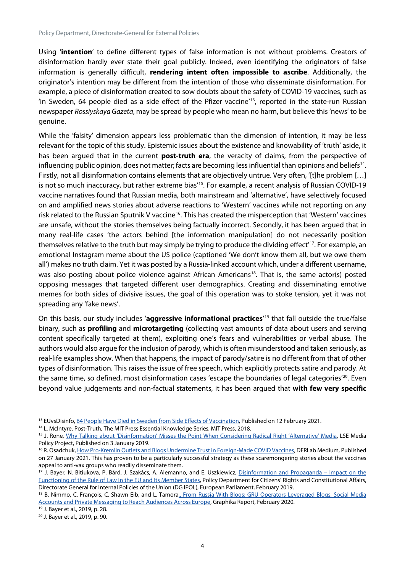Using '**intention**' to define different types of false information is not without problems. Creators of disinformation hardly ever state their goal publicly. Indeed, even identifying the originators of false information is generally difficult, **rendering intent often impossible to ascribe**. Additionally, the originator's intention may be different from the intention of those who disseminate disinformation. For example, a piece of disinformation created to sow doubts about the safety of COVID-19 vaccines, such as 'in Sweden, 64 people died as a side effect of the Pfizer vaccine' [13,](#page-14-0) reported in the state-run Russian newspaper *Rossiyskaya Gazeta*, may be spread by people who mean no harm, but believe this 'news' to be genuine.

While the 'falsity' dimension appears less problematic than the dimension of intention, it may be less relevant for the topic of this study. Epistemic issues about the existence and knowability of 'truth' aside, it has been argued that in the current **post-truth era**, the veracity of claims, from the perspective of influencing public opinion, does not matter; facts are becoming less influential than opinions and beliefs[14](#page-14-1). Firstly, not all disinformation contains elements that are objectively untrue. Very often, '[t]he problem […] is not so much inaccuracy, but rather extreme bias' [15.](#page-14-2) For example, a recent analysis of Russian COVID-19 vaccine narratives found that Russian media, both mainstream and 'alternative', have selectively focused on and amplified news stories about adverse reactions to 'Western' vaccines while not reporting on any risk related to the Russian Sputnik V vaccine<sup>16</sup>. This has created the misperception that 'Western' vaccines are unsafe, without the stories themselves being factually incorrect. Secondly, it has been argued that in many real-life cases 'the actors behind [the information manipulation] do not necessarily position themselves relative to the truth but may simply be trying to produce the dividing effect' [17](#page-14-4). For example, an emotional Instagram meme about the US police (captioned 'We don't know them all, but we owe them all') makes no truth claim. Yet it was posted by a Russia-linked account which, under a different username, was also posting about police violence against African Americans<sup>[18](#page-14-5)</sup>. That is, the same actor(s) posted opposing messages that targeted different user demographics. Creating and disseminating emotive memes for both sides of divisive issues, the goal of this operation was to stoke tension, yet it was not spreading any 'fake news'.

On this basis, our study includes '**aggressive informational practices**' [19](#page-14-6) that fall outside the true/false binary, such as **profiling** and **microtargeting** (collecting vast amounts of data about users and serving content specifically targeted at them), exploiting one's fears and vulnerabilities or verbal abuse. The authors would also argue for the inclusion of parody, which is often misunderstood and taken seriously, as real-life examples show. When that happens, the impact of parody/satire is no different from that of other types of disinformation. This raises the issue of free speech, which explicitly protects satire and parody. At the same time, so defined, most disinformation cases 'escape the boundaries of legal categories'<sup>20</sup>. Even beyond value judgements and non-factual statements, it has been argued that **with few very specific** 

<span id="page-14-0"></span><sup>&</sup>lt;sup>13</sup> EUvsDisinfo[, 64 People Have Died in Sweden from Side Effects of Vaccination,](https://euvsdisinfo.eu/report/64-people-have-died-in-sweden-from-side-effects-of-vaccination) Published on 12 February 2021.

<span id="page-14-1"></span><sup>&</sup>lt;sup>14</sup> L. McIntyre, Post-Truth, The MIT Press Essential Knowledge Series, MIT Press, 2018.

<span id="page-14-2"></span><sup>&</sup>lt;sup>15</sup> J. Rone, [Why Talking about 'Disinformation' Misses the Point When Considering Radical Right 'Alternative' Media,](https://blogs.lse.ac.uk/medialse/2019/01/03/why-talking-about-disinformation-misses-the-point-when-considering-radical-right-alternative-media/) LSE Media Policy Project, Published on 3 January 2019.

<span id="page-14-3"></span><sup>&</sup>lt;sup>16</sup> R. Osadchuk[, How Pro-Kremlin Outlets and Blogs Undermine Trust in Foreign-Made COVID Vaccines,](https://medium.com/dfrlab/how-pro-kremlin-outlets-and-blogs-undermine-trust-in-foreign-made-covid-vaccines-4fa9f9f19df1) DFRLab Medium, Published on 27 January 2021. This has proven to be a particularly successful strategy as these scaremongering stories about the vaccines appeal to anti-vax groups who readily disseminate them.

<span id="page-14-4"></span><sup>&</sup>lt;sup>17</sup> J. Bayer, N. Bitiukova, P. Bárd, J. Szakács, A. Alemanno, and E. Uszkiewicz, [Disinformation and Propaganda –](https://www.europarl.europa.eu/RegData/etudes/STUD/2019/608864/IPOL_STU(2019)608864_EN.pdf) Impact on the [Functioning of the Rule of Law in the EU and Its Member States,](https://www.europarl.europa.eu/RegData/etudes/STUD/2019/608864/IPOL_STU(2019)608864_EN.pdf) Policy Department for Citizens' Rights and Constitutional Affairs, Directorate General for Internal Policies of the Union (DG IPOL), European Parliament, February 2019.

<span id="page-14-5"></span><sup>&</sup>lt;sup>18</sup> B. Nimmo, C. François, C. Shawn Eib, and L. Tamora., From Russia With Blogs: GRU Operators Leveraged Blogs, Social Media [Accounts and Private Messaging to Reach Audiences Across Europe,](https://graphika.com/reports/from-russia-with-blogs/) Graphika Report, February 2020.

<span id="page-14-6"></span><sup>19</sup> J. Bayer et al., 2019, p. 28.

<span id="page-14-7"></span><sup>20</sup> J. Bayer et al., 2019, p. 90.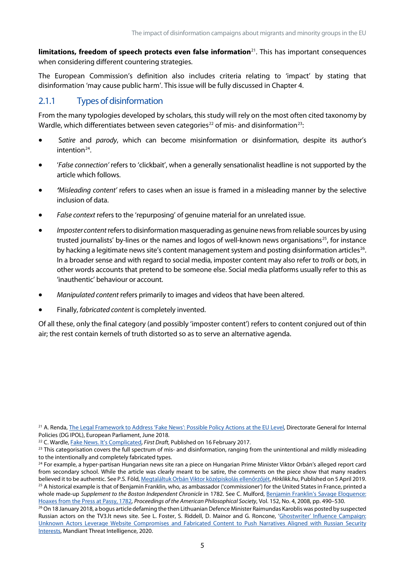**limitations, freedom of speech protects even false information**[21](#page-15-1). This has important consequences when considering different countering strategies.

The European Commission's definition also includes criteria relating to 'impact' by stating that disinformation 'may cause public harm'. This issue will be fully discussed in Chapter 4.

### <span id="page-15-0"></span>2.1.1 Types of disinformation

From the many typologies developed by scholars, this study will rely on the most often cited taxonomy by Wardle, which differentiates between seven categories<sup>[22](#page-15-2)</sup> of mis- and disinformation<sup>[23](#page-15-3)</sup>:

- S*atire* and *parody*, which can become misinformation or disinformation, despite its author's intention<sup>[24](#page-15-4)</sup>
- '*False connection'* refers to 'clickbait', when a generally sensationalist headline is not supported by the article which follows.
- *'Misleading content'* refers to cases when an issue is framed in a misleading manner by the selective inclusion of data.
- *False context* refers to the 'repurposing' of genuine material for an unrelated issue.
- *Imposter content*refers to disinformation masquerading as genuine newsfrom reliable sources by using trusted journalists' by-lines or the names and logos of well-known news organisations<sup>25</sup>, for instance by hacking a legitimate news site's content management system and posting disinformation articles<sup>[26](#page-15-6)</sup>. In a broader sense and with regard to social media, imposter content may also refer to *trolls* or *bots*, in other words accounts that pretend to be someone else. Social media platforms usually refer to this as 'inauthentic' behaviour or account.
- *Manipulated content* refers primarily to images and videos that have been altered.
- Finally, *fabricated content* is completely invented.

Of all these, only the final category (and possibly 'imposter content') refers to content conjured out of thin air; the rest contain kernels of truth distorted so as to serve an alternative agenda.

<span id="page-15-6"></span><sup>26</sup> On 18 January 2018, a bogus article defaming the then Lithuanian Defence Minister Raimundas Karoblis was posted by suspected Russian actors on the TV3.lt news site. See L. Foster, S. Riddell, D. Mainor and G. Roncone, ['Ghostwriter' Influence Campaign:](https://www.fireeye.com/blog/threat-research/2020/07/ghostwriter-influence-campaign.html)  [Unknown Actors Leverage Website Compromises and Fabricated Content to Push Narratives Aligned with Russian Security](https://www.fireeye.com/blog/threat-research/2020/07/ghostwriter-influence-campaign.html)  [Interests,](https://www.fireeye.com/blog/threat-research/2020/07/ghostwriter-influence-campaign.html) Mandiant Threat Intelligence, 2020.

<span id="page-15-1"></span><sup>&</sup>lt;sup>21</sup> A. Renda[, The Legal Framework to Address 'Fake News': Possible Policy Actions at the EU Level,](https://www.europarl.europa.eu/RegData/etudes/IDAN/2018/619013/IPOL_IDA(2018)619013_EN.pdf) Directorate General for Internal Policies (DG IPOL), European Parliament, June 2018.

<span id="page-15-2"></span><sup>22</sup> C. Wardle[, Fake News. It's Complicated,](https://firstdraftnews.org/latest/fake-news-complicated/) *First Draft*, Published on 16 February 2017.

<span id="page-15-3"></span><sup>&</sup>lt;sup>23</sup> This categorisation covers the full spectrum of mis- and disinformation, ranging from the unintentional and mildly misleading to the intentionally and completely fabricated types.

<span id="page-15-5"></span><span id="page-15-4"></span><sup>&</sup>lt;sup>24</sup> For example, a hyper-partisan Hungarian news site ran a piece on Hungarian Prime Minister Viktor Orbán's alleged report card from secondary school. While the article was clearly meant to be satire, the comments on the piece show that many readers believed it to be authentic. See P.S. Föld[, Megtaláltuk Orbán Viktor középiskolás ellenőrzőjét,](https://hirklikk.hu/kozelet/megtalaltuk-orban-viktor-kozepiskolas-ellenrzjet/349046) *Hírklikk.hu*, Published on 5 April 2019. <sup>25</sup> A historical example is that of Benjamin Franklin, who, as ambassador ('commissioner') for the United States in France, printed a whole made-up *Supplement to the Boston Independent Chronicle* in 1782. See C. Mulford, Benjamin Franklin's Savage Eloquence: [Hoaxes from the Press at Passy, 1782,](https://www.jstor.org/stable/40541605) *Proceedings of the American Philosophical Society*, Vol. 152, No. 4, 2008, pp. 490–530.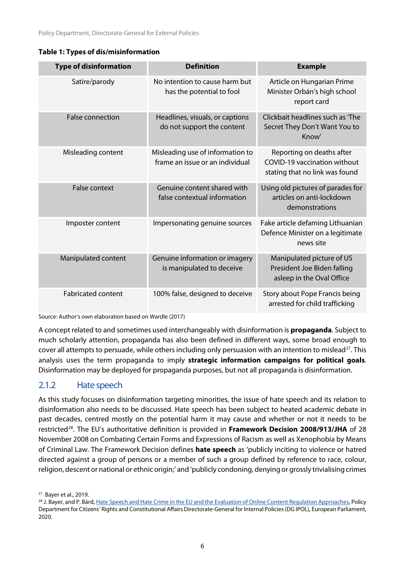| <b>Type of disinformation</b> | <b>Definition</b>                                                   | <b>Example</b>                                                                                     |  |
|-------------------------------|---------------------------------------------------------------------|----------------------------------------------------------------------------------------------------|--|
| Satire/parody                 | No intention to cause harm but<br>has the potential to fool         | Article on Hungarian Prime<br>Minister Orbán's high school<br>report card                          |  |
| <b>False connection</b>       | Headlines, visuals, or captions<br>do not support the content       | Clickbait headlines such as 'The<br>Secret They Don't Want You to<br>Know'                         |  |
| Misleading content            | Misleading use of information to<br>frame an issue or an individual | Reporting on deaths after<br><b>COVID-19 vaccination without</b><br>stating that no link was found |  |
| <b>False context</b>          | Genuine content shared with<br>false contextual information         | Using old pictures of parades for<br>articles on anti-lockdown<br>demonstrations                   |  |
| Imposter content              | Impersonating genuine sources                                       | Fake article defaming Lithuanian<br>Defence Minister on a legitimate<br>news site                  |  |
| Manipulated content           | Genuine information or imagery<br>is manipulated to deceive         | Manipulated picture of US<br>President Joe Biden falling<br>asleep in the Oval Office              |  |
| <b>Fabricated content</b>     | 100% false, designed to deceive                                     | Story about Pope Francis being<br>arrested for child trafficking                                   |  |

**Table 1: Types of dis/misinformation**

Source: Author's own elaboration based on Wardle (2017)

A concept related to and sometimes used interchangeably with disinformation is **propaganda**. Subject to much scholarly attention, propaganda has also been defined in different ways, some broad enough to cover all attempts to persuade, while others including only persuasion with an intention to mislead<sup>[27](#page-16-1)</sup>. This analysis uses the term propaganda to imply **strategic information campaigns for political goals**. Disinformation may be deployed for propaganda purposes, but not all propaganda is disinformation.

### <span id="page-16-0"></span>2.1.2 Hate speech

As this study focuses on disinformation targeting minorities, the issue of hate speech and its relation to disinformation also needs to be discussed. Hate speech has been subject to heated academic debate in past decades, centred mostly on the potential harm it may cause and whether or not it needs to be restricted[28](#page-16-2). The EU's authoritative definition is provided in **Framework Decision 2008/913/JHA** of 28 November 2008 on Combating Certain Forms and Expressions of Racism as well as Xenophobia by Means of Criminal Law. The Framework Decision defines **hate speech** as 'publicly inciting to violence or hatred directed against a group of persons or a member of such a group defined by reference to race, colour, religion, descent or national or ethnic origin;' and 'publicly condoning, denying or grossly trivialising crimes

<span id="page-16-1"></span>27 Bayer et al., 2019.

<span id="page-16-2"></span><sup>&</sup>lt;sup>28</sup> J. Bayer, and P. Bárd[, Hate Speech and Hate Crime in the EU and the Evaluation of Online Content Regulation Approaches,](https://www.europarl.europa.eu/thinktank/en/document.html?reference=IPOL_STU(2020)655135) Policy Department for Citizens' Rights and Constitutional Affairs Directorate-General for Internal Policies (DG IPOL), European Parliament, 2020.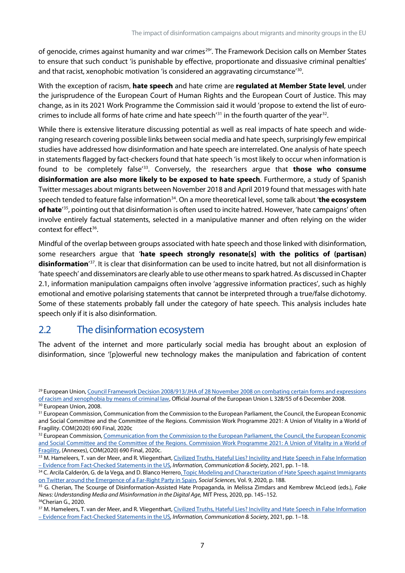of genocide, crimes against humanity and war crimes<sup>[29'](#page-17-1)</sup>. The Framework Decision calls on Member States to ensure that such conduct 'is punishable by effective, proportionate and dissuasive criminal penalties' and that racist, xenophobic motivation 'is considered an aggravating circumstance'<sup>30</sup>.

With the exception of racism, **hate speech** and hate crime are **regulated at Member State level**, under the jurisprudence of the European Court of Human Rights and the European Court of Justice. This may change, as in its 2021 Work Programme the Commission said it would 'propose to extend the list of euro-crimes to include all forms of hate crime and hate speech<sup>'[31](#page-17-3)</sup> in the fourth quarter of the year<sup>32</sup>.

While there is extensive literature discussing potential as well as real impacts of hate speech and wideranging research covering possible links between social media and hate speech, surprisingly few empirical studies have addressed how disinformation and hate speech are interrelated. One analysis of hate speech in statements flagged by fact-checkers found that hate speech 'is most likely to occur when information is found to be completely false' [33.](#page-17-5) Conversely, the researchers argue that **those who consume disinformation are also more likely to be exposed to hate speech**. Furthermore, a study of Spanish Twitter messages about migrants between November 2018 and April 2019 found that messages with hate speech tended to feature false information<sup>34</sup>. On a more theoretical level, some talk about 'the ecosystem **of hate**' [35](#page-17-7), pointing out that disinformation is often used to incite hatred. However, 'hate campaigns' often involve entirely factual statements, selected in a manipulative manner and often relying on the wider context for effect<sup>[36](#page-17-8)</sup>.

Mindful of the overlap between groups associated with hate speech and those linked with disinformation, some researchers argue that '**hate speech strongly resonate[s] with the politics of (partisan)**  disinformation<sup>'[37](#page-17-9)</sup>. It is clear that disinformation can be used to incite hatred, but not all disinformation is 'hate speech' and disseminators are clearly able to use other means to spark hatred. As discussed in Chapter 2.1, information manipulation campaigns often involve 'aggressive information practices', such as highly emotional and emotive polarising statements that cannot be interpreted through a true/false dichotomy. Some of these statements probably fall under the category of hate speech. This analysis includes hate speech only if it is also disinformation.

### <span id="page-17-0"></span>2.2 The disinformation ecosystem

The advent of the internet and more particularly social media has brought about an explosion of disinformation, since '[p]owerful new technology makes the manipulation and fabrication of content

<span id="page-17-1"></span><sup>&</sup>lt;sup>29</sup> European Union, Council Framework Decision 2008/913/JHA of 28 November 2008 on combating certain forms and expressions [of racism and xenophobia by means of criminal law,](https://eur-lex.europa.eu/legal-content/en/ALL/?uri=CELEX%3A32008F0913) Official Journal of the European Union L 328/55 of 6 December 2008. <sup>30</sup> European Union, 2008.

<span id="page-17-3"></span><span id="page-17-2"></span><sup>&</sup>lt;sup>31</sup> European Commission, Communication from the Commission to the European Parliament, the Council, the European Economic and Social Committee and the Committee of the Regions. Commission Work Programme 2021: A Union of Vitality in a World of Fragility. COM(2020) 690 Final, 2020c

<span id="page-17-4"></span><sup>32</sup> European Commission, Communication from the Commission to the European Parliament, the Council, the European Economic [and Social Committee and the Committee of the Regions. Commission Work Programme 2021: A Union of Vitality in a World of](https://eur-lex.europa.eu/legal-content/EN/ALL/?uri=COM:2020:0690:FIN)  [Fragility,](https://eur-lex.europa.eu/legal-content/EN/ALL/?uri=COM:2020:0690:FIN) (Annexes), COM(2020) 690 Final, 2020c.

<span id="page-17-5"></span><sup>33</sup> M. Hameleers, T. van der Meer, and R. Vliegenthart, Civilized Truths, Hateful Lies? Incivility and Hate Speech in False Information – Evidence from [Fact-Checked Statements in the US](https://doi.org/10.1080/1369118X.2021.1874038)*, Information, Communication & Society*, 2021, pp. 1–18.

<span id="page-17-6"></span><sup>34</sup> C. Arcila Calderón, G. de la Vega, and D. Blanco Herrero, Topic Modeling and Characterization of Hate Speech against Immigrants [on Twitter around the Emergence of a Far-Right Party in Spain,](https://www.mdpi.com/2076-0760/9/11/188/htm) *Social Sciences,* Vol. 9, 2020, p. 188.

<span id="page-17-7"></span><sup>35</sup> G. Cherian, The Scourge of Disinformation-Assisted Hate Propaganda, in Melissa Zimdars and Kembrew McLeod (eds.), *Fake News: Understanding Media and Misinformation in the Digital Age,* MIT Press, 2020, pp. 145–152. 36Cherian G., 2020.

<span id="page-17-9"></span><span id="page-17-8"></span><sup>37</sup> M. Hameleers, T. van der Meer, and R. Vliegenthart, Civilized Truths, Hateful Lies? Incivility and Hate Speech in False Information – [Evidence from Fact-Checked Statements in the US](https://doi.org/10.1080/1369118X.2021.1874038)*, Information, Communication & Society*, 2021, pp. 1–18.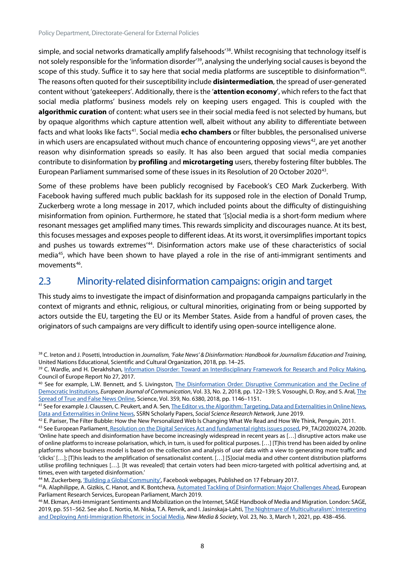simple, and social networks dramatically amplify falsehoods' [38.](#page-18-1) Whilst recognising that technology itself is not solely responsible for the 'information disorder'<sup>39</sup>, analysing the underlying social causes is beyond the scope of this study. Suffice it to say here that social media platforms are susceptible to disinformation<sup>40</sup>. The reasons often quoted for their susceptibility include **disintermediation**, the spread of user-generated content without 'gatekeepers'. Additionally, there isthe '**attention economy**', which refers to the fact that social media platforms' business models rely on keeping users engaged. This is coupled with the **algorithmic curation** of content: what users see in their social media feed is not selected by humans, but by opaque algorithms which capture attention well, albeit without any ability to differentiate between facts and what looks like facts[41](#page-18-4). Social media **echo chambers** or filter bubbles, the personalised universe in which users are encapsulated without much chance of encountering opposing views $42$ , are yet another reason why disinformation spreads so easily. It has also been argued that social media companies contribute to disinformation by **profiling** and **microtargeting** users, thereby fostering filter bubbles. The European Parliament summarised some of these issues in its Resolution of 20 October 2020[43.](#page-18-6)

Some of these problems have been publicly recognised by Facebook's CEO Mark Zuckerberg. With Facebook having suffered much public backlash for its supposed role in the election of Donald Trump, Zuckerberg wrote a long message in 2017, which included points about the difficulty of distinguishing misinformation from opinion. Furthermore, he stated that '[s]ocial media is a short-form medium where resonant messages get amplified many times. This rewards simplicity and discourages nuance. At its best, this focuses messages and exposes people to different ideas. At its worst, it oversimplifies important topics and pushes us towards extremes<sup>1[44](#page-18-7)</sup>. Disinformation actors make use of these characteristics of social media<sup>45</sup>, which have been shown to have played a role in the rise of anti-immigrant sentiments and movements<sup>46</sup>.

### <span id="page-18-0"></span>2.3 Minority-related disinformation campaigns: origin and target

This study aims to investigate the impact of disinformation and propaganda campaigns particularly in the context of migrants and ethnic, religious, or cultural minorities, originating from or being supported by actors outside the EU, targeting the EU or its Member States. Aside from a handful of proven cases, the originators of such campaigns are very difficult to identify using open-source intelligence alone.

<span id="page-18-1"></span><sup>38</sup> C. Ireton and J. Posetti, Introduction in *Journalism, 'Fake News' & Disinformation: Handbook for Journalism Education and Training*, United Nations Educational, Scientific and Cultural Organization, 2018, pp. 14–25.

<span id="page-18-2"></span><sup>&</sup>lt;sup>39</sup> C. Wardle, and H. Derakhshan, Information Disorder: Toward an Interdisciplinary Framework for Research and Policy Making, Council of Europe Report No 27, 2017.

<span id="page-18-3"></span><sup>40</sup> See for example, L.W. Bennett, and S. Livingston, [The Disinformation Order: Disruptive Communication and the Decline of](https://doi.org/10.1177/0267323118760317)  [Democratic Institutions,](https://doi.org/10.1177/0267323118760317) *European Journal of Communication*, Vol. 33, No. 2, 2018, pp. 122–139; S. Vosoughi, D. Roy, and S. Aral[, The](https://science.sciencemag.org/content/359/6380/1146)  [Spread of True and False News Online,](https://science.sciencemag.org/content/359/6380/1146) Science, Vol. 359, No. 6380, 2018, pp. 1146–1151.

<span id="page-18-4"></span><sup>41</sup> See for example J. Claussen, C. Peukert, and A. Sen, The Editor vs. the Algorithm: Targeting, Data and Externalities in Online News, [Data and Externalities in Online News,](https://papers.ssrn.com/sol3/papers.cfm?abstract_id=3399947) SSRN Scholarly Papers, *Social Science Research Network,* June 2019.

<span id="page-18-5"></span> $42$  E. Pariser, The Filter Bubble: How the New Personalized Web Is Changing What We Read and How We Think, Penguin, 2011.

<span id="page-18-6"></span><sup>43</sup> See European Parliamen[t, Resolution on the Digital Services Act and fundamental rights issues posed,](https://www.europarl.europa.eu/doceo/document/TA-9-2020-0274_EN.html) P9\_TA(2020)0274, 2020b. 'Online hate speech and disinformation have become increasingly widespread in recent years as […] disruptive actors make use of online platforms to increase polarisation, which, in turn, is used for political purposes. […] [T]his trend has been aided by online platforms whose business model is based on the collection and analysis of user data with a view to generating more traffic and 'clicks' […]; [T]his leads to the amplification of sensationalist content. […] [S]ocial media and other content distribution platforms utilise profiling techniques […]. [It was revealed] that certain voters had been micro-targeted with political advertising and, at times, even with targeted disinformation.'

<span id="page-18-7"></span><sup>44</sup> M. Zuckerberg[, 'Building a Global Community',](https://m.facebook.com/nt/screen/?params=%7B%22note_id%22%3A3707971095882612%7D&path=%2Fnotes%2Fnote%2F&_rdr) Facebook webpages, Published on 17 February 2017.

<span id="page-18-8"></span><sup>45</sup>A. Alaphilippe, A. Gizikis, C. Hanot, and K. Bontcheva[, Automated Tackling of Disinformation: Major Challenges Ahead,](https://op.europa.eu/es/publication-detail/-/publication/2098c1b4-81bb-11e9-9f05-01aa75ed71a1/language-en) European Parliament Research Services, European Parliament, March 2019.

<span id="page-18-9"></span><sup>&</sup>lt;sup>46</sup> M. Ekman, Anti-Immigrant Sentiments and Mobilization on the Internet, SAGE Handbook of Media and Migration. London: SAGE, 2019, pp. 551-562. See also E. Nortio, M. Niska, T.A. Renvik, and I. Jasinskaja-Lahti, The Nightmare of Multiculturalism': Interpreting [and Deploying Anti-Immigration Rhetoric in Social Media,](https://doi.org/10.1177/1461444819899624) *New Media & Society*, Vol. 23, No. 3, March 1, 2021, pp. 438–456.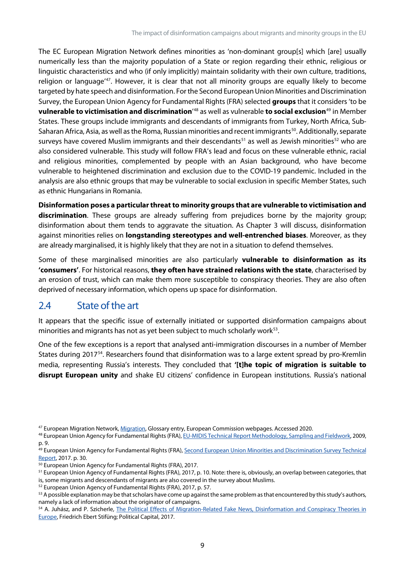The EC European Migration Network defines minorities as 'non-dominant group[s] which [are] usually numerically less than the majority population of a State or region regarding their ethnic, religious or linguistic characteristics and who (if only implicitly) maintain solidarity with their own culture, traditions, religion or language<sup>147</sup>. However, it is clear that not all minority groups are equally likely to become targeted by hate speech and disinformation. For the Second European Union Minorities and Discrimination Survey, the European Union Agency for Fundamental Rights (FRA) selected **groups** that it considers 'to be **vulnerable to victimisation and discrimination**' [48](#page-19-2) as well as vulnerable **to social exclusion**[49](#page-19-3) in Member States. These groups include immigrants and descendants of immigrants from Turkey, North Africa, Sub-Saharan Africa, Asia, as well as the Roma, Russian minorities and recent immigrants<sup>[50](#page-19-4)</sup>. Additionally, separate surveys have covered Muslim immigrants and their descendants<sup>[51](#page-19-5)</sup> as well as Jewish minorities<sup>[52](#page-19-6)</sup> who are also considered vulnerable. This study will follow FRA's lead and focus on these vulnerable ethnic, racial and religious minorities, complemented by people with an Asian background, who have become vulnerable to heightened discrimination and exclusion due to the COVID-19 pandemic. Included in the analysis are also ethnic groups that may be vulnerable to social exclusion in specific Member States, such as ethnic Hungarians in Romania.

**Disinformation poses a particular threat to minority groups that are vulnerable to victimisation and discrimination**. These groups are already suffering from prejudices borne by the majority group; disinformation about them tends to aggravate the situation. As Chapter 3 will discuss, disinformation against minorities relies on **longstanding stereotypes and well-entrenched biases**. Moreover, as they are already marginalised, it is highly likely that they are not in a situation to defend themselves.

Some of these marginalised minorities are also particularly **vulnerable to disinformation as its 'consumers'**. For historical reasons, **they often have strained relations with the state**, characterised by an erosion of trust, which can make them more susceptible to conspiracy theories. They are also often deprived of necessary information, which opens up space for disinformation.

### <span id="page-19-0"></span>2.4 State of the art

It appears that the specific issue of externally initiated or supported disinformation campaigns about minorities and migrants has not as yet been subject to much scholarly work<sup>[53](#page-19-7)</sup>.

One of the few exceptions is a report that analysed anti-immigration discourses in a number of Member States during 2017[54.](#page-19-8) Researchers found that disinformation was to a large extent spread by pro-Kremlin media, representing Russia's interests. They concluded that **'[t]he topic of migration is suitable to disrupt European unity** and shake EU citizens' confidence in European institutions. Russia's national

<span id="page-19-6"></span><sup>52</sup> European Union Agency of Fundamental Rights (FRA), 2017, p. 57.

<span id="page-19-1"></span><sup>47</sup> European Migration Network[, Migration,](https://ec.europa.eu/home-affairs/what-we-do/networks/european_migration_network/glossary_search/minority_en) Glossary entry, European Commission webpages. Accessed 2020.

<span id="page-19-2"></span><sup>48</sup> European Union Agency for Fundamental Rights (FRA)[, EU-MIDIS Technical Report Methodology, Sampling and Fieldwork,](https://fra.europa.eu/sites/default/files/eu-midis_technical_report.pdf) 2009, p. 9.

<span id="page-19-3"></span><sup>49</sup> European Union Agency for Fundamental Rights (FRA), Second European Union Minorities and Discrimination Survey Technical [Report,](https://fra.europa.eu/sites/default/files/fra_uploads/fra-2017-eu-midis-ii-technical-report_en.pdf) 2017. p. 30.

<span id="page-19-4"></span><sup>50</sup> European Union Agency for Fundamental Rights (FRA), 2017.

<span id="page-19-5"></span><sup>51</sup> European Union Agency of Fundamental Rights (FRA), 2017, p. 10. Note: there is, obviously, an overlap between categories, that is, some migrants and descendants of migrants are also covered in the survey about Muslims.

<span id="page-19-7"></span><sup>53</sup> A possible explanation may be that scholars have come up against the same problem as that encountered by this study's authors, namely a lack of information about the originator of campaigns.

<span id="page-19-8"></span><sup>54</sup> A. Juhász, and P. Szicherle, The Political Effects of Migration-Related Fake News, Disinformation and Conspiracy Theories in [Europe,](https://politicalcapital.hu/pc-admin/source/documents/FES_PC_FakeNewsMigrationStudy_EN_20170607.pdf.) Friedrich Ebert Stifüng; Political Capital, 2017.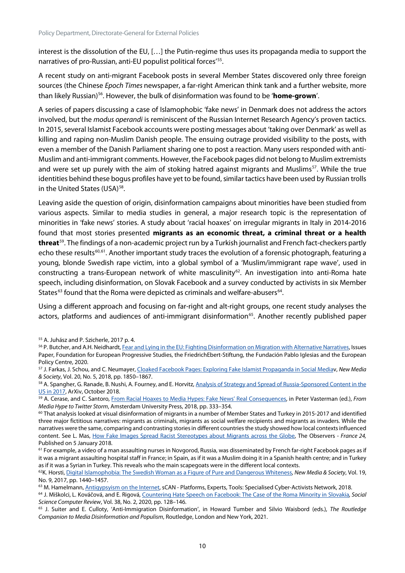interest is the dissolution of the EU, […] the Putin-regime thus uses its propaganda media to support the narratives of pro-Russian, anti-EU populist political forces' [55](#page-20-0).

A recent study on anti-migrant Facebook posts in several Member States discovered only three foreign sources (the Chinese *Epoch Times* newspaper, a far-right American think tank and a further website, more than likely Russian) [56](#page-20-1). However, the bulk of disinformation was found to be '**home-grown**'.

A series of papers discussing a case of Islamophobic 'fake news' in Denmark does not address the actors involved, but the *modus operandi* is reminiscent of the Russian Internet Research Agency's proven tactics. In 2015, several Islamist Facebook accounts were posting messages about 'taking over Denmark' as well as killing and raping non-Muslim Danish people. The ensuing outrage provided visibility to the posts, with even a member of the Danish Parliament sharing one to post a reaction. Many users responded with anti-Muslim and anti-immigrant comments. However, the Facebook pages did not belong to Muslim extremists and were set up purely with the aim of stoking hatred against migrants and Muslims<sup>57</sup>. While the true identities behind these bogus profiles have yet to be found, similar tactics have been used by Russian trolls in the United States (USA)<sup>58</sup>.

Leaving aside the question of origin, disinformation campaigns about minorities have been studied from various aspects. Similar to media studies in general, a major research topic is the representation of minorities in 'fake news' stories. A study about 'racial hoaxes' on irregular migrants in Italy in 2014-2016 found that most stories presented **migrants as an economic threat, a criminal threat or a health threat**[59](#page-20-4). The findings of a non-academic project run by a Turkish journalist and French fact-checkers partly echo these results<sup>[60,](#page-20-5)[61](#page-20-6)</sup>. Another important study traces the evolution of a forensic photograph, featuring a young, blonde Swedish rape victim, into a global symbol of a 'Muslim/immigrant rape wave', used in constructing a trans-European network of white masculinity<sup>62</sup>. An investigation into anti-Roma hate speech, including disinformation, on Slovak Facebook and a survey conducted by activists in six Member States<sup>[63](#page-20-8)</sup> found that the Roma were depicted as criminals and welfare-abusers<sup>64</sup>.

Using a different approach and focusing on far-right and alt-right groups, one recent study analyses the actors, platforms and audiences of anti-immigrant disinformation<sup>65</sup>. Another recently published paper

<span id="page-20-0"></span><sup>55</sup> A. Juhász and P. Szicherle, 2017 p. 4.

<span id="page-20-1"></span><sup>56</sup> P. Butcher, and A.H. Neidhardt[, Fear and Lying in the EU: Fighting Disinformation on Migration with Alternative Narratives,](https://wms.flexious.be/editor/plugins/imagemanager/content/2140/PDF/2020/Disinformation_on_Migration.pdf) Issues Paper, Foundation for European Progressive Studies, the FriedrichEbert-Stiftung, the Fundación Pablo Iglesias and the European Policy Centre, 2020.

<span id="page-20-2"></span><sup>57</sup> J. Farkas, J. Schou, and C. Neumayer[, Cloaked Facebook Pages: Exploring Fake Islamist Propaganda in Social Mediav](https://doi.org/10.1177/1461444817707759), *New Media & Society*, Vol. 20, No. 5, 2018, pp. 1850–1867.

<span id="page-20-3"></span><sup>&</sup>lt;sup>58</sup> A. Spangher, G. Ranade, B. Nushi, A. Fourney, and E. Horvitz, Analysis of Strategy and Spread of Russia-Sponsored Content in the [US in 2017,](http://arxiv.org/abs/1810.10033) ArXiv, October 2018.

<span id="page-20-4"></span><sup>59</sup> A. Cerase, and C. Santoro[, From Racial Hoaxes to Media Hypes: Fake News' Real Consequences,](https://www.jstor.org/stable/j.ctt21215m0.20) in Peter Vasterman (ed.), *From Media Hype to Twitter Storm*, Amsterdam University Press, 2018, pp. 333–354.

<span id="page-20-5"></span> $60$  That analysis looked at visual disinformation of migrants in a number of Member States and Turkey in 2015-2017 and identified three major fictitious narratives: migrants as criminals, migrants as social welfare recipients and migrants as invaders. While the narratives were the same, comparing and contrasting stories in different countries the study showed how local contexts influenced content. See L. Mas, How Fake Images [Spread Racist Stereotypes about Migrants across the Globe,](https://observers.france24.com/en/20180105-fake-images-racist-stereotypes-migrants) The Observers - *France 24,*  Published on 5 January 2018.

<span id="page-20-6"></span><sup>&</sup>lt;sup>61</sup> For example, a video of a man assaulting nurses in Novgorod, Russia, was disseminated by French far-right Facebook pages as if it was a migrant assaulting hospital staff in France; in Spain, as if it was a Muslim doing it in a Spanish health centre; and in Turkey as if it was a Syrian in Turkey. This reveals who the main scapegoats were in the different local contexts.

<span id="page-20-7"></span><sup>62</sup>K. Horsti[, Digital Islamophobia: The Swedish Woman as a Figure of Pure and Dangerous Whiteness,](https://doi.org/10.1177/1461444816642169) *New Media & Society*, Vol. 19, No. 9, 2017, pp. 1440–1457.

<span id="page-20-8"></span><sup>&</sup>lt;sup>63</sup> M. Hamelmann[, Antigypsyism on the Internet,](https://scan-project.eu/antigypsyism-on-the-internet/) sCAN - Platforms, Experts, Tools: Specialised Cyber-Activists Network, 2018.

<span id="page-20-9"></span><sup>64</sup> J. Miškolci, L. Kováčová, and E. Rigová, [Countering Hate Speech on Facebook: The Case of the Roma Minority in Slovakia](https://doi.org/10.1177/0894439318791786)*, Social Science Computer Review*, Vol. 38, No. 2, 2020, pp. 128–146.

<span id="page-20-10"></span><sup>65</sup> J. Suiter and E. Culloty, 'Anti-Immigration Disinformation', in Howard Tumber and Silvio Waisbord (eds.), *The Routledge Companion to Media Disinformation and Populism*, Routledge, London and New York, 2021.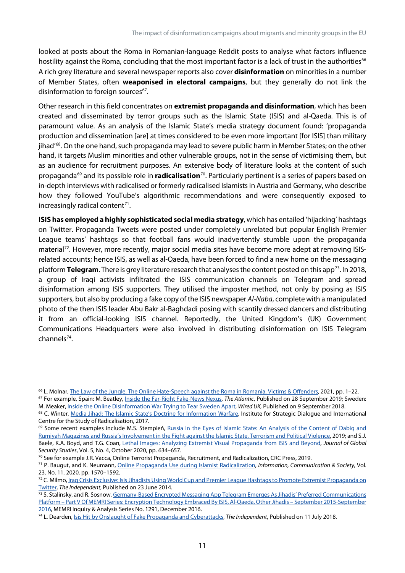looked at posts about the Roma in Romanian-language Reddit posts to analyse what factors influence hostility against the Roma, concluding that the most important factor is a lack of trust in the authorities<sup>[66](#page-21-0)</sup> A rich grey literature and several newspaper reports also cover **disinformation** on minorities in a number of Member States, often **weaponised in electoral campaigns**, but they generally do not link the disinformation to foreign sources $67$ .

Other research in this field concentrates on **extremist propaganda and disinformation**, which has been created and disseminated by terror groups such as the Islamic State (ISIS) and al-Qaeda. This is of paramount value. As an analysis of the Islamic State's media strategy document found: 'propaganda production and dissemination [are] at times considered to be even more important [for ISIS] than military jihad' [68](#page-21-2). On the one hand, such propaganda may lead to severe public harm in Member States; on the other hand, it targets Muslim minorities and other vulnerable groups, not in the sense of victimising them, but as an audience for recruitment purposes. An extensive body of literature looks at the content of such propaganda[69](#page-21-3) and its possible role in **radicalisation**[70.](#page-21-4) Particularly pertinent is a series of papers based on in-depth interviews with radicalised or formerly radicalised Islamistsin Austria and Germany, who describe how they followed YouTube's algorithmic recommendations and were consequently exposed to increasingly radical content $^{71}$  $^{71}$  $^{71}$ .

**ISIS has employed a highly sophisticated social media strategy**, which has entailed 'hijacking' hashtags on Twitter. Propaganda Tweets were posted under completely unrelated but popular English Premier League teams' hashtags so that football fans would inadvertently stumble upon the propaganda material<sup>72</sup>. However, more recently, major social media sites have become more adept at removing ISISrelated accounts; hence ISIS, as well as al-Qaeda, have been forced to find a new home on the messaging platform **Telegram**. There is grey literature research that analyses the content posted on this app<sup>73</sup>. In 2018, a group of Iraqi activists infiltrated the ISIS communication channels on Telegram and spread disinformation among ISIS supporters. They utilised the imposter method, not only by posing as ISIS supporters, but also by producing a fake copy of the ISIS newspaper *Al-Naba*, complete with a manipulated photo of the then ISIS leader Abu Bakr al-Baghdadi posing with scantily dressed dancers and distributing it from an official-looking ISIS channel. Reportedly, the United Kingdom's (UK) Government Communications Headquarters were also involved in distributing disinformation on ISIS Telegram channels[74.](#page-21-8)

<span id="page-21-1"></span>M. Meaker[, Inside the Online Disinformation War Trying to Tear Sweden Apart,](https://www.wired.co.uk/article/sweden-election-polls-far-right) *Wired UK,* Published on 9 September 2018.

<span id="page-21-0"></span><sup>66</sup> L. Molnar[, The Law of the Jungle. The Online Hate-Speech against the Roma in Romania, Victims & Offenders,](https://doi.org/10.1080/15564886.2021.1895391) 2021, pp. 1–22. <sup>67</sup> For example, Spain: M. Beatley[, Inside the Far-Right Fake-News Nexus,](https://www.theatlantic.com/international/archive/2019/09/fake-news-feeds-anti-migrant-sentiment-spain/598429/) *The Atlantic*, Published on 28 September 2019; Sweden:

<span id="page-21-2"></span><sup>68</sup> C. Winter, [Media Jihad: The Islamic State's Doctrine for Information Warfare,](https://icsr.info/wp-content/uploads/2017/02/ICSR-Report-Media-Jihad-The-Islamic-State%E2%80%99s-Doctrine-for-Information-Warfare.pdf) Institute for Strategic Dialogue and International Centre for the Study of Radicalisation, 2017.

<span id="page-21-3"></span><sup>&</sup>lt;sup>69</sup> Some recent examples include M.S. Stempień, Russia in the Eyes of Islamic State: An Analysis of the Content of Dabiq and [Rumiyah Magazines and Russia's Involvement in the Fight against the Islamic State, Terrorism and Political Violence,](https://doi.org/10.1080/09546553.2019.1657097) 2019; and S.J. Baele, K.A. Boyd, and T.G. Coan, [Lethal Images: Analyzing Extremist Visual Propaganda from ISIS and Beyond,](https://doi.org/10.1093/jogss/ogz058) *Journal of Global Security Studies*, Vol. 5, No. 4, October 2020, pp. 634–657.

<span id="page-21-4"></span><sup>70</sup> See for example J.R. Vacca, Online Terrorist Propaganda, Recruitment, and Radicalization, CRC Press, 2019.

<span id="page-21-5"></span><sup>71</sup> P. Baugut, and K. Neumann, [Online Propaganda Use during](https://www.tandfonline.com/doi/full/10.1080/1369118X.2019.1594333) Islamist Radicalization, *Information, Communication & Society,* Vol. 23, No. 11, 2020, pp. 1570–1592.

<span id="page-21-6"></span><sup>72</sup> C. Milmo, Iraq Crisis Exclusive: Isis Jihadists Using World Cup and Premier League Hashtags to Promote Extremist Propaganda on [Twitter,](https://www.independent.co.uk/news/world/middle-east/iraq-crisis-exclusive-isis-jihadists-using-world-cup-and-premier-league-hashtags-promote-extremist-propaganda-twitter-9555167.html) *The Independent*, Published on 23 June 2014.

<span id="page-21-7"></span><sup>73</sup> S. Stalinsky, and R. Sosnow, Germany-Based Encrypted Messaging App Telegram Emerges As Jihadis' Preferred Communications Platform – [Part V Of MEMRI Series: Encryption Technology Embraced By ISIS, Al-Qaeda, Other Jihadis –](https://www.memri.org/reports/germany-based-encrypted-messaging-app-telegram-emerges-jihadis-preferred-communications) September 2015-September [2016,](https://www.memri.org/reports/germany-based-encrypted-messaging-app-telegram-emerges-jihadis-preferred-communications) MEMRI Inquiry & Analysis Series No. 1291, December 2016.

<span id="page-21-8"></span><sup>74</sup> L. Dearden[, Isis Hit by Onslaught of Fake Propaganda and Cyberattacks,](https://www.independent.co.uk/news/world/middle-east/isis-islamic-state-propaganda-telegram-offical-fake-cyberattacks-accounts-a8442936.html) *The Independent*, Published on 11 July 2018.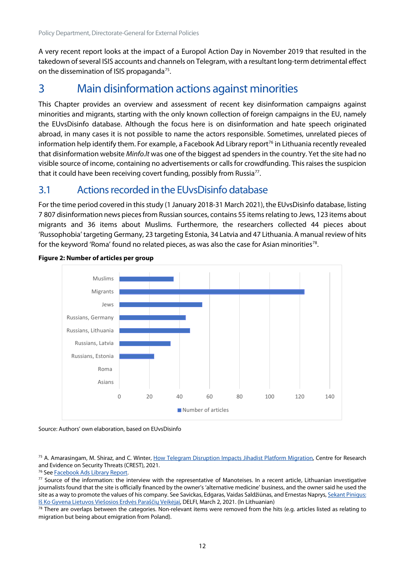A very recent report looks at the impact of a Europol Action Day in November 2019 that resulted in the takedown of several ISIS accounts and channels on Telegram, with a resultant long-term detrimental effect on the dissemination of ISIS propaganda<sup>[75](#page-22-3)</sup>.

# <span id="page-22-0"></span>3 Main disinformation actions against minorities

This Chapter provides an overview and assessment of recent key disinformation campaigns against minorities and migrants, starting with the only known collection of foreign campaigns in the EU, namely the EUvsDisinfo database. Although the focus here is on disinformation and hate speech originated abroad, in many cases it is not possible to name the actors responsible. Sometimes, unrelated pieces of information help identify them. For example, a Facebook Ad Library report<sup>[76](#page-22-4)</sup> in Lithuania recently revealed that disinformation website *Minfo.lt* was one of the biggest ad spenders in the country. Yet the site had no visible source of income, containing no advertisements or calls for crowdfunding. This raises the suspicion that it could have been receiving covert funding, possibly from Russia<sup>77</sup>.

### <span id="page-22-1"></span>3.1 Actions recorded in the EUvsDisinfo database

For the time period covered in this study (1 January 2018-31 March 2021), the EUvsDisinfo database, listing 7 807 disinformation news pieces from Russian sources, contains 55 items relating to Jews, 123 items about migrants and 36 items about Muslims. Furthermore, the researchers collected 44 pieces about 'Russophobia' targeting Germany, 23 targeting Estonia, 34 Latvia and 47 Lithuania. A manual review of hits for the keyword 'Roma' found no related pieces, as was also the case for Asian minorities<sup>[78](#page-22-6)</sup>.



#### <span id="page-22-2"></span>**Figure 2: Number of articles per group**

Source: Authors' own elaboration, based on EUvsDisinfo

<span id="page-22-3"></span><sup>75</sup> A. Amarasingam, M. Shiraz, and C. Winter[, How Telegram Disruption Impacts Jihadist Platform Migration,](https://icsr.info/wp-content/uploads/2021/01/How-Telegram-Disruption-Impacts-Jihadist-Platform-Migration.pdf) Centre for Research and Evidence on Security Threats (CREST), 2021.

<span id="page-22-4"></span><sup>76</sup> Se[e Facebook Ads Library Report.](https://www.facebook.com/ads/library/report/)

<span id="page-22-5"></span>77 Source of the information: the interview with the representative of Manoteises. In a recent article, Lithuanian investigative journalists found that the site is officially financed by the owner's 'alternative medicine' business, and the owner said he used the site as a way to promote the values of his company. See Savickas, Edgaras, Vaidas Saldžiūnas, and Ernestas Naprys, Sekant Pinigus: [Iš Ko Gyvena Lietuvos Viešosios Erdvės Paraščių Veikėjai,](https://www.delfi.lt/a/86521079) DELFI, March 2, 2021. (In Lithuanian)

<span id="page-22-6"></span> $78$  There are overlaps between the categories. Non-relevant items were removed from the hits (e.g. articles listed as relating to migration but being about emigration from Poland).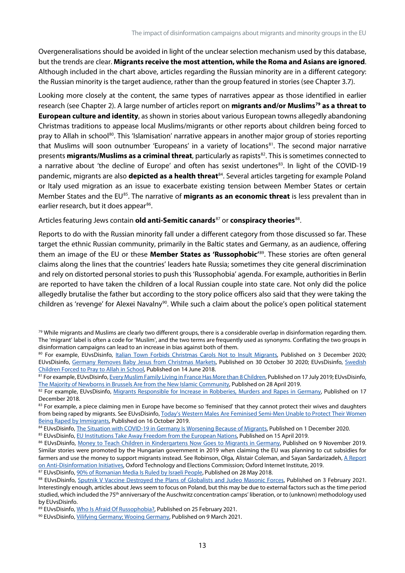Overgeneralisations should be avoided in light of the unclear selection mechanism used by this database, but the trends are clear. **Migrants receive the most attention, while the Roma and Asians are ignored**. Although included in the chart above, articles regarding the Russian minority are in a different category: the Russian minority is the target audience, rather than the group featured in stories (see Chapter 3.7).

Looking more closely at the content, the same types of narratives appear as those identified in earlier research (see Chapter 2). A large number of articles report on **migrants and/or Muslims[79](#page-23-0) as a threat to European culture and identity**, as shown in stories about various European towns allegedly abandoning Christmas traditions to appease local Muslims/migrants or other reports about children being forced to pray to Allah in school<sup>[80](#page-23-1)</sup>. This 'Islamisation' narrative appears in another major group of stories reporting that Muslims will soon outnumber 'Europeans' in a variety of locations<sup>81</sup>. The second major narrative presents **migrants/Muslims as a criminal threat**, particularly as rapists<sup>[82](#page-23-3)</sup>. This is sometimes connected to a narrative about 'the decline of Europe' and often has sexist undertones<sup>[83](#page-23-4)</sup>. In light of the COVID-19 pandemic, migrants are also **depicted as a health threat**<sup>84</sup>. Several articles targeting for example Poland or Italy used migration as an issue to exacerbate existing tension between Member States or certain Member States and the EU<sup>[85](#page-23-6)</sup>. The narrative of **migrants as an economic threat** is less prevalent than in earlier research, but it does appear<sup>[86](#page-23-7)</sup>.

#### Articles featuring Jews contain **old anti-Semitic canards**[87](#page-23-8) or **conspiracy theories**[88.](#page-23-9)

Reports to do with the Russian minority fall under a different category from those discussed so far. These target the ethnic Russian community, primarily in the Baltic states and Germany, as an audience, offering them an image of the EU or these **Member States as 'Russophobic'** [89](#page-23-10). These stories are often general claims along the lines that the countries' leaders hate Russia; sometimes they cite general discrimination and rely on distorted personal stories to push this 'Russophobia' agenda. For example, authorities in Berlin are reported to have taken the children of a local Russian couple into state care. Not only did the police allegedly brutalise the father but according to the story police officers also said that they were taking the children as 'revenge' for Alexei Navalny<sup>90</sup>. While such a claim about the police's open political statement

<span id="page-23-8"></span>87 EUvsDisinfo[, 90% of Romanian Media Is Ruled by Israeli People,](https://euvsdisinfo.eu/report/90-of-romanian-media-is-ruled-by-israeli-people) Published on 28 May 2018.

<span id="page-23-0"></span> $79$  While migrants and Muslims are clearly two different groups, there is a considerable overlap in disinformation regarding them. The 'migrant' label is often a code for 'Muslim', and the two terms are frequently used as synonyms. Conflating the two groups in disinformation campaigns can lead to an increase in bias against both of them.

<span id="page-23-1"></span><sup>80</sup> For example, EUvsDisinfo, *Italian Town Forbids Christmas Carols Not to Insult Migrants*, Published on 3 December 2020; EUvsDisinfo, [Germany Removes Baby Jesus from Christmas Markets,](https://euvsdisinfo.eu/report/germany-removes-baby-jesus-from-christmas-markets) Published on 30 October 30 2020; EUvsDisinfo, [Swedish](https://euvsdisinfo.eu/report/swedish-children-forced-to-pray-to-allah-in-school)  [Children Forced to Pray to Allah in School,](https://euvsdisinfo.eu/report/swedish-children-forced-to-pray-to-allah-in-school) Published on 14 June 2018.

<span id="page-23-2"></span><sup>81</sup> For example, EUvsDisinfo[, Every Muslim Family Living in France Has More than 8 Children,](https://euvsdisinfo.eu/report/muslim-fertility-rate-in-france-is-much-higher-than-non-muslim) Published on 17 July 2019; EUvsDisinfo, [The Majority of Newborns in Brussels Are from the New Islamic Community,](https://euvsdisinfo.eu/report/the-majority-of-newborns-in-brussels-are-from-the-new-islamic-community) Published on 28 April 2019.

<span id="page-23-3"></span><sup>82</sup> For example, EUvsDisinfo, [Migrants Responsible for Increase in Robberies, Murders and Rapes in Germany,](https://euvsdisinfo.eu/report/migrants-responsible-for-increase-in-robberies-murders-and-rapes-in-germany) Published on 17 December 2018.

<span id="page-23-4"></span><sup>83</sup> For example, a piece claiming men in Europe have become so 'feminised' that they cannot protect their wives and daughters from being raped by migrants. See EUvsDisinfo, Today's Western Males Are Feminised Semi-Men Unable to Protect Their Women [Being Raped by Immigrants,](https://euvsdisinfo.eu/report/todays-western-males-are-feminized-semi-men-who-are-not-able-to-protect-their-women-raped-by-immigrants) Published on 16 October 2019.

<span id="page-23-5"></span><sup>84</sup> EUvsDisinfo[, The Situation with COVID-19 in Germany Is Worsening Because of Migrants,](https://euvsdisinfo.eu/report/the-situation-with-covid-19-in-germany-is-worsening-because-of-migrants) Published on 1 December 2020.

<span id="page-23-6"></span><sup>85</sup> EUvsDisinfo[, EU Institutions Take Away Freedom from the European Nations,](https://euvsdisinfo.eu/report/eu-institutions-take-away-freedom-from-the-european-nations) Published on 15 April 2019.

<span id="page-23-7"></span><sup>86</sup> EUvsDisinfo, [Money to Teach Children in Kindergartens Now Goes to Migrants in Germany,](https://euvsdisinfo.eu/report/money-to-teach-children-in-kindergartens-now-goes-for-migrants-in-germany) Published on 9 November 2019. Similar stories were promoted by the Hungarian government in 2019 when claiming the EU was planning to cut subsidies for farmers and use the money to support migrants instead. See Robinson, Olga, Alistair Coleman, and Sayan Sardarizadeh, A Report [on Anti-Disinformation Initiatives,](https://demtech.oii.ox.ac.uk/wp-content/uploads/sites/93/2019/08/A-Report-of-Anti-Disinformation-Initiatives.pdf) Oxford Technology and Elections Commission; Oxford Internet Institute, 2019.

<span id="page-23-9"></span><sup>88</sup> EUvsDisinfo, [Sputnik V Vaccine Destroyed the Plans of Globalists and Judeo Masonic Forces,](https://euvsdisinfo.eu/report/sputnik-v-vaccine-destroyed-globalist-and-judeo-masonic-forces-plans) Published on 3 February 2021. Interestingly enough, articles about Jews seem to focus on Poland, but this may be due to external factors such as the time period studied, which included the 75<sup>th</sup> anniversary of the Auschwitz concentration camps' liberation, or to (unknown) methodology used by EUvsDisinfo.

<span id="page-23-10"></span><sup>89</sup> EUvsDisinfo[, Who Is Afraid Of Russophobia?,](https://euvsdisinfo.eu/who-is-afraid-of-russophobia/) Published on 25 February 2021.

<span id="page-23-11"></span><sup>&</sup>lt;sup>90</sup> EUvsDisinfo, *Vilifying Germany; Wooing Germany*, Published on 9 March 2021.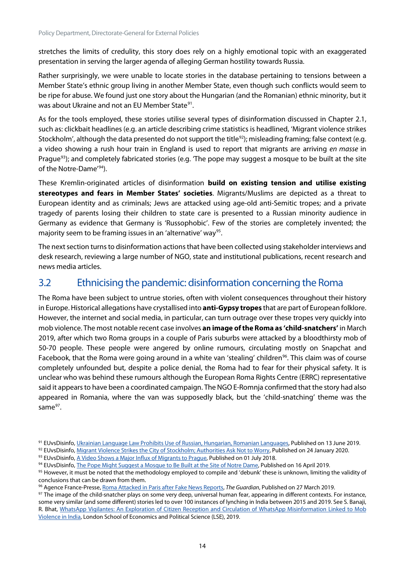stretches the limits of credulity, this story does rely on a highly emotional topic with an exaggerated presentation in serving the larger agenda of alleging German hostility towards Russia.

Rather surprisingly, we were unable to locate stories in the database pertaining to tensions between a Member State's ethnic group living in another Member State, even though such conflicts would seem to be ripe for abuse. We found just one story about the Hungarian (and the Romanian) ethnic minority, but it was about Ukraine and not an EU Member State<sup>91</sup>.

As for the tools employed, these stories utilise several types of disinformation discussed in Chapter 2.1, such as: clickbait headlines (e.g. an article describing crime statistics is headlined, 'Migrant violence strikes Stockholm', although the data presented do not support the title<sup>[92](#page-24-2)</sup>); misleading framing; false context (e.g. a video showing a rush hour train in England is used to report that migrants are arriving *en masse* in Prague<sup>[93](#page-24-3)</sup>); and completely fabricated stories (e.g. 'The pope may suggest a mosque to be built at the site of the Notre-Dame<sup>'[94](#page-24-4)</sup>).

These Kremlin-originated articles of disinformation **build on existing tension and utilise existing stereotypes and fears in Member States' societies**. Migrants/Muslims are depicted as a threat to European identity and as criminals; Jews are attacked using age-old anti-Semitic tropes; and a private tragedy of parents losing their children to state care is presented to a Russian minority audience in Germany as evidence that Germany is 'Russophobic'. Few of the stories are completely invented; the majority seem to be framing issues in an 'alternative' way<sup>95</sup>.

The next section turns to disinformation actions that have been collected using stakeholder interviews and desk research, reviewing a large number of NGO, state and institutional publications, recent research and news media articles.

# <span id="page-24-0"></span>3.2 Ethnicising the pandemic: disinformation concerning the Roma

The Roma have been subject to untrue stories, often with violent consequences throughout their history in Europe. Historical allegations have crystallised into **anti-Gypsy tropes** that are part of European folklore. However, the internet and social media, in particular, can turn outrage over these tropes very quickly into mob violence. The most notable recent case involves **an image of the Roma as 'child-snatchers'** in March 2019, after which two Roma groups in a couple of Paris suburbs were attacked by a bloodthirsty mob of 50-70 people. These people were angered by online rumours, circulating mostly on Snapchat and Facebook, that the Roma were going around in a white van 'stealing' children<sup>96</sup>. This claim was of course completely unfounded but, despite a police denial, the Roma had to fear for their physical safety. It is unclear who was behind these rumours although the European Roma Rights Centre (ERRC) representative said it appears to have been a coordinated campaign. The NGO E-Romnja confirmed that the story had also appeared in Romania, where the van was supposedly black, but the 'child-snatching' theme was the sam[e97](#page-24-7).

<span id="page-24-1"></span><sup>91</sup> EUvsDisinfo[, Ukrainian Language Law Prohibits Use of Russian, Hungarian, Romanian Languages,](https://euvsdisinfo.eu/report/ukrainian-language-law-violates-the-rights-of-minorities) Published on 13 June 2019.

<span id="page-24-2"></span><sup>92</sup> EUvsDisinfo[, Migrant Violence Strikes the City of Stockholm; Authorities Ask Not to Worry,](https://euvsdisinfo.eu/report/migrant-violence-strikes-the-city-of-stockholm-authorities-ask-not-to-worry) Published on 24 January 2020.

<span id="page-24-3"></span><sup>93</sup> EUvsDisinfo[, A Video Shows a Major Influx of Migrants to Prague,](https://euvsdisinfo.eu/report/the-influx-of-migrants-to-prague) Published on 01 July 2018.

<span id="page-24-4"></span><sup>94</sup> EUvsDisinfo[, The Pope Might Suggest a Mosque to Be Built at the Site of Notre Dame,](https://euvsdisinfo.eu/report/the-pope-might-suggest-a-mosque-to-be-built-at-the-site-of-notre-dame) Published on 16 April 2019.

<span id="page-24-5"></span><sup>95</sup> However, it must be noted that the methodology employed to compile and 'debunk' these is unknown, limiting the validity of conclusions that can be drawn from them.

<span id="page-24-6"></span><sup>96</sup> Agence France-Presse[, Roma Attacked in Paris after Fake News Reports,](http://www.theguardian.com/world/2019/mar/27/roma-call-for-protection-after-vigilante-attacks-inspired-by-fake-news) *The Guardian*, Published on 27 March 2019.

<span id="page-24-7"></span><sup>&</sup>lt;sup>97</sup> The image of the child-snatcher plays on some very deep, universal human fear, appearing in different contexts. For instance, some very similar (and some different) stories led to over 100 instances of lynching in India between 2015 and 2019. See S. Banaji, R. Bhat, [WhatsApp Vigilantes: An Exploration of Citizen Reception and Circulation of WhatsApp Misinformation Linked to Mob](https://www.lse.ac.uk/media-and-communications/assets/documents/research/projects/WhatsApp-Misinformation-Report.pdf)  [Violence in India,](https://www.lse.ac.uk/media-and-communications/assets/documents/research/projects/WhatsApp-Misinformation-Report.pdf) London School of Economics and Political Science (LSE), 2019.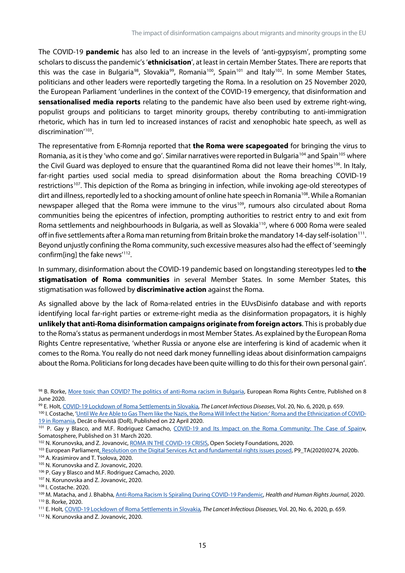The COVID-19 **pandemic** has also led to an increase in the levels of 'anti-gypsyism', prompting some scholars to discussthe pandemic's '**ethnicisation**', at least in certain Member States. There are reports that this was the case in Bulgaria<sup>98</sup>, Slovakia<sup>99</sup>, Romania<sup>[100](#page-25-2)</sup>, Spain<sup>[101](#page-25-3)</sup> and Italy<sup>102</sup>. In some Member States, politicians and other leaders were reportedly targeting the Roma. In a resolution on 25 November 2020, the European Parliament 'underlines in the context of the COVID-19 emergency, that disinformation and **sensationalised media reports** relating to the pandemic have also been used by extreme right-wing, populist groups and politicians to target minority groups, thereby contributing to anti-immigration rhetoric, which has in turn led to increased instances of racist and xenophobic hate speech, as well as discrimination' [103](#page-25-5).

The representative from E-Romnja reported that **the Roma were scapegoated** for bringing the virus to Romania, as it is they 'who come and go'. Similar narratives were reported in Bulgaria<sup>[104](#page-25-6)</sup> and Spain<sup>[105](#page-25-7)</sup> where the Civil Guard was deployed to ensure that the quarantined Roma did not leave their homes<sup>[106](#page-25-8)</sup>. In Italy, far-right parties used social media to spread disinformation about the Roma breaching COVID-19 restrictions<sup>[107](#page-25-9)</sup>. This depiction of the Roma as bringing in infection, while invoking age-old stereotypes of dirt and illness, reportedly led to a shocking amount of online hate speech in Romania<sup>108</sup>. While a Romanian newspaper alleged that the Roma were immune to the virus<sup>109</sup>, rumours also circulated about Roma communities being the epicentres of infection, prompting authorities to restrict entry to and exit from Roma settlements and neighbourhoods in Bulgaria, as well as Slovakia<sup>110</sup>, where 6 000 Roma were sealed off in five settlements after a Roma man returning from Britain broke the mandatory 14-day self-isolation<sup>[111](#page-25-13)</sup>. Beyond unjustly confining the Roma community, such excessive measures also had the effect of 'seemingly confirm[ing] the fake news'<sup>112</sup>.

In summary, disinformation about the COVID-19 pandemic based on longstanding stereotypes led to **the stigmatisation of Roma communities** in several Member States. In some Member States, this stigmatisation was followed by **discriminative action** against the Roma.

As signalled above by the lack of Roma-related entries in the EUvsDisinfo database and with reports identifying local far-right parties or extreme-right media as the disinformation propagators, it is highly **unlikely that anti-Roma disinformation campaigns originate from foreign actors**. This is probably due to the Roma's status as permanent underdogsin most Member States. As explained by the European Roma Rights Centre representative, 'whether Russia or anyone else are interfering is kind of academic when it comes to the Roma. You really do not need dark money funnelling ideas about disinformation campaigns about the Roma. Politicians for long decades have been quite willing to do this for their own personal gain'.

<span id="page-25-9"></span><sup>107</sup> N. Korunovska and Z. Jovanovic, 2020.

- <span id="page-25-11"></span>109 M. Matacha, and J. Bhabha[, Anti-Roma Racism Is Spiraling During COVID-19 Pandemic,](https://www.hhrjournal.org/2020/04/anti-roma-racism-is-spiraling-during-covid-19-pandemic/) *Health and Human Rights Journal*, 2020. <sup>110</sup> B. Rorke, 2020.
- <span id="page-25-13"></span><span id="page-25-12"></span><sup>111</sup> E. Holt[, COVID-19 Lockdown of Roma Settlements in Slovakia,](https://www.thelancet.com/journals/laninf/article/PIIS1473-3099(20)30381-9/abstract) *The Lancet Infectious Diseases*, Vol. 20, No. 6, 2020, p. 659.

<span id="page-25-0"></span><sup>98</sup> B. Rorke, [More toxic than COVID? The politics of anti-Roma racism in Bulgaria,](http://www.errc.org/news/more-toxic-than-covid-the-politics-of-anti-roma-racism-in-bulgaria.) European Roma Rights Centre, Published on 8 June 2020.

<span id="page-25-1"></span><sup>99</sup> E. Holt[, COVID-19 Lockdown of Roma Settlements in Slovakia,](https://www.thelancet.com/journals/laninf/article/PIIS1473-3099(20)30381-9/abstract) *The Lancet Infectious Diseases*, Vol. 20, No. 6, 2020, p. 659.

<span id="page-25-2"></span><sup>100</sup> I. Costache, ['Until We Are Able to Gas Them like the Nazis, the Roma Will Infect the Nation:' Roma and the Ethnicization of COVID-](https://www.dor.ro/roma-and-the-ethnicization-of-covid-19-in-romania/)[19 in Romania,](https://www.dor.ro/roma-and-the-ethnicization-of-covid-19-in-romania/) Decât o Revistă (DoR), Published on 22 April 2020.

<span id="page-25-3"></span><sup>101</sup> P. Gay y Blasco, and M.F. Rodriguez Camacho, [COVID-19 and Its Impact on the Roma Community: The Case of Spainv](http://somatosphere.net/forumpost/covid-19-roma-community-spain/), Somatosphere, Published on 31 March 2020.

<span id="page-25-4"></span><sup>102</sup> N. Korunovska, and Z. Jovanovic, ROMA IN THE [COVID-19 CRISIS,](https://reliefweb.int/sites/reliefweb.int/files/resources/Roma%20in%20the%20COVID-19%20crisis%20-%20An%20early%20warning%20from%20six%20EU%20Member%20States.pdf) Open Society Foundations, 2020.

<span id="page-25-5"></span><sup>103</sup> European Parliamen[t, Resolution on the Digital Services Act and fundamental rights issues posed,](https://www.europarl.europa.eu/doceo/document/TA-9-2020-0274_EN.html) P9\_TA(2020)0274, 2020b.

<span id="page-25-6"></span><sup>104</sup> A. Krasimirov and T. Tsolova, 2020.

<span id="page-25-7"></span><sup>105</sup> N. Korunovska and Z. Jovanovic, 2020.

<span id="page-25-8"></span><sup>106</sup> P. Gay y Blasco and M.F. Rodriguez Camacho, 2020.

<span id="page-25-10"></span><sup>108</sup> I. Costache. 2020.

<span id="page-25-14"></span><sup>112</sup> N. Korunovska and Z. Jovanovic, 2020.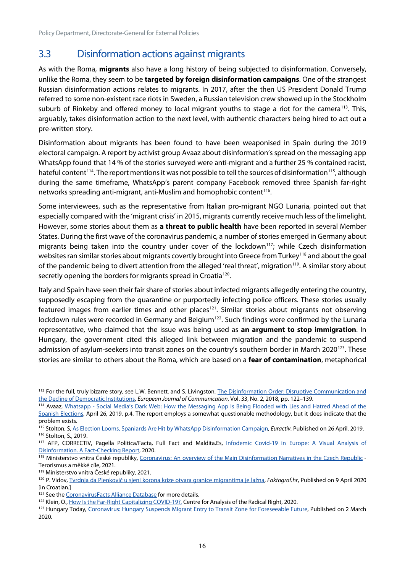# <span id="page-26-0"></span>3.3 Disinformation actions against migrants

As with the Roma, **migrants** also have a long history of being subjected to disinformation. Conversely, unlike the Roma, they seem to be **targeted by foreign disinformation campaigns**. One of the strangest Russian disinformation actions relates to migrants. In 2017, after the then US President Donald Trump referred to some non-existent race riots in Sweden, a Russian television crew showed up in the Stockholm suburb of Rinkeby and offered money to local migrant youths to stage a riot for the camera<sup>[113](#page-26-1)</sup>. This, arguably, takes disinformation action to the next level, with authentic characters being hired to act out a pre-written story.

Disinformation about migrants has been found to have been weaponised in Spain during the 2019 electoral campaign. A report by activist group Avaaz about disinformation's spread on the messaging app WhatsApp found that 14 % of the stories surveyed were anti-migrant and a further 25 % contained racist, hateful content<sup>114</sup>. The report mentions it was not possible to tell the sources of disinformation<sup>115</sup>, although during the same timeframe, WhatsApp's parent company Facebook removed three Spanish far-right networks spreading anti-migrant, anti-Muslim and homophobic content<sup>[116](#page-26-4)</sup>.

Some interviewees, such as the representative from Italian pro-migrant NGO Lunaria, pointed out that especially compared with the 'migrant crisis' in 2015, migrants currently receive much less of the limelight. However, some stories about them as **a threat to public health** have been reported in several Member States. During the first wave of the coronavirus pandemic, a number of stories emerged in Germany about migrants being taken into the country under cover of the lockdown<sup>117</sup>; while Czech disinformation websites ran similar stories about migrants covertly brought into Greece from Turkey<sup>[118](#page-26-6)</sup> and about the goal of the pandemic being to divert attention from the alleged 'real threat', migration<sup>119</sup>. A similar story about secretly opening the borders for migrants spread in Croatia<sup>[120](#page-26-8)</sup>.

Italy and Spain have seen their fair share of stories about infected migrants allegedly entering the country, supposedly escaping from the quarantine or purportedly infecting police officers. These stories usually featured images from earlier times and other places<sup>[121](#page-26-9)</sup>. Similar stories about migrants not observing lockdown rules were recorded in Germany and Belgium<sup>[122](#page-26-10)</sup>. Such findings were confirmed by the Lunaria representative, who claimed that the issue was being used as **an argument to stop immigration**. In Hungary, the government cited this alleged link between migration and the pandemic to suspend admission of asylum-seekers into transit zones on the country's southern border in March 2020<sup>123</sup>. These stories are similar to others about the Roma, which are based on a **fear of contamination**, metaphorical

<span id="page-26-7"></span><sup>119</sup> Ministerstvo vnitra České republiky, 2021.

<span id="page-26-9"></span><sup>121</sup> See th[e CoronavirusFacts Alliance Database](https://www.poynter.org/ifcn-covid-19-misinformation) for more details.

<span id="page-26-1"></span><sup>113</sup> For the full, truly bizarre story, see L.W. Bennett, and S. Livingston, The Disinformation Order: Disruptive Communication and [the Decline of Democratic Institutions,](https://doi.org/10.1177/0267323118760317) *European Journal of Communication*, Vol. 33, No. 2, 2018, pp. 122–139.

<span id="page-26-2"></span><sup>114</sup> Avaaz, Whatsapp - Social Media's Dark Web: How the Messaging App Is Being Flooded with Lies and Hatred Ahead of the [Spanish Elections,](https://avaazimages.avaaz.org/Avaaz_SpanishWhatsApp_FINAL.pdf) April 26, 2019, p.4. The report employs a somewhat questionable methodology, but it does indicate that the problem exists.

<span id="page-26-3"></span><sup>115</sup> Stolton, S[, As Election Looms, Spaniards Are Hit by WhatsApp Disinformation Campaign,](https://www.euractiv.com/section/digital/news/as-election-looms-spaniards-are-hit-by-whatsapp-disinformation-campaign/) *Euractiv*, Published on 26 April, 2019. <sup>116</sup> Stolton, S., 2019.

<span id="page-26-5"></span><span id="page-26-4"></span><sup>117</sup> AFP, CORRECTIV, Pagella Politica/Facta, Full Fact and Maldita.Es, Infodemic Covid-19 in Europe: A Visual Analysis of [Disinformation. A Fact-Checking Report,](https://covidinfodemiceurope.com/) 2020.

<span id="page-26-6"></span><sup>118</sup> Ministerstvo vnitra České republiky, [Coronavirus: An overview of the Main Disinformation Narratives in the Czech Republic](https://www.mvcr.cz/cthh/clanek/coronavirus-an-overview-of-the-main-disinformation-narratives-in-the-czech-republic.aspx) -Terorismus a měkké cíle, 2021.

<span id="page-26-8"></span><sup>120</sup> P. Vidov, [Tvrdnja da Plenković u sjeni korona krize otvara granice migrantima je lažna,](https://faktograf.hr/2020/04/09/tvrdnja-da-plenkovic-u-sjeni-korona-krize-otvara-granice-migrantima-je-lazna/) *Faktograf.hr*, Published on 9 April 2020 [in Croatian.]

<span id="page-26-10"></span><sup>&</sup>lt;sup>122</sup> Klein, O., [How Is the Far-Right Capitalizing COVID-19?,](https://www.radicalrightanalysis.com/2020/04/10/how-is-the-far-right-capitalizing-covid-19/) Centre for Analysis of the Radical Right, 2020.

<span id="page-26-11"></span><sup>123</sup> Hungary Today, [Coronavirus: Hungary Suspends Migrant Entry to Transit Zone for Foreseeable Future,](https://hungarytoday.hu/hungary-suspend-migrant-entry-transit-zone-coronavirus/) Published on 2 March 2020.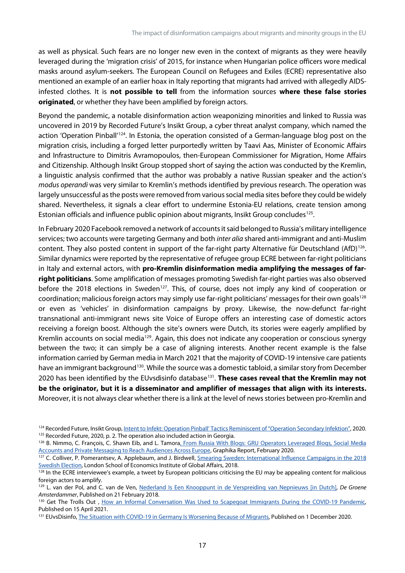as well as physical. Such fears are no longer new even in the context of migrants as they were heavily leveraged during the 'migration crisis' of 2015, for instance when Hungarian police officers wore medical masks around asylum-seekers. The European Council on Refugees and Exiles (ECRE) representative also mentioned an example of an earlier hoax in Italy reporting that migrants had arrived with allegedly AIDSinfested clothes. It is **not possible to tell** from the information sources **where these false stories originated**, or whether they have been amplified by foreign actors.

Beyond the pandemic, a notable disinformation action weaponizing minorities and linked to Russia was uncovered in 2019 by Recorded Future's Insikt Group, a cyber threat analyst company, which named the action 'Operation Pinball'<sup>[124](#page-27-0)</sup>. In Estonia, the operation consisted of a German-language blog post on the migration crisis, including a forged letter purportedly written by Taavi Aas, Minister of Economic Affairs and Infrastructure to Dimitris Avramopoulos, then-European Commissioner for Migration, Home Affairs and Citizenship. Although Insikt Group stopped short of saying the action was conducted by the Kremlin, a linguistic analysis confirmed that the author was probably a native Russian speaker and the action's *modus operandi* was very similar to Kremlin's methods identified by previous research. The operation was largely unsuccessful as the posts were removed from various social media sites before they could be widely shared. Nevertheless, it signals a clear effort to undermine Estonia-EU relations, create tension among Estonian officials and influence public opinion about migrants, Insikt Group concludes<sup>[125](#page-27-1)</sup>.

In February 2020 Facebook removed a network of accounts it said belonged to Russia's military intelligence services; two accounts were targeting Germany and both *inter alia* shared anti-immigrant and anti-Muslim content. They also posted content in support of the far-right party Alternative für Deutschland (AfD)<sup>[126](#page-27-2)</sup>. Similar dynamics were reported by the representative of refugee group ECRE between far-right politicians in Italy and external actors, with **pro-Kremlin disinformation media amplifying the messages of farright politicians**. Some amplification of messages promoting Swedish far-right parties was also observed before the 2018 elections in Sweden<sup>127</sup>. This, of course, does not imply any kind of cooperation or coordination; malicious foreign actors may simply use far-right politicians' messages for their own goals<sup>128</sup> or even as 'vehicles' in disinformation campaigns by proxy. Likewise, the now-defunct far-right transnational anti-immigrant news site Voice of Europe offers an interesting case of domestic actors receiving a foreign boost. Although the site's owners were Dutch, its stories were eagerly amplified by Kremlin accounts on social media<sup>129</sup>. Again, this does not indicate any cooperation or conscious synergy between the two; it can simply be a case of aligning interests. Another recent example is the false information carried by German media in March 2021 that the majority of COVID-19 intensive care patients have an immigrant background<sup>[130](#page-27-6)</sup>. While the source was a domestic tabloid, a similar story from December 2020 has been identified by the EUvsdisinfo database<sup>[131](#page-27-7)</sup>. These cases reveal that the Kremlin may not **be the originator, but it is a disseminator and amplifier of messages that align with its interests.** Moreover, it is not always clear whether there is a link at the level of news stories between pro-Kremlin and

<span id="page-27-0"></span><sup>&</sup>lt;sup>124</sup> Recorded Future, Insikt Group[, Intent to Infekt: Operation Pinball' Tactics Reminiscent of "Operation Secondary Infektion",](https://www.recordedfuture.com/operation-pinball-tactics/) 2020. <sup>125</sup> Recorded Future, 2020, p. 2. The operation also included action in Georgia.

<span id="page-27-2"></span><span id="page-27-1"></span><sup>126</sup> B. Nimmo, C. François, C. Shawn Eib, and L. Tamora, From Russia With Blogs: GRU Operators Leveraged Blogs, Social Media [Accounts and Private Messaging to Reach Audiences Across Europe,](https://graphika.com/reports/from-russia-with-blogs/) Graphika Report, February 2020.

<span id="page-27-3"></span><sup>127</sup> C. Colliver, P. Pomerantsev, A. Applebaum, and J. Birdwell, Smearing Sweden: International Influence Campaigns in the 2018 [Swedish Election,](https://www.lse.ac.uk/iga/assets/documents/arena/2018/Sweden-Report-October-2018.pdf.) London School of Economics Institute of Global Affairs, 2018.

<span id="page-27-4"></span><sup>128</sup> In the ECRE interviewee's example, a tweet by European politicians criticising the EU may be appealing content for malicious foreign actors to amplify.

<span id="page-27-5"></span><sup>129</sup> L. van der Pol, and C. van de Ven, [Nederland Is Een Knooppunt in de Verspreiding van Nepnieuws \[in Dutch\],](https://www.groene.nl/artikel/hollands-nepnieuws) *De Groene Amsterdammer*, Published on 21 February 2018.

<span id="page-27-6"></span><sup>130</sup> Get The Trolls Out, How an Informal Conversation Was Used to Scapegoat Immigrants During the COVID-19 Pandemic, Published on 15 April 2021.

<span id="page-27-7"></span><sup>&</sup>lt;sup>131</sup> EUvsDisinfo[, The Situation with COVID-19 in Germany Is Worsening Because of Migrants,](https://euvsdisinfo.eu/report/the-situation-with-covid-19-in-germany-is-worsening-because-of-migrants) Published on 1 December 2020.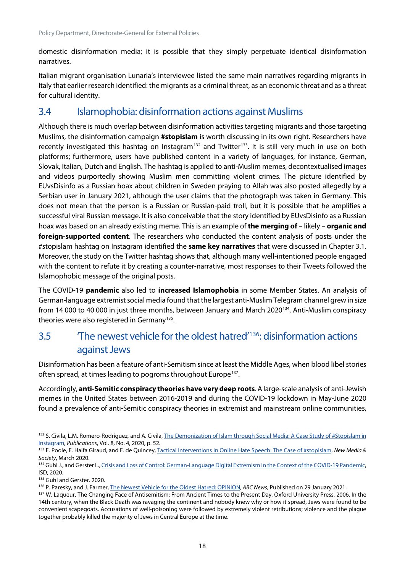domestic disinformation media; it is possible that they simply perpetuate identical disinformation narratives.

Italian migrant organisation Lunaria's interviewee listed the same main narratives regarding migrants in Italy that earlier research identified: the migrants as a criminal threat, as an economic threat and as a threat for cultural identity.

### <span id="page-28-0"></span>3.4 Islamophobia: disinformation actions against Muslims

Although there is much overlap between disinformation activities targeting migrants and those targeting Muslims, the disinformation campaign **#stopislam** is worth discussing in its own right. Researchers have recently investigated this hashtag on Instagram<sup>[132](#page-28-2)</sup> and Twitter<sup>[133](#page-28-3)</sup>. It is still very much in use on both platforms; furthermore, users have published content in a variety of languages, for instance, German, Slovak, Italian, Dutch and English. The hashtag is applied to anti-Muslim memes, decontextualised images and videos purportedly showing Muslim men committing violent crimes. The picture identified by EUvsDisinfo as a Russian hoax about children in Sweden praying to Allah was also posted allegedly by a Serbian user in January 2021, although the user claims that the photograph was taken in Germany. This does not mean that the person is a Russian or Russian-paid troll, but it is possible that he amplifies a successful viral Russian message. It is also conceivable that the story identified by EUvsDisinfo as a Russian hoax was based on an already existing meme. This is an example of **the merging of** – likely – **organic and foreign-supported content**. The researchers who conducted the content analysis of posts under the #stopislam hashtag on Instagram identified the **same key narratives** that were discussed in Chapter 3.1. Moreover, the study on the Twitter hashtag shows that, although many well-intentioned people engaged with the content to refute it by creating a counter-narrative, most responses to their Tweets followed the Islamophobic message of the original posts.

The COVID-19 **pandemic** also led to **increased Islamophobia** in some Member States. An analysis of German-language extremist social media found that the largest anti-Muslim Telegram channel grew in size from 14 000 to 40 000 in just three months, between January and March 2020[134.](#page-28-4) Anti-Muslim conspiracy theories were also registered in Germany<sup>135</sup>.

# <span id="page-28-1"></span>3.5 'The newest vehicle for the oldest hatred' [136](#page-28-6): disinformation actions against Jews

Disinformation has been a feature of anti-Semitism since at least the Middle Ages, when blood libel stories often spread, at times leading to pogroms throughout Europe<sup>[137](#page-28-7)</sup>.

Accordingly, **anti-Semitic conspiracy theories have very deep roots**. A large-scale analysis of anti-Jewish memes in the United States between 2016-2019 and during the COVID-19 lockdown in May-June 2020 found a prevalence of anti-Semitic conspiracy theories in extremist and mainstream online communities,

<span id="page-28-2"></span><sup>132</sup> S. Civila, L.M. Romero-Rodríguez, and A. Civila, The Demonization of Islam through Social Media: A Case Study of #Stopislam in [Instagram,](https://www.mdpi.com/2304-6775/8/4/52.idINKBN2BN2W) *Publications*, Vol. 8, No. 4, 2020, p. 52.

<span id="page-28-3"></span><sup>133</sup> E. Poole, E. Haifa Giraud, and E. de Quincey[, Tactical Interventions in Online Hate Speech: The Case of #stopIslam,](https://doi.org/10.1177/1461444820903319) New Media & *Society*, March 2020.

<span id="page-28-4"></span><sup>134</sup> Guhl J., and Gerster L., Crisis and Loss of Control: German-Language Digital Extremism in the Context of the COVID-19 Pandemic, ISD, 2020.

<span id="page-28-5"></span><sup>135</sup> Guhl and Gerster. 2020.

<span id="page-28-6"></span><sup>136</sup> P. Paresky, and J. Farmer[, The Newest Vehicle for the Oldest Hatred: OPINION,](https://abcnews.go.com/Politics/newest-vehicle-oldest-hatred-opinion/story?id=75542375) *ABC News*, Published on 29 January 2021.

<span id="page-28-7"></span><sup>137</sup> W. Laqueur, The Changing Face of Antisemitism: From Ancient Times to the Present Day, Oxford University Press, 2006. In the 14th century, when the Black Death was ravaging the continent and nobody knew why or how it spread, Jews were found to be convenient scapegoats. Accusations of well-poisoning were followed by extremely violent retributions; violence and the plague together probably killed the majority of Jews in Central Europe at the time.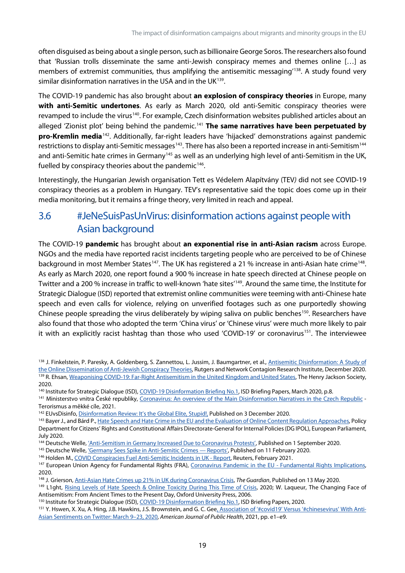often disguised as being about a single person, such as billionaire George Soros. The researchers also found that 'Russian trolls disseminate the same anti-Jewish conspiracy memes and themes online […] as members of extremist communities, thus amplifying the antisemitic messaging<sup>[138](#page-29-1)</sup>. A study found very similar disinformation narratives in the USA and in the UK<sup>[139](#page-29-2)</sup>.

The COVID-19 pandemic has also brought about **an explosion of conspiracy theories** in Europe, many **with anti-Semitic undertones**. As early as March 2020, old anti-Semitic conspiracy theories were revamped to include the virus<sup>140</sup>. For example, Czech disinformation websites published articles about an alleged 'Zionist plot' being behind the pandemic.<sup>[141](#page-29-4)</sup> The same narratives have been perpetuated by **pro-Kremlin media**[142.](#page-29-5) Additionally, far-right leaders have 'hijacked' demonstrations against pandemic restrictions to display anti-Semitic messages<sup>[143](#page-29-6)</sup>. There has also been a reported increase in anti-Semitism<sup>144</sup> and anti-Semitic hate crimes in Germany<sup>[145](#page-29-8)</sup> as well as an underlying high level of anti-Semitism in the UK, fuelled by conspiracy theories about the pandemic<sup>146</sup>.

Interestingly, the Hungarian Jewish organisation Tett es Védelem Alapítvány (TEV*)* did not see COVID-19 conspiracy theories as a problem in Hungary. TEV's representative said the topic does come up in their media monitoring, but it remains a fringe theory, very limited in reach and appeal.

# <span id="page-29-0"></span>3.6 #JeNeSuisPasUnVirus: disinformation actions against people with Asian background

The COVID-19 **pandemic** has brought about **an exponential rise in anti-Asian racism** across Europe. NGOs and the media have reported racist incidents targeting people who are perceived to be of Chinese background in most Member States<sup>[147](#page-29-10)</sup>. The UK has registered a 21 % increase in anti-Asian hate crime<sup>[148](#page-29-11)</sup>. As early as March 2020, one report found a 900 % increase in hate speech directed at Chinese people on Twitter and a 200 % increase in traffic to well-known 'hate sites' [149](#page-29-12). Around the same time, the Institute for Strategic Dialogue (ISD) reported that extremist online communities were teeming with anti-Chinese hate speech and even calls for violence, relying on unverified footages such as one purportedly showing Chinese people spreading the virus deliberately by wiping saliva on public benches<sup>150</sup>. Researchers have also found that those who adopted the term 'China virus' or 'Chinese virus' were much more likely to pair it with an explicitly racist hashtag than those who used 'COVID-19' or coronavirus<sup>[151](#page-29-14)</sup>. The interviewee

<span id="page-29-3"></span><span id="page-29-2"></span><sup>140</sup> Institute for Strategic Dialogue (ISD)[, COVID-19 Disinformation Briefing No.1,](https://www.isdglobal.org/wp-content/uploads/2020/06/COVID-19-Briefing-01-Institute-for-Strategic-Dialogue-27th-March-2020.pdf) ISD Briefing Papers, March 2020, p.8.

<span id="page-29-4"></span><sup>141</sup> Ministerstvo vnitra České republiky, [Coronavirus: An overview of the Main Disinformation Narratives in the Czech Republic](https://www.mvcr.cz/cthh/clanek/coronavirus-an-overview-of-the-main-disinformation-narratives-in-the-czech-republic.aspx) -Terorismus a měkké cíle, 2021.

- <span id="page-29-7"></span>144 Deutsche Welle[, 'Anti-Semitism in Germany Increased Due to Coronavirus Protests',](https://www.dw.com/en/anti-semitism-in-germany-increased-due-to-coronavirus-protests/a-54775939) Published on 1 September 2020.
- <span id="page-29-8"></span>145 Deutsche Welle, 'Germany Sees Spike in Anti-Semitic Crimes - Reports', Published on 11 February 2020.
- <span id="page-29-9"></span>146 Holden M., [COVID Conspiracies Fuel Anti-Semitic Incidents in UK -](https://www.reuters.com/article/uk-britain-security-jews-idUSKBN2AB00X) Report, Reuters, February 2021.

<span id="page-29-14"></span>151 Y. Hswen, X. Xu, A. Hing, J.B. Hawkins, J.S. Brownstein, and G. C. Ge[e, Association of '#covid19' Versus '#chinesevirus' With Anti-](https://ajph.aphapublications.org/doi/10.2105/AJPH.2021.306154)[Asian Sentiments on Twitter: March 9–23, 2020,](https://ajph.aphapublications.org/doi/10.2105/AJPH.2021.306154) *American Journal of Public Health*, 2021, pp. e1–e9.

<span id="page-29-1"></span><sup>138</sup> J. Finkelstein, P. Paresky, A. Goldenberg, S. Zannettou, L. Jussim, J. Baumgartner, et al., Antisemitic Disinformation: A Study of [the Online Dissemination of Anti-Jewish Conspiracy Theories,](https://networkcontagion.us/reports/antisemitic-disinformation-a-study-of-the-online-dissemination-of-anti-jewish-conspiracy-theories/) Rutgers and Network Contagion Research Institute, December 2020. 139 R. Ehsan[, Weaponising COVID-19: Far-Right Antisemitism in the United Kingdom and United States,](https://henryjacksonsociety.org/publications/covid19farright/) The Henry Jackson Society, 2020.

<span id="page-29-5"></span><sup>142</sup> EUvsDisinfo[, Disinformation Review: It's the Global Elite, Stupid!,](https://euvsdisinfo.eu/its-the-global-elite-stupid/) Published on 3 December 2020.

<span id="page-29-6"></span><sup>143</sup> Bayer J., and Bárd P.[, Hate Speech and Hate Crime in the EU and the Evaluation of Online Content Regulation Approaches,](https://www.europarl.europa.eu/thinktank/en/document.html?reference=IPOL_STU(2020)655135) Policy Department for Citizens' Rights and Constitutional Affairs Directorate-General for Internal Policies (DG IPOL), European Parliament, July 2020.

<span id="page-29-10"></span><sup>&</sup>lt;sup>147</sup> European Union Agency for Fundamental Rights (FRA), [Coronavirus Pandemic in the EU -](https://fra.europa.eu/sites/default/files/fra_uploads/fra-2020-coronavirus-pandemic-eu-bulletin_en.pdf) Fundamental Rights Implications, 2020.

<span id="page-29-11"></span><sup>148</sup> J. Grierson[, Anti-Asian Hate Crimes up 21% in UK during Coronavirus Crisis,](http://www.theguardian.com/world/2020/may/13/anti-asian-hate-crimes-up-21-in-uk-during-coronavirus-crisis) *The Guardian*, Published on 13 May 2020.

<span id="page-29-12"></span><sup>149</sup> L1ght, Rising Levels of Hate [Speech & Online Toxicity During This Time of Crisis,](https://l1ght.com/Toxicity_during_coronavirus_Report-L1ght.pdf) 2020; W. Laqueur, The Changing Face of Antisemitism: From Ancient Times to the Present Day, Oxford University Press, 2006.

<span id="page-29-13"></span><sup>&</sup>lt;sup>150</sup> Institute for Strategic Dialogue (ISD)[, COVID-19 Disinformation Briefing No.1,](https://www.isdglobal.org/wp-content/uploads/2020/06/COVID-19-Briefing-01-Institute-for-Strategic-Dialogue-27th-March-2020.pdf) ISD Briefing Papers, 2020.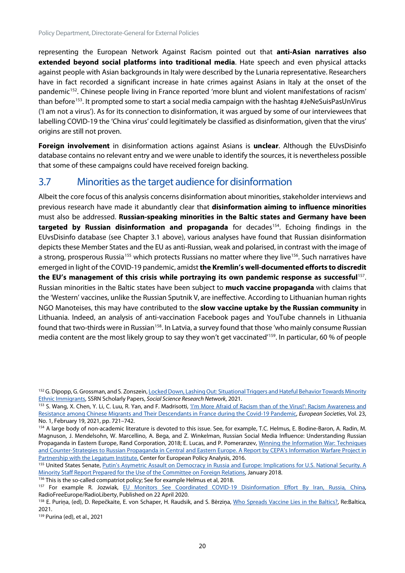representing the European Network Against Racism pointed out that **anti-Asian narratives also extended beyond social platforms into traditional media**. Hate speech and even physical attacks against people with Asian backgrounds in Italy were described by the Lunaria representative. Researchers have in fact recorded a significant increase in hate crimes against Asians in Italy at the onset of the pandemic<sup>[152](#page-30-1)</sup>. Chinese people living in France reported 'more blunt and violent manifestations of racism' than before<sup>153</sup>. It prompted some to start a social media campaign with the hashtag #JeNeSuisPasUnVirus ('I am not a virus'). As for its connection to disinformation, it was argued by some of our interviewees that labelling COVID-19 the 'China virus' could legitimately be classified as disinformation, given that the virus' origins are still not proven.

**Foreign involvement** in disinformation actions against Asians is **unclear**. Although the EUvsDisinfo database contains no relevant entry and we were unable to identify the sources, it is nevertheless possible that some of these campaigns could have received foreign backing.

# <span id="page-30-0"></span>3.7 Minorities as the target audience for disinformation

Albeit the core focus of this analysis concerns disinformation about minorities, stakeholder interviews and previous research have made it abundantly clear that **disinformation aiming to influence minorities** must also be addressed. **Russian-speaking minorities in the Baltic states and Germany have been targeted by Russian disinformation and propaganda** for decades<sup>154</sup>. Echoing findings in the EUvsDisinfo database (see Chapter 3.1 above), various analyses have found that Russian disinformation depicts these Member States and the EU as anti-Russian, weak and polarised, in contrast with the image of a strong, prosperous Russia<sup>[155](#page-30-4)</sup> which protects Russians no matter where they live<sup>[156](#page-30-5)</sup>. Such narratives have emerged in light of the COVID-19 pandemic, amidst **the Kremlin's well-documented efforts to discredit the EU's management of this crisis while portraying its own pandemic response as successful**[157](#page-30-6). Russian minorities in the Baltic states have been subject to **much vaccine propaganda** with claims that the 'Western' vaccines, unlike the Russian Sputnik V, are ineffective. According to Lithuanian human rights NGO Manoteises, this may have contributed to the **slow vaccine uptake by the Russian community** in Lithuania. Indeed, an analysis of anti-vaccination Facebook pages and YouTube channels in Lithuania found that two-thirds were in Russian<sup>158</sup>. In Latvia, a survey found that those 'who mainly consume Russian media content are the most likely group to say they won't get vaccinated'[159](#page-30-8). In particular, 60 % of people

<span id="page-30-1"></span><sup>&</sup>lt;sup>152</sup> G. Dipopp, G. Grossman, and S. Zonszein, Locked Down, Lashing Out: Situational Triggers and Hateful Behavior Towards Minority [Ethnic Immigrants,](https://papers.ssrn.com/sol3/papers.cfm?abstract_id=3789339) SSRN Scholarly Papers, *Social Science Research Network*, 2021.

<span id="page-30-2"></span><sup>153</sup> S. Wang, X. Chen, Y. Li, C. Luu, R. Yan, and F. Madrisotti, 'I'm More Afraid of Racism than of the Virus!': Racism Awareness and [Resistance among Chinese Migrants and Their Descendants in France during the Covid-19 Pandemic,](https://doi.org/10.1080/14616696.2020.1836384) *European Societies*, Vol. 23, No. 1, February 19, 2021, pp. 721–742.

<span id="page-30-3"></span><sup>154</sup> A large body of non-academic literature is devoted to this issue. See, for example, T.C. Helmus, E. Bodine-Baron, A. Radin, M. Magnuson, J. Mendelsohn, W. Marcellino, A. Bega, and Z. Winkelman, Russian Social Media Influence: Understanding Russian Propaganda in Eastern Europe, Rand Corporation, 2018; E. Lucas, and P. Pomeranzev, [Winning the Information War: Techniques](https://cepa.ecms.pl/files/?id_plik=2773)  [and Counter-Strategies to Russian Propaganda in Central and Eastern Europe. A Report by CEPA's Information Warfare Project in](https://cepa.ecms.pl/files/?id_plik=2773)  [Partnership with the Legatum Institute,](https://cepa.ecms.pl/files/?id_plik=2773) Center for European Policy Analysis, 2016.

<span id="page-30-4"></span><sup>155</sup> United States Senate, Putin's Asymetric Assault on Democracy in Russia and Europe: Implications for U.S. National Security. A [Minority Staff Report Prepared for the Use of the Committee on Foreign Relations,](https://www.foreign.senate.gov/imo/media/doc/FinalRR.pdf) January 2018.

<span id="page-30-5"></span><sup>156</sup> This is the so-called compatriot policy; See for example Helmus et al, 2018.

<span id="page-30-6"></span><sup>157</sup> For example R. Jozwiak, EU Monitors See Coordinated COVID-19 Disinformation Effort By Iran, Russia, China, RadioFreeEurope/RadioLiberty, Published on 22 April 2020.

<span id="page-30-7"></span><sup>158</sup> E. Puriņa, (ed), D. Repečkaite, E. von Schaper, H. Raudsik, and S. Bērziņa[, Who Spreads Vaccine Lies in the Baltics?,](https://tepsaeu-my.sharepoint.com/personal/admintepsaeu_tepsaeu_onmicrosoft_com/Documents/EP/Framework%20contracts%202019-2024/Lot%206%20Human%20Rights/IDAs/IDA%20Disinformation%20and%20migation%20and%20minorities/First%20Version/.%20https:/www.lrt.lt/en/news-in-english/19/1355005/who-spreads-vaccine-lies-in-the-baltics) Re:Baltica, 2021.

<span id="page-30-8"></span><sup>159</sup> Purina (ed), et al., 2021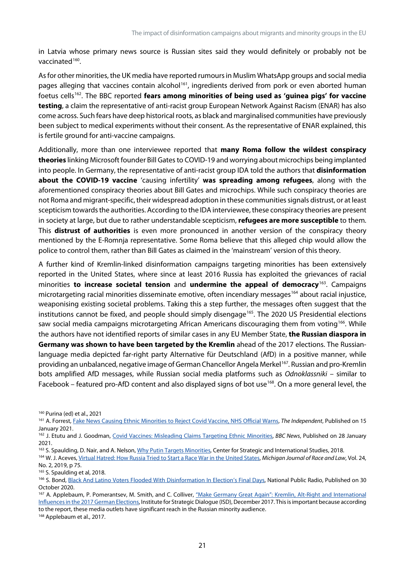in Latvia whose primary news source is Russian sites said they would definitely or probably not be vaccinated $160$ .

As for other minorities, the UK media have reported rumours in Muslim WhatsApp groups and social media pages alleging that vaccines contain alcohol<sup>161</sup>, ingredients derived from pork or even aborted human foetus cells[162.](#page-31-2) The BBC reported **fears among minorities of being used as 'guinea pigs' for vaccine testing**, a claim the representative of anti-racist group European Network Against Racism (ENAR) has also come across. Such fears have deep historical roots, as black and marginalised communities have previously been subject to medical experiments without their consent. As the representative of ENAR explained, this is fertile ground for anti-vaccine campaigns.

Additionally, more than one interviewee reported that **many Roma follow the wildest conspiracy theories** linking Microsoft founder Bill Gates to COVID-19 and worrying about microchips being implanted into people. In Germany, the representative of anti-racist group IDA told the authors that **disinformation about the COVID-19 vaccine** 'causing infertility' **was spreading among refugees**, along with the aforementioned conspiracy theories about Bill Gates and microchips. While such conspiracy theories are not Roma and migrant-specific, their widespread adoption in these communities signals distrust, or at least scepticism towards the authorities. According to the IDA interviewee, these conspiracy theories are present in society at large, but due to rather understandable scepticism, **refugees are more susceptible** to them. This **distrust of authorities** is even more pronounced in another version of the conspiracy theory mentioned by the E-Romnja representative. Some Roma believe that this alleged chip would allow the police to control them, rather than Bill Gates as claimed in the 'mainstream' version of this theory.

A further kind of Kremlin-linked disinformation campaigns targeting minorities has been extensively reported in the United States, where since at least 2016 Russia has exploited the grievances of racial minorities **to increase societal tension** and **undermine the appeal of democracy**[163](#page-31-3). Campaigns microtargeting racial minorities disseminate emotive, often incendiary messages<sup>[164](#page-31-4)</sup> about racial injustice, weaponising existing societal problems. Taking this a step further, the messages often suggest that the institutions cannot be fixed, and people should simply disengage<sup>165</sup>. The 2020 US Presidential elections saw social media campaigns microtargeting African Americans discouraging them from voting<sup>[166](#page-31-6)</sup>. While the authors have not identified reports of similar cases in any EU Member State, **the Russian diaspora in Germany was shown to have been targeted by the Kremlin** ahead of the 2017 elections. The Russianlanguage media depicted far-right party Alternative für Deutschland (AfD) in a positive manner, while providing an unbalanced, negative image of German Chancellor Angela Merkel<sup>167</sup>. Russian and pro-Kremlin bots amplified AfD messages, while Russian social media platforms such as *Odnoklassniki* – similar to Facebook – featured pro-AfD content and also displayed signs of bot use<sup>168</sup>. On a more general level, the

<span id="page-31-0"></span><sup>160</sup> Purina (ed) et al., 2021

<span id="page-31-8"></span><sup>168</sup> Applebaum et al., 2017.

<span id="page-31-1"></span><sup>161</sup> A. Forrest[, Fake News Causing Ethnic Minorities to Reject Covid Vaccine, NHS Official Warns,](https://www.independent.co.uk/news/uk/home-news/covid-vaccine-fake-news-ethnic-minorities-b1787746.html) *The Independent*, Published on 15 January 2021.

<span id="page-31-2"></span><sup>162</sup> J. Etutu and J. Goodman, [Covid Vaccines: Misleading Claims Targeting Ethnic Minorities,](https://www.bbc.com/news/55747544) *BBC News*, Published on 28 January 2021.

<span id="page-31-3"></span><sup>163</sup> S. Spaulding, D. Nair, and A. Nelson[, Why Putin Targets Minorities,](https://www.csis.org/analysis/why-putin-targets-minorities) Center for Strategic and International Studies, 2018.

<span id="page-31-4"></span><sup>164</sup> W. J. Aceves[, Virtual Hatred: How Russia Tried to Start a Race War in the United States,](https://repository.law.umich.edu/cgi/viewcontent.cgi?article=1290&context=mjrl) *Michigan Journal of Race and Law*, Vol. 24, No. 2, 2019, p 75.

<span id="page-31-5"></span><sup>&</sup>lt;sup>165</sup> S. Spaulding et al, 2018.

<span id="page-31-6"></span><sup>166</sup> S. Bond, [Black And Latino Voters Flooded With Disinformation In Election's Final Days,](https://www.npr.org/2020/10/30/929248146/black-and-latino-voters-flooded-with-disinformation-in-elections-final-days) National Public Radio, Published on 30 October 2020.

<span id="page-31-7"></span><sup>167</sup> A. Applebaum, P. Pomerantsev, M. Smith, and C. Colliver, "Make Germany Great Again": Kremlin, Alt-Right and International [Influences in the 2017 German Elections,](https://tepsaeu-my.sharepoint.com/personal/admintepsaeu_tepsaeu_onmicrosoft_com/Documents/EP/Framework%20contracts%202019-2024/Lot%206%20Human%20Rights/IDAs/IDA%20Disinformation%20and%20migation%20and%20minorities/First%20Version/) Institute for Strategic Dialogue (ISD), December 2017. This is important because according to the report, these media outlets have significant reach in the Russian minority audience.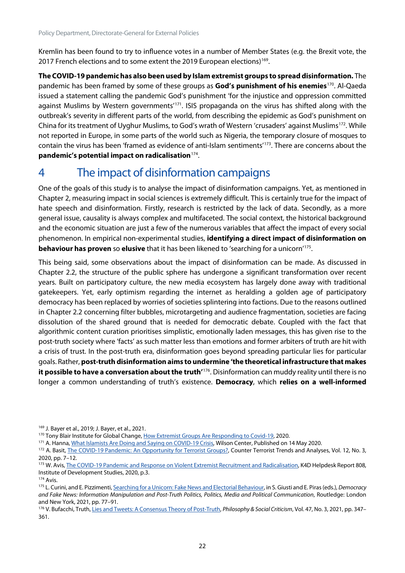Kremlin has been found to try to influence votes in a number of Member States (e.g. the Brexit vote, the 2017 French elections and to some extent the 2019 European elections) [169](#page-32-1).

**The COVID-19 pandemic has also been used by Islam extremist groups to spread disinformation.** The pandemic has been framed by some of these groups as **God's punishment of his enemies**[170.](#page-32-2) Al-Qaeda issued a statement calling the pandemic God's punishment 'for the injustice and oppression committed against Muslims by Western governments<sup>'[171](#page-32-3)</sup>. ISIS propaganda on the virus has shifted along with the outbreak's severity in different parts of the world, from describing the epidemic as God's punishment on China for its treatment of Uyghur Muslims, to God's wrath of Western 'crusaders' against Muslims[172](#page-32-4). While not reported in Europe, in some parts of the world such as Nigeria, the temporary closure of mosques to contain the virus has been 'framed as evidence of anti-Islam sentiments'[173.](#page-32-5) There are concerns about the **pandemic's potential impact on radicalisation**[174](#page-32-6).

# <span id="page-32-0"></span>4 The impact of disinformation campaigns

One of the goals of this study is to analyse the impact of disinformation campaigns. Yet, as mentioned in Chapter 2, measuring impact in social sciences is extremely difficult. This is certainly true for the impact of hate speech and disinformation. Firstly, research is restricted by the lack of data. Secondly, as a more general issue, causality is always complex and multifaceted. The social context, the historical background and the economic situation are just a few of the numerous variables that affect the impact of every social phenomenon. In empirical non-experimental studies, **identifying a direct impact of disinformation on behaviour has proven** so **elusive** that it has been likened to 'searching for a unicorn['175](#page-32-7).

This being said, some observations about the impact of disinformation can be made. As discussed in Chapter 2.2, the structure of the public sphere has undergone a significant transformation over recent years. Built on participatory culture, the new media ecosystem has largely done away with traditional gatekeepers. Yet, early optimism regarding the internet as heralding a golden age of participatory democracy has been replaced by worries of societies splintering into factions. Due to the reasons outlined in Chapter 2.2 concerning filter bubbles, microtargeting and audience fragmentation, societies are facing dissolution of the shared ground that is needed for democratic debate. Coupled with the fact that algorithmic content curation prioritises simplistic, emotionally laden messages, this has given rise to the post-truth society where 'facts' as such matter less than emotions and former arbiters of truth are hit with a crisis of trust. In the post-truth era, disinformation goes beyond spreading particular lies for particular goals. Rather, **post-truth disinformation aims to undermine 'the theoretical infrastructure that makes it possible to have a conversation about the truth'**[176.](#page-32-8) Disinformation can muddy reality until there is no longer a common understanding of truth's existence. **Democracy**, which **relies on a well-informed** 

<span id="page-32-1"></span><sup>169</sup> J. Bayer et al., 2019; J. Bayer, et al., 2021.

<span id="page-32-2"></span><sup>170</sup> Tony Blair Institute for Global Change[, How Extremist Groups Are Responding to Covid-19,](https://institute.global/sites/default/files/2020-05/Snapshot%203%20COVID19%20V02.pdf) 2020.

<span id="page-32-3"></span><sup>&</sup>lt;sup>171</sup> A. Hanna[, What Islamists Are Doing and Saying on COVID-19 Crisis,](https://www.wilsoncenter.org/article/what-islamists-are-doing-and-saying-covid-19-crisis) Wilson Center, Published on 14 May 2020.

<span id="page-32-4"></span><sup>172</sup> A. Basit[, The COVID-19 Pandemic: An Opportunity for Terrorist Groups?,](https://www.jstor.org/stable/10.2307/26915444) Counter Terrorist Trends and Analyses, Vol. 12, No. 3, 2020, pp. 7–12.

<span id="page-32-5"></span><sup>173</sup> W. Avis[, The COVID-19 Pandemic and Response on Violent Extremist Recruitment and Radicalisation,](https://opendocs.ids.ac.uk/opendocs/bitstream/handle/20.500.12413/15322/808_COVID19%20_and_Violent_Extremism.pdf?sequence=1&isAllowed=y) K4D Helpdesk Report 808, Institute of Development Studies, 2020, p.3.

<span id="page-32-6"></span><sup>174</sup> Avis.

<span id="page-32-7"></span><sup>175</sup> L. Curini, and E. Pizzimenti[, Searching for a Unicorn: Fake News and Electorial Behaviour,](https://www.taylorfrancis.com/chapters/oa-edit/10.4324/9781003037385-8/searching-unicorn-luigi-curini-eugenio-pizzimenti) in S. Giusti and E. Piras (eds.), *Democracy and Fake News: Information Manipulation and Post-Truth Politics, Politics, Media and Political Communication*, Routledge: London and New York, 2021, pp. 77–91.

<span id="page-32-8"></span><sup>176</sup> V. Bufacchi, Truth[, Lies and Tweets: A Consensus Theory of Post-Truth,](https://tepsaeu-my.sharepoint.com/personal/admintepsaeu_tepsaeu_onmicrosoft_com/Documents/EP/Framework%20contracts%202019-2024/Lot%206%20Human%20Rights/IDAs/IDA%20Disinformation%20and%20migation%20and%20minorities/First%20Version/.%20https:/doi.org/10.1177/0191453719896382) Philosophy & Social Criticism, Vol. 47, No. 3, 2021, pp. 347-361.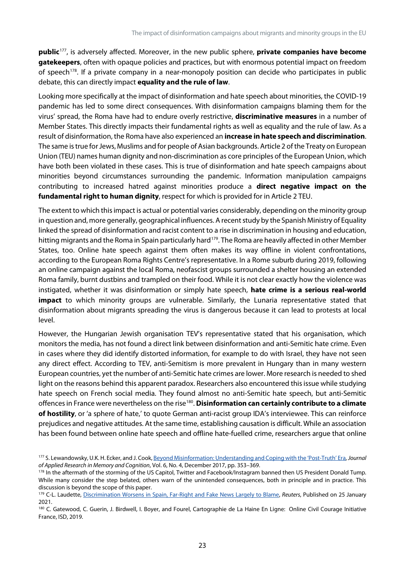**public**[177,](#page-33-0) is adversely affected. Moreover, in the new public sphere, **private companies have become gatekeepers**, often with opaque policies and practices, but with enormous potential impact on freedom of speech<sup>[178](#page-33-1)</sup>. If a private company in a near-monopoly position can decide who participates in public debate, this can directly impact **equality and the rule of law**.

Looking more specifically at the impact of disinformation and hate speech about minorities, the COVID-19 pandemic has led to some direct consequences. With disinformation campaigns blaming them for the virus' spread, the Roma have had to endure overly restrictive, **discriminative measures** in a number of Member States. This directly impacts their fundamental rights as well as equality and the rule of law. As a result of disinformation, the Roma have also experienced an **increase in hate speech and discrimination**. The same is true for Jews, Muslims and for people of Asian backgrounds. Article 2 of the Treaty on European Union (TEU) names human dignity and non-discrimination as core principles of the European Union, which have both been violated in these cases. This is true of disinformation and hate speech campaigns about minorities beyond circumstances surrounding the pandemic. Information manipulation campaigns contributing to increased hatred against minorities produce a **direct negative impact on the fundamental right to human dignity**, respect for which is provided for in Article 2 TEU.

The extent to which this impact is actual or potential varies considerably, depending on the minority group in question and, more generally, geographical influences. A recent study by the Spanish Ministry of Equality linked the spread of disinformation and racist content to a rise in discrimination in housing and education, hitting migrants and the Roma in Spain particularly hard<sup>179</sup>. The Roma are heavily affected in other Member States, too. Online hate speech against them often makes its way offline in violent confrontations, according to the European Roma Rights Centre's representative. In a Rome suburb during 2019, following an online campaign against the local Roma, neofascist groups surrounded a shelter housing an extended Roma family, burnt dustbins and trampled on their food. While it is not clear exactly how the violence was instigated, whether it was disinformation or simply hate speech, **hate crime is a serious real-world impact** to which minority groups are vulnerable. Similarly, the Lunaria representative stated that disinformation about migrants spreading the virus is dangerous because it can lead to protests at local level.

However, the Hungarian Jewish organisation TEV's representative stated that his organisation, which monitors the media, has not found a direct link between disinformation and anti-Semitic hate crime. Even in cases where they did identify distorted information, for example to do with Israel, they have not seen any direct effect. According to TEV, anti-Semitism is more prevalent in Hungary than in many western European countries, yet the number of anti-Semitic hate crimes are lower. More research is needed to shed light on the reasons behind this apparent paradox. Researchers also encountered thisissue while studying hate speech on French social media. They found almost no anti-Semitic hate speech, but anti-Semitic offences in France were nevertheless on the rise[180](#page-33-3). **Disinformation can certainly contribute to a climate of hostility**, or 'a sphere of hate,' to quote German anti-racist group IDA's interviewee. This can reinforce prejudices and negative attitudes. At the same time, establishing causation is difficult. While an association has been found between online hate speech and offline hate-fuelled crime, researchers argue that online

<span id="page-33-0"></span><sup>177</sup> S. Lewandowsky, U.K. H. Ecker, and J. Cook[, Beyond Misinformation: Understanding and Coping with the 'Post-Truth' Era,](https://www.sciencedirect.com/science/article/pii/S2211368117300700) *Journal of Applied Research in Memory and Cognition*, Vol. 6, No. 4, December 2017, pp. 353–369.

<span id="page-33-1"></span><sup>178</sup> In the aftermath of the storming of the US Capitol, Twitter and Facebook/Instagram banned then US President Donald Tump. While many consider the step belated, others warn of the unintended consequences, both in principle and in practice. This discussion is beyond the scope of this paper.

<span id="page-33-2"></span><sup>179</sup> C-L. Laudette, [Discrimination Worsens in Spain, Far-Right and Fake News Largely to Blame,](https://www.reuters.com/article/us-spain-rights-discrimination-idUSKBN29U228.) *Reuters*, Published on 25 January 2021.

<span id="page-33-3"></span><sup>180</sup> C. Gatewood, C. Guerin, J. Birdwell, I. Boyer, and Fourel, Cartographie de La Haine En Ligne: Online Civil Courage Initiative France, ISD, 2019.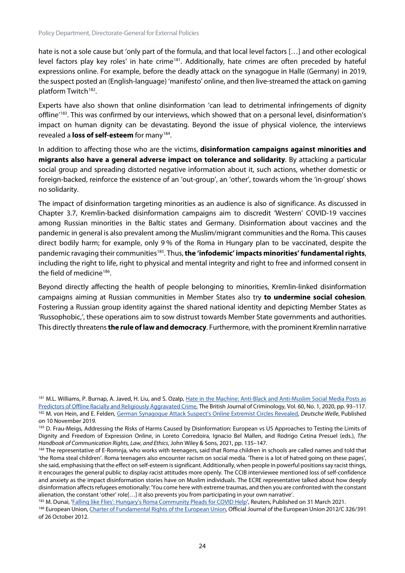hate is not a sole cause but 'only part of the formula, and that local level factors […] and other ecological level factors play key roles' in hate crime<sup>181</sup>. Additionally, hate crimes are often preceded by hateful expressions online. For example, before the deadly attack on the synagogue in Halle (Germany) in 2019, the suspect posted an (English-language) 'manifesto' online, and then live-streamed the attack on gaming platform Twitch<sup>[182](#page-34-1)</sup>.

Experts have also shown that online disinformation 'can lead to detrimental infringements of dignity offline<sup>'183</sup>. This was confirmed by our interviews, which showed that on a personal level, disinformation's impact on human dignity can be devastating. Beyond the issue of physical violence, the interviews revealed a **loss of self-esteem** for many<sup>[184](#page-34-3)</sup>.

In addition to affecting those who are the victims, **disinformation campaigns against minorities and migrants also have a general adverse impact on tolerance and solidarity**. By attacking a particular social group and spreading distorted negative information about it, such actions, whether domestic or foreign-backed, reinforce the existence of an 'out-group', an 'other', towards whom the 'in-group' shows no solidarity.

The impact of disinformation targeting minorities as an audience is also of significance. As discussed in Chapter 3.7, Kremlin-backed disinformation campaigns aim to discredit 'Western' COVID-19 vaccines among Russian minorities in the Baltic states and Germany. Disinformation about vaccines and the pandemic in general is also prevalent among the Muslim/migrant communities and the Roma. This causes direct bodily harm; for example, only 9 % of the Roma in Hungary plan to be vaccinated, despite the pandemic ravaging their communities[185](#page-34-4). Thus, **the 'infodemic' impacts minorities' fundamental rights**, including the right to life, right to physical and mental integrity and right to free and informed consent in the field of medicine<sup>[186](#page-34-5)</sup>.

Beyond directly affecting the health of people belonging to minorities, Kremlin-linked disinformation campaigns aiming at Russian communities in Member States also try **to undermine social cohesion**. Fostering a Russian group identity against the shared national identity and depicting Member States as 'Russophobic,', these operations aim to sow distrust towards Member State governments and authorities. This directly threatens **the rule of law and democracy**. Furthermore, with the prominent Kremlin narrative

<span id="page-34-4"></span>185 M. Dunai, ['Falling like Flies': Hungary's Roma Community Pleads for COVID Help',](https://www.reuters.com/article/us-health-coronavirus-hungary-roma-idUSKBN2BN2R7) Reuters, Published on 31 March 2021.

<span id="page-34-0"></span><sup>181</sup> M.L. Williams, P. Burnap, A. Javed, H. Liu, and S. Ozalp, Hate in the Machine: Anti-Black and Anti-Muslim Social Media Posts as [Predictors of Offline Racially and Religiously Aggravated Crime,](https://doi.org/10.1093/bjc/azz049) The British Journal of Criminology, Vol. 60, No. 1, 2020, pp. 93–117. <sup>182</sup> M. von Hein, and E. Felden[, German Synagogue Attack Suspect's Online Extremist Circles Revealed,](https://www.dw.com/en/german-synagogue-attack-suspects-online-extremist-circles-revealed/a-50803835) *Deutsche Welle*, Published on 10 November 2019.

<span id="page-34-2"></span><span id="page-34-1"></span><sup>&</sup>lt;sup>183</sup> D. Frau-Meigs, Addressing the Risks of Harms Caused by Disinformation: European vs US Approaches to Testing the Limits of Dignity and Freedom of Expression Online, in Loreto Corredoira, Ignacio Bel Mallen, and Rodrigo Cetina Presuel (eds.), *The Handbook of Communication Rights, Law, and Ethics*, John Wiley & Sons, 2021, pp. 135–147.

<span id="page-34-3"></span><sup>184</sup> The representative of E-Romnja, who works with teenagers, said that Roma children in schools are called names and told that 'the Roma steal children'. Roma teenagers also encounter racism on social media. 'There is a lot of hatred going on these pages', she said, emphasising that the effect on self-esteem is significant. Additionally, when people in powerful positions say racist things, it encourages the general public to display racist attitudes more openly. The CCIB interviewee mentioned loss of self-confidence and anxiety as the impact disinformation stories have on Muslim individuals. The ECRE representative talked about how deeply disinformation affects refugees emotionally: 'You come here with extreme traumas, and then you are confronted with the constant alienation, the constant 'other' role[…] it also prevents you from participating in your own narrative'.

<span id="page-34-5"></span><sup>186</sup> European Union[, Charter of Fundamental Rights of the European Union,](https://eur-lex.europa.eu/legal-content/EN/TXT/?uri=CELEX%3A12012P%2FTXT) Official Journal of the European Union 2012/C 326/391 of 26 October 2012.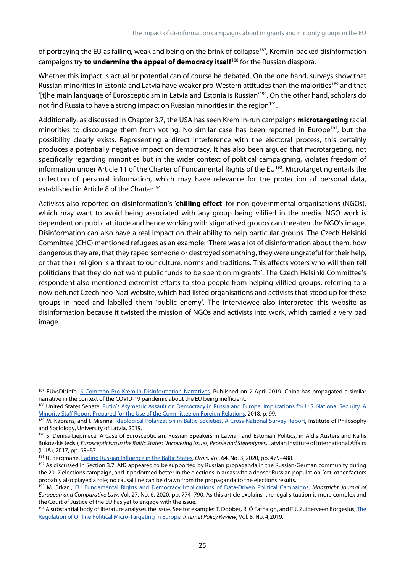of portraying the EU as failing, weak and being on the brink of collapse<sup>187</sup>, Kremlin-backed disinformation campaigns try **to undermine the appeal of democracy itself**[188](#page-35-1) for the Russian diaspora.

Whether this impact is actual or potential can of course be debated. On the one hand, surveys show that Russian minorities in Estonia and Latvia have weaker pro-Western attitudes than the majorities<sup>[189](#page-35-2)</sup> and that '[t]he main language of Euroscepticism in Latvia and Estonia is Russian' [190.](#page-35-3) On the other hand, scholars do not find Russia to have a strong impact on Russian minorities in the region<sup>191</sup>.

Additionally, as discussed in Chapter 3.7, the USA has seen Kremlin-run campaigns **microtargeting** racial minorities to discourage them from voting. No similar case has been reported in Europe<sup>192</sup>, but the possibility clearly exists. Representing a direct interference with the electoral process, this certainly produces a potentially negative impact on democracy. It has also been argued that microtargeting, not specifically regarding minorities but in the wider context of political campaigning, violates freedom of information under Article 11 of the Charter of Fundamental Rights of the EU<sup>193</sup>. Microtargeting entails the collection of personal information, which may have relevance for the protection of personal data, established in Article 8 of the Charter<sup>[194](#page-35-7)</sup>.

Activists also reported on disinformation's '**chilling effect**' for non-governmental organisations (NGOs), which may want to avoid being associated with any group being vilified in the media. NGO work is dependent on public attitude and hence working with stigmatised groups can threaten the NGO's image. Disinformation can also have a real impact on their ability to help particular groups. The Czech Helsinki Committee (CHC) mentioned refugees as an example: 'There was a lot of disinformation about them, how dangerous they are, that they raped someone or destroyed something, they were ungrateful for their help, or that their religion is a threat to our culture, norms and traditions. This affects voters who will then tell politicians that they do not want public funds to be spent on migrants'. The Czech Helsinki Committee's respondent also mentioned extremist efforts to stop people from helping vilified groups, referring to a now-defunct Czech neo-Nazi website, which had listed organisations and activists that stood up for these groups in need and labelled them 'public enemy'. The interviewee also interpreted this website as disinformation because it twisted the mission of NGOs and activists into work, which carried a very bad image.

<span id="page-35-0"></span><sup>&</sup>lt;sup>187</sup> EUvsDisinfo, [5 Common Pro-Kremlin Disinformation Narratives,](https://euvsdisinfo.eu/5-common-pro-kremlin-disinformation-narratives/) Published on 2 April 2019. China has propagated a similar narrative in the context of the COVID-19 pandemic about the EU being inefficient.

<span id="page-35-1"></span><sup>188</sup> United States Senate, Putin's Asymetric Assault on Democracy in Russia and Europe: Implications for U.S. National Security. A [Minority Staff Report Prepared for the Use of the Committee on Foreign Relations,](https://www.foreign.senate.gov/imo/media/doc/FinalRR.pdf) 2018, p. 99.

<span id="page-35-2"></span><sup>189</sup> M. Kaprāns, and I. Mierina, *Ideological Polarization in Baltic Societies. A Cross-National Survey Report*, Institute of Philosophy and Sociology, University of Latvia, 2019.

<span id="page-35-3"></span><sup>190</sup> S. Denisa-Liepniece, A Case of Euroscepticism: Russian Speakers in Latvian and Estonian Politics, in Aldis Austers and Kārlis Bukovskis (eds.), *Euroscepticism in the Baltic States: Uncovering Issues, People and Stereotypes*, Latvian Institute of International Affairs (LLIA), 2017, pp. 69–87.

<span id="page-35-4"></span><sup>191</sup> U. Bergmane[, Fading Russian Influence in the Baltic](https://www.ncbi.nlm.nih.gov/pmc/articles/PMC7329289/) [States,](https://www.ncbi.nlm.nih.gov/pmc/articles/PMC7329289/) *Orbis*, Vol. 64, No. 3, 2020, pp. 479–488.

<span id="page-35-5"></span><sup>&</sup>lt;sup>192</sup> As discussed in Section 3.7, AfD appeared to be supported by Russian propaganda in the Russian-German community during the 2017 elections campaign, and it performed better in the elections in areas with a denser Russian population. Yet, other factors probably also played a role; no causal line can be drawn from the propaganda to the elections results.

<span id="page-35-6"></span><sup>193</sup> M. Brkan., [EU Fundamental Rights and Democracy Implications of Data-Driven Political Campaigns,](https://doi.org/10.1177/1023263X20982960) *Maastricht Journal of European and Comparative Law*, Vol. 27, No. 6, 2020, pp. 774–790. As this article explains, the legal situation is more complex and the Court of Justice of the EU has yet to engage with the issue.

<span id="page-35-7"></span> $194$  A substantial body of literature analyses the issue. See for example: T. Dobber, R. Ó Fathaigh, and F.J. Zuiderveen Borgesius, The [Regulation of Online Political Micro-Targeting in Europe,](https://policyreview.info/articles/analysis/regulation-online-political-micro-targeting-europe) *Internet Policy Review*, Vol. 8, No. 4,2019.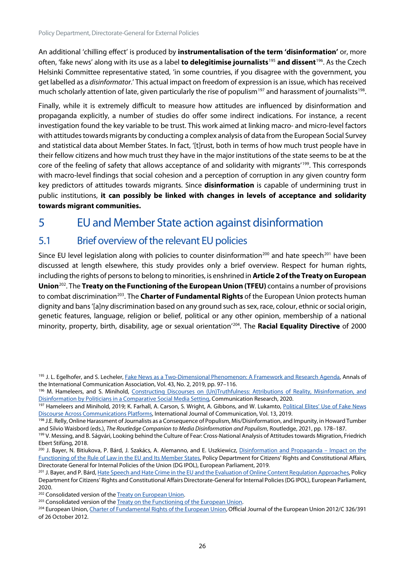An additional 'chilling effect' is produced by **instrumentalisation of the term 'disinformation'** or, more often, 'fake news' along with its use as a label **to delegitimise journalists**[195](#page-36-2) **and dissent**[196.](#page-36-3) As the Czech Helsinki Committee representative stated, 'in some countries, if you disagree with the government, you get labelled as a *disinformator*.' This actual impact on freedom of expression is an issue, which has received much scholarly attention of late, given particularly the rise of populism<sup>[197](#page-36-4)</sup> and harassment of journalists<sup>[198](#page-36-5)</sup>.

Finally, while it is extremely difficult to measure how attitudes are influenced by disinformation and propaganda explicitly, a number of studies do offer some indirect indications. For instance, a recent investigation found the key variable to be trust. This work aimed at linking macro- and micro-level factors with attitudes towards migrants by conducting a complex analysis of data from the European Social Survey and statistical data about Member States. In fact, '[t]rust, both in terms of how much trust people have in their fellow citizens and how much trust they have in the major institutions of the state seems to be at the core of the feeling of safety that allows acceptance of and solidarity with migrants<sup>'[199](#page-36-6)</sup>. This corresponds with macro-level findings that social cohesion and a perception of corruption in any given country form key predictors of attitudes towards migrants. Since **disinformation** is capable of undermining trust in public institutions, **it can possibly be linked with changes in levels of acceptance and solidarity towards migrant communities.**

# <span id="page-36-0"></span>5 EU and Member State action against disinformation

# <span id="page-36-1"></span>5.1 Brief overview of the relevant EU policies

Since EU level legislation along with policies to counter disinformation<sup>[200](#page-36-7)</sup> and hate speech<sup>[201](#page-36-8)</sup> have been discussed at length elsewhere, this study provides only a brief overview. Respect for human rights, including the rights of persons to belong to minorities, is enshrined in **Article 2 of the Treaty on European Union**[202.](#page-36-9) The **Treaty on the Functioning of the European Union (TFEU)** contains a number of provisions to combat discrimination<sup>203</sup>. The **Charter of Fundamental Rights** of the European Union protects human dignity and bans '[a]ny discrimination based on any ground such as sex, race, colour, ethnic or social origin, genetic features, language, religion or belief, political or any other opinion, membership of a national minority, property, birth, disability, age or sexual orientation' [204.](#page-36-11) The **Racial Equality Directive** of 2000

<span id="page-36-2"></span><sup>195</sup> J. L. Egelhofer, and S. Lecheler[, Fake News as a Two-Dimensional Phenomenon: A Framework and Research Agenda,](https://doi.org/10.1080/23808985.2019.1602782) Annals of the International Communication Association, Vol. 43, No. 2, 2019, pp. 97–116.

<span id="page-36-3"></span><sup>196</sup> M. Hameleers, and S. Minihold, Constructing Discourses on (Un)Truthfulness: Attributions of Reality, Misinformation, and [Disinformation by Politicians in a Comparative Social Media Setting,](https://doi.org/10.1177/0093650220982762) Communication Research, 2020.

<span id="page-36-4"></span><sup>197</sup> Hameleers and Minihold, 2019; K. Farhall, A. Carson, S. Wright, A. Gibbons, and W. Lukamto, Political Elites' Use of Fake News [Discourse Across Communications Platforms,](https://ijoc.org/index.php/ijoc/article/view/10677) International Journal of Communication, Vol. 13, 2019.

<span id="page-36-5"></span><sup>&</sup>lt;sup>198</sup> J.E. Relly, Online Harassment of Journalists as a Consequence of Populism, Mis/Disinformation, and Impunity, in Howard Tumber and Silvio Waisbord (eds.), The Routledge Companion to Media Disinformation and Populism, Routledge, 2021, pp. 178–187.<br><sup>199</sup> V. Messing, and B. Ságvári, Looking behind the Culture of Fear: Cross-National Analysis of Attit

<span id="page-36-6"></span>Ebert Stifüng, 2018.

<span id="page-36-7"></span><sup>&</sup>lt;sup>200</sup> J. Bayer, N. Bitiukova, P. Bárd, J. Szakács, A. Alemanno, and E. Uszkiewicz, [Disinformation and Propaganda –](https://www.europarl.europa.eu/RegData/etudes/STUD/2019/608864/IPOL_STU(2019)608864_EN.pdf) Impact on the [Functioning of the Rule of Law in the EU and Its Member States,](https://www.europarl.europa.eu/RegData/etudes/STUD/2019/608864/IPOL_STU(2019)608864_EN.pdf) Policy Department for Citizens' Rights and Constitutional Affairs, Directorate General for Internal Policies of the Union (DG IPOL), European Parliament, 2019.

<span id="page-36-8"></span><sup>201</sup> J. Bayer, and P. Bárd[, Hate Speech and Hate Crime in the EU and the Evaluation of Online Content Regulation Approaches,](https://www.europarl.europa.eu/thinktank/en/document.html?reference=IPOL_STU(2020)655135) Policy Department for Citizens' Rights and Constitutional Affairs Directorate-General for Internal Policies (DG IPOL), European Parliament, 2020.

<span id="page-36-9"></span><sup>202</sup> Consolidated version of the **Treaty on European Union**.

<span id="page-36-10"></span><sup>&</sup>lt;sup>203</sup> Consolidated version of the **Treaty on the Functioning of the European Union**.

<span id="page-36-11"></span><sup>&</sup>lt;sup>204</sup> European Union[, Charter of Fundamental Rights of the European Union,](https://eur-lex.europa.eu/legal-content/EN/TXT/?uri=CELEX%3A12012P%2FTXT) Official Journal of the European Union 2012/C 326/391 of 26 October 2012.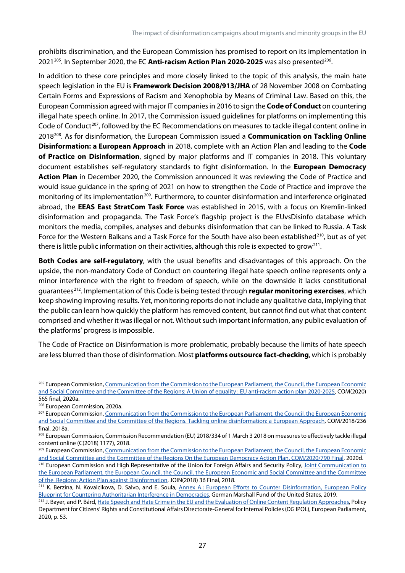prohibits discrimination, and the European Commission has promised to report on its implementation in 2021<sup>205</sup>. In September 2020, the EC **Anti-racism Action Plan 2020-2025** was also presented<sup>206</sup>.

In addition to these core principles and more closely linked to the topic of this analysis, the main hate speech legislation in the EU is **Framework Decision 2008/913/JHA** of 28 November 2008 on Combating Certain Forms and Expressions of Racism and Xenophobia by Means of Criminal Law. Based on this, the European Commission agreed with major IT companies in 2016 to sign the **Code of Conduct** on countering illegal hate speech online. In 2017, the Commission issued guidelines for platforms on implementing this Code of Conduct<sup>207</sup>, followed by the EC Recommendations on measures to tackle illegal content online in 2018[208.](#page-37-3) As for disinformation, the European Commission issued a **Communication on Tackling Online Disinformation: a European Approach** in 2018, complete with an Action Plan and leading to the **Code of Practice on Disinformation**, signed by major platforms and IT companies in 2018. This voluntary document establishes self-regulatory standards to fight disinformation. In the **European Democracy Action Plan** in December 2020, the Commission announced it was reviewing the Code of Practice and would issue guidance in the spring of 2021 on how to strengthen the Code of Practice and improve the monitoring of its implementation<sup>209</sup>. Furthermore, to counter disinformation and interference originated abroad, the **EEAS East StratCom Task Force** was established in 2015, with a focus on Kremlin-linked disinformation and propaganda. The Task Force's flagship project is the EUvsDisinfo database which monitors the media, compiles, analyses and debunks disinformation that can be linked to Russia. A Task Force for the Western Balkans and a Task Force for the South have also been established<sup>210</sup>, but as of yet there is little public information on their activities, although this role is expected to grow<sup>211</sup>.

**Both Codes are self-regulatory**, with the usual benefits and disadvantages of this approach. On the upside, the non-mandatory Code of Conduct on countering illegal hate speech online represents only a minor interference with the right to freedom of speech, while on the downside it lacks constitutional guarantees[212.](#page-37-7) Implementation of this Code is being tested through **regular monitoring exercises**, which keep showing improving results. Yet, monitoring reports do not include any qualitative data, implying that the public can learn how quickly the platform has removed content, but cannot find out what that content comprised and whether it was illegal or not. Without such important information, any public evaluation of the platforms' progress is impossible.

The Code of Practice on Disinformation is more problematic, probably because the limits of hate speech are less blurred than those of disinformation. Most **platforms outsource fact-checking**, which is probably

<span id="page-37-0"></span><sup>&</sup>lt;sup>205</sup> European Commission, Communication from the Commission to the European Parliament, the Council, the European Economic [and Social Committee and the Committee of the Regions: A Union of equality : EU anti-racism action plan 2020-2025,](https://eur-lex.europa.eu/legal-content/EN/TXT/HTML/?uri=CELEX:52020DC0565&rid=6) COM(2020) 565 final, 2020a.

<span id="page-37-1"></span><sup>206</sup> European Commission, 2020a.

<span id="page-37-2"></span><sup>&</sup>lt;sup>207</sup> European Commission, Communication from the Commission to the European Parliament, the Council, the European Economic [and Social Committee and the Committee of the Regions. Tackling](https://eur-lex.europa.eu/legal-content/EN/TXT/?uri=CELEX%3A52018DC0236) online disinformation: a European Approach, COM/2018/236 final, 2018a.

<span id="page-37-3"></span><sup>&</sup>lt;sup>208</sup> European Commission, Commission Recommendation (EU) 2018/334 of 1 March 3 2018 on measures to effectively tackle illegal content online (C(2018) 1177), 2018.

<span id="page-37-4"></span><sup>&</sup>lt;sup>209</sup> European Commission, Communication from the Commission to the European Parliament, the Council, the European Economic [and Social Committee and the Committee of the Regions On the European Democracy Action Plan. COM/2020/790 Final.](https://eur-lex.europa.eu/legal-content/EN/TXT/?uri=COM%3A2020%3A790%3AFIN&qid=1607079662423) 2020d.

<span id="page-37-5"></span><sup>&</sup>lt;sup>210</sup> European Commission and High Representative of the Union for Foreign Affairs and Security Policy, Joint Communication to [the European Parliament, the European Council, the Council, the European Economic and Social Committee and the Committee](https://eeas.europa.eu/sites/default/files/action_plan_against_disinformation.pdf)  [of the Regions: Action Plan against Disinformation.](https://eeas.europa.eu/sites/default/files/action_plan_against_disinformation.pdf) JOIN(2018) 36 Final, 2018.

<span id="page-37-6"></span><sup>&</sup>lt;sup>211</sup> K. Berzina, N. Kovalcikova, D. Salvo, and E. Soula, Annex A.: European Efforts to Counter Disinformation, European Policy [Blueprint for Countering Authoritarian Interference in Democracies,](https://www.jstor.org/stable/resrep21251.8.pdf) German Marshall Fund of the United States, 2019.

<span id="page-37-7"></span><sup>&</sup>lt;sup>212</sup> J. Bayer, and P. Bárd[, Hate Speech and Hate Crime in the EU and the Evaluation of Online Content Regulation Approaches,](https://www.europarl.europa.eu/thinktank/en/document.html?reference=IPOL_STU(2020)655135) Policy Department for Citizens' Rights and Constitutional Affairs Directorate-General for Internal Policies (DG IPOL), European Parliament, 2020, p. 53.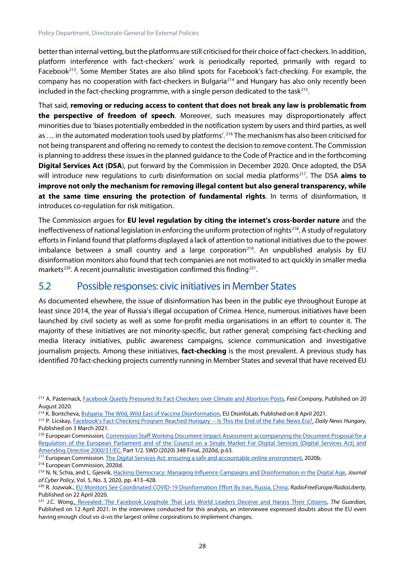better than internal vetting, but the platforms are still criticised for their choice of fact-checkers. In addition, platform interference with fact-checkers' work is periodically reported, primarily with regard to Facebook[213.](#page-38-1) Some Member States are also blind spots for Facebook's fact-checking. For example, the company has no cooperation with fact-checkers in Bulgaria<sup>[214](#page-38-2)</sup> and Hungary has also only recently been included in the fact-checking programme, with a single person dedicated to the task<sup>215</sup>.

That said, **removing or reducing access to content that does not break any law is problematic from the perspective of freedom of speech**. Moreover, such measures may disproportionately affect minorities due to 'biases potentially embedded in the notification system by users and third parties, as well as ... in the automated moderation tools used by platforms'.<sup>[216](#page-38-4)</sup> The mechanism has also been criticised for not being transparent and offering no remedy to contest the decision to remove content. The Commission is planning to address these issues in the planned guidance to the Code of Practice and in the forthcoming **Digital Services Act (DSA**), put forward by the Commission in December 2020. Once adopted, the DSA will introduce new regulations to curb disinformation on social media platforms<sup>217</sup>. The DSA **aims to improve not only the mechanism for removing illegal content but also general transparency, while at the same time ensuring the protection of fundamental rights**. In terms of disinformation, it introduces co-regulation for risk mitigation.

The Commission argues for **EU level regulation by citing the internet's cross-border nature** and the ineffectiveness of national legislation in enforcing the uniform protection of rights<sup>[218](#page-38-6)</sup>. A study of regulatory efforts in Finland found that platforms displayed a lack of attention to national initiatives due to the power imbalance between a small country and a large corporation<sup>219</sup>. An unpublished analysis by EU disinformation monitors also found that tech companies are not motivated to act quickly in smaller media markets<sup>220</sup>. A recent journalistic investigation confirmed this finding<sup>[221](#page-38-9)</sup>.

### <span id="page-38-0"></span>5.2 Possible responses: civic initiatives in Member States

As documented elsewhere, the issue of disinformation has been in the public eye throughout Europe at least since 2014, the year of Russia's illegal occupation of Crimea. Hence, numerous initiatives have been launched by civil society as well as some for-profit media organisations in an effort to counter it. The majority of these initiatives are not minority-specific, but rather general; comprising fact-checking and media literacy initiatives, public awareness campaigns, science communication and investigative journalism projects. Among these initiatives, **fact-checking** is the most prevalent. A previous study has identified 70 fact-checking projects currently running in Member States and several that have received EU

<span id="page-38-1"></span><sup>213</sup> A. Pasternack, [Facebook Quietly Pressured Its Fact-Checkers over Climate and Abortion Posts,](https://www.fastcompany.com/90538655/facebook-is-quietly-pressuring-its-independent-fact-checkers-to-change-their-rulings) *Fast Company*, Published on 20 August 2020.

<span id="page-38-2"></span><sup>&</sup>lt;sup>214</sup> K. Bontcheva[, Bulgaria: The Wild, Wild East of Vaccine Disinformation,](https://www.disinfo.eu/publications/bulgaria:-the-wild-wild-east-of-vaccine-disinformation/) EU DisinfoLab, Published on 8 April 2021.

<span id="page-38-3"></span><sup>215</sup> P. Licskay[, Facebook's Fact-Checking Program Reached Hungary --](https://dailynewshungary.com/facebooks-fact-checking-program-launched-a-one-man-operation-in-hungary/) Is This the End of the Fake News Era?, *Daily News Hungary*, Published on 3 March 2021.

<span id="page-38-4"></span><sup>&</sup>lt;sup>216</sup> European Commission, Commission Staff Working Document Impact Assessment accompanying the Document Proposal for a [Regulation of the European Parliament and of the Council on a Single Market For Digital Services \(Digital Services Act\) and](https://eur-lex.europa.eu/legal-content/EN/TXT/?uri=SWD:2020:348:FIN)  [Amending Directive 2000/31/EC.](https://eur-lex.europa.eu/legal-content/EN/TXT/?uri=SWD:2020:348:FIN) Part 1/2. SWD (2020) 348 Final, 2020d, p.63.

<span id="page-38-5"></span><sup>&</sup>lt;sup>217</sup> European Commission[. The Digital Services Act: ensuring a safe and accountable online environment,](https://ec.europa.eu/info/strategy/priorities-2019-2024/europe-fit-digital-age/digital-services-act-ensuring-safe-and-accountable-online-environment_en) 2020b.

<span id="page-38-6"></span><sup>218</sup> European Commission, 2020d.

<span id="page-38-7"></span><sup>219</sup> N, N, Schia, and L. Gjesvik[, Hacking Democracy: Managing Influence Campaigns and Disinformation in the Digital Age,](https://doi.org/10.1080/23738871.2020.1820060) *Journal of Cyber Policy*, Vol. 5, No. 3, 2020, pp. 413–428.

<span id="page-38-8"></span><sup>220</sup> R. Jozwiak.[, EU Monitors See Coordinated COVID-19 Disinformation Effort By Iran, Russia, China,](https://www.rferl.org/a/eu-monitors-sees-coordinated-covid-19-disinformation-effort-by-iran-russia-china/30570938.html) *RadioFreeEurope/RadioLiberty*, Published on 22 April 2020.

<span id="page-38-9"></span><sup>221</sup> J.C. Wong., Revealed: [The Facebook Loophole That Lets World Leaders Deceive and Harass Their Citizens,](http://www.theguardian.com/technology/2021/apr/12/facebook-loophole-state-backed-manipulation) *The Guardian*, Published on 12 April 2021. In the interviews conducted for this analysis, an interviewee expressed doubts about the EU even having enough clout *vis-à-vis* the largest online corporations to implement changes.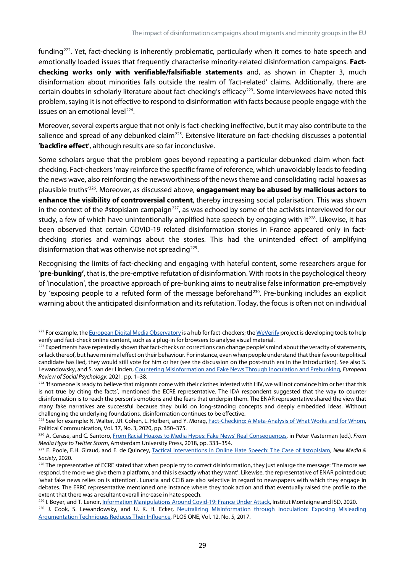funding[222.](#page-39-0) Yet, fact-checking is inherently problematic, particularly when it comes to hate speech and emotionally loaded issues that frequently characterise minority-related disinformation campaigns. **Factchecking works only with verifiable/falsifiable statements** and, as shown in Chapter 3, much disinformation about minorities falls outside the realm of 'fact-related' claims. Additionally, there are certain doubts in scholarly literature about fact-checking's efficacy<sup>[223](#page-39-1)</sup>. Some interviewees have noted this problem, saying it is not effective to respond to disinformation with facts because people engage with the issues on an emotional level<sup>224</sup>.

Moreover, several experts argue that not only is fact-checking ineffective, but it may also contribute to the salience and spread of any debunked claim<sup>[225](#page-39-3)</sup>. Extensive literature on fact-checking discusses a potential '**backfire effect**', although results are so far inconclusive.

Some scholars argue that the problem goes beyond repeating a particular debunked claim when factchecking. Fact-checkers 'may reinforce the specific frame of reference, which unavoidably leads to feeding the news wave, also reinforcing the newsworthiness of the news theme and consolidating racial hoaxes as plausible truths' [226](#page-39-4). Moreover, as discussed above, **engagement may be abused by malicious actors to enhance the visibility of controversial content**, thereby increasing social polarisation. This was shown in the context of the #stopislam campaign<sup>227</sup>, as was echoed by some of the activists interviewed for our study, a few of which have unintentionally amplified hate speech by engaging with it<sup>[228](#page-39-6)</sup>. Likewise, it has been observed that certain COVID-19 related disinformation stories in France appeared only in factchecking stories and warnings about the stories. This had the unintended effect of amplifying disinformation that was otherwise not spreading<sup>[229](#page-39-7)</sup>.

Recognising the limits of fact-checking and engaging with hateful content, some researchers argue for '**pre-bunking'**, that is, the pre-emptive refutation of disinformation. With roots in the psychological theory of 'inoculation', the proactive approach of pre-bunking aims to neutralise false information pre-emptively by 'exposing people to a refuted form of the message beforehand<sup>230</sup>. Pre-bunking includes an explicit warning about the anticipated disinformation and its refutation. Today, the focus is often not on individual

<span id="page-39-4"></span><sup>226</sup> A. Cerase, and C. Santoro[, From Racial Hoaxes to Media Hypes: Fake News' Real Consequences,](https://www.jstor.org/stable/j.ctt21215m0.20) in Peter Vasterman (ed.), *From Media Hype to Twitter Storm*, Amsterdam University Press, 2018, pp. 333–354.

<span id="page-39-0"></span><sup>&</sup>lt;sup>222</sup> For example, th[e European Digital Media Observatory](https://edmo.eu/) is a hub for fact-checkers; th[e WeVerify](https://weverify.eu/) project is developing tools to help verify and fact-check online content, such as a plug-in for browsers to analyse visual material.

<span id="page-39-1"></span><sup>&</sup>lt;sup>223</sup> Experiments have repeatedly shown that fact-checks or corrections can change people's mind about the veracity of statements, or lack thereof, but have minimal effect on their behaviour. For instance, even when people understand that their favourite political candidate has lied, they would still vote for him or her (see the discussion on the post-truth era in the Introduction). See also S. Lewandowsky, and S. van der Linden[, Countering Misinformation and Fake News Through Inoculation and Prebunking,](https://doi.org/10.1080/10463283.2021.1876983) *European Review of Social Psychology*, 2021, pp. 1–38.

<span id="page-39-2"></span><sup>&</sup>lt;sup>224</sup> 'If someone is ready to believe that migrants come with their clothes infested with HIV, we will not convince him or her that this is not true by citing the facts', mentioned the ECRE representative. The IDA respondent suggested that the way to counter disinformation is to reach the person's emotions and the fears that underpin them. The ENAR representative shared the view that many fake narratives are successful because they build on long-standing concepts and deeply embedded ideas. Without challenging the underlying foundations, disinformation continues to be effective.

<span id="page-39-3"></span><sup>&</sup>lt;sup>225</sup> See for example: N. Walter, J.R. Cohen, L. Holbert, and Y. Morag, **Fact-Checking: A Meta-Analysis of What Works and for Whom**, Political Communication, Vol. 37, No. 3, 2020, pp. 350–375.

<span id="page-39-5"></span><sup>227</sup> E. Poole, E.H. Giraud, and E. de Quincey, [Tactical Interventions in Online Hate Speech: The Case of #stopIslam,](https://doi.org/10.1177/1461444820903319) *New Media & Society*, 2020.

<span id="page-39-6"></span><sup>&</sup>lt;sup>228</sup> The representative of ECRE stated that when people try to correct disinformation, they just enlarge the message: 'The more we respond, the more we give them a platform, and this is exactly what they want'. Likewise, the representative of ENAR pointed out: 'what fake news relies on is attention'. Lunaria and CCIB are also selective in regard to newspapers with which they engage in debates. The ERRC representative mentioned one instance where they took action and that eventually raised the profile to the extent that there was a resultant overall increase in hate speech.

<span id="page-39-8"></span><span id="page-39-7"></span><sup>&</sup>lt;sup>229</sup> I. Boyer, and T. Lenoir, *Information Manipulations Around Covid-19: France Under Attack, Institut Montaigne and ISD, 2020.* <sup>230</sup> J. Cook, S. Lewandowsky, and U. K. H. Ecker, Neutralizing Misinformation through Inoculation: Exposing Misleading [Argumentation Techniques Reduces Their Influence,](https://journals.plos.org/plosone/article?id=10.1371/journal.pone.0175799) PLOS ONE, Vol. 12, No. 5, 2017.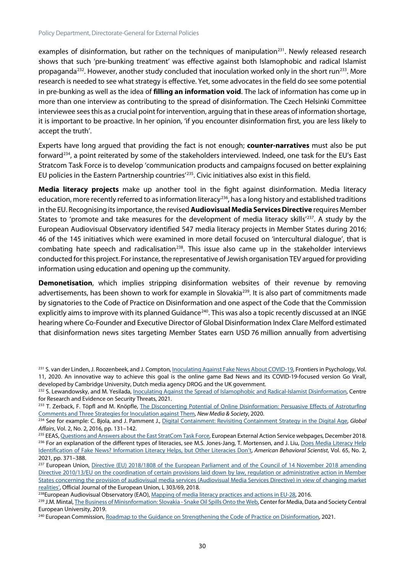examples of disinformation, but rather on the techniques of manipulation<sup>231</sup>. Newly released research shows that such 'pre-bunking treatment' was effective against both Islamophobic and radical Islamist propaganda<sup>232</sup>. However, another study concluded that inoculation worked only in the short run<sup>233</sup>. More research is needed to see what strategy is effective. Yet, some advocates in the field do see some potential in pre-bunking as well as the idea of **filling an information void**. The lack of information has come up in more than one interview as contributing to the spread of disinformation. The Czech Helsinki Committee interviewee sees this as a crucial point for intervention, arguing that in these areas of information shortage, it is important to be proactive. In her opinion, 'if you encounter disinformation first, you are less likely to accept the truth'.

Experts have long argued that providing the fact is not enough; **counter-narratives** must also be put forward<sup>[234](#page-40-3)</sup>, a point reiterated by some of the stakeholders interviewed. Indeed, one task for the EU's East Stratcom Task Force is to develop 'communication products and campaigns focused on better explaining EU policies in the Eastern Partnership countries'[235.](#page-40-4) Civic initiatives also exist in this field.

**Media literacy projects** make up another tool in the fight against disinformation. Media literacy education, more recently referred to as information literacy<sup>[236](#page-40-5)</sup>, has a long history and established traditions in the EU. Recognising its importance, the revised **Audiovisual Media Services Directive** requires Member States to 'promote and take measures for the development of media literacy skills<sup>'237</sup>. A study by the European Audiovisual Observatory identified 547 media literacy projects in Member States during 2016; 46 of the 145 initiatives which were examined in more detail focused on 'intercultural dialogue', that is combating hate speech and radicalisation<sup>[238](#page-40-7)</sup>. This issue also came up in the stakeholder interviews conducted for this project. For instance, the representative of Jewish organisation TEV argued for providing information using education and opening up the community.

**Demonetisation**, which implies stripping disinformation websites of their revenue by removing advertisements, has been shown to work for example in Slovakia<sup>239</sup>. It is also part of commitments made by signatories to the Code of Practice on Disinformation and one aspect of the Code that the Commission explicitly aims to improve with its planned Guidance<sup>[240](#page-40-9)</sup>. This was also a topic recently discussed at an INGE hearing where Co-Founder and Executive Director of Global Disinformation Index Clare Melford estimated that disinformation news sites targeting Member States earn USD 76 million annually from advertising

<span id="page-40-0"></span><sup>&</sup>lt;sup>231</sup> S. van der Linden, J. Roozenbeek, and J. Compton, <u>Inoculating Against Fake News About COVID-19</u>, Frontiers in Psychology, Vol. 11, 2020. An innovative way to achieve this goal is the online game Bad News and its COVID-19-focused version Go Viral!, developed by Cambridge University, Dutch media agency DROG and the UK government.

<span id="page-40-1"></span><sup>&</sup>lt;sup>232</sup> S. Lewandowsky, and M. Yesilada, *Inoculating Against the Spread of Islamophobic and Radical-Islamist Disinformation*, Centre for Research and Evidence on Security Threats, 2021.

<span id="page-40-2"></span><sup>&</sup>lt;sup>233</sup> T. Zerback, F. Töpfl and M. Knöpfle, *The Disconcerting Potential of Online Disinformation: Persuasive Effects of Astroturfing* [Comments and Three Strategies for Inoculation against Them,](https://doi.org/10.1177/1461444820908530) *New Media & Society*, 2020.

<span id="page-40-3"></span><sup>234</sup> See for example: C. Bjola, and J. Pamment J., [Digital Containment: Revisiting Containment Strategy in the Digital Age,](https://doi.org/10.1080/23340460.2016.1182244) *Global Affairs*, Vol. 2, No. 2, 2016, pp. 131–142.

<span id="page-40-5"></span><span id="page-40-4"></span><sup>&</sup>lt;sup>235</sup> EEAS[, Questions and Answers about the East StratCom Task Force,](https://eeas.europa.eu/headquarters/headquarters-homepage/2116/questions-and-answers-about-east-stratcom-task-force_en) European External Action Service webpages, December 2018. <sup>236</sup> For an explanation of the different types of literacies, see M.S. Jones-Jang, T. Mortensen, and J. Liu, Does Media Literacy Help [Identification of Fake News? Information Literacy Helps, but Other Literacies Don't,](https://doi.org/10.1177/0002764219869406) *American Behavioral Scientist*, Vol. 65, No. 2, 2021, pp. 371–388.

<span id="page-40-6"></span><sup>&</sup>lt;sup>237</sup> European Union, Directive (EU) 2018/1808 of the European Parliament and of the Council of 14 November 2018 amending [Directive 2010/13/EU on the coordination of certain provisions laid down by law, regulation or administrative action in Member](https://eur-lex.europa.eu/eli/dir/2018/1808/oj%20https:/eur-lex.europa.eu/eli/dir/2018/1808/oj)  [States concerning the provision of audiovisual media services \(Audiovisual Media Services Directive\) in view of changing market](https://eur-lex.europa.eu/eli/dir/2018/1808/oj%20https:/eur-lex.europa.eu/eli/dir/2018/1808/oj)  [realities',](https://eur-lex.europa.eu/eli/dir/2018/1808/oj%20https:/eur-lex.europa.eu/eli/dir/2018/1808/oj) Official Journal of the European Union, L 303/69, 2018.

<span id="page-40-7"></span><sup>&</sup>lt;sup>238</sup>European Audiovisual Observatory (EAO)[, Mapping of media literacy practices and actions in EU-28,](https://op.europa.eu/en/publication-detail/-/publication/0a387a0a-3e5f-11ea-ba6e-01aa75ed71a1#document-info) 2016.

<span id="page-40-8"></span><sup>&</sup>lt;sup>239</sup> J.M. Mintal, [The Business of Minisnformation: Slovakia -](https://cmds.ceu.edu/business-misinformation-slovakia-snake-oil-spills-web) Snake Oil Spills Onto the Web, Center for Media, Data and Society Central European University, 2019.

<span id="page-40-9"></span><sup>&</sup>lt;sup>240</sup> European Commission[, Roadmap to the Guidance on Strengthening the Code of Practice on Disinformation,](https://ec.europa.eu/info/law/better-regulation/have-your-say/initiatives/12968-Guidance-on-tackling-disinformation-update-_en) 2021.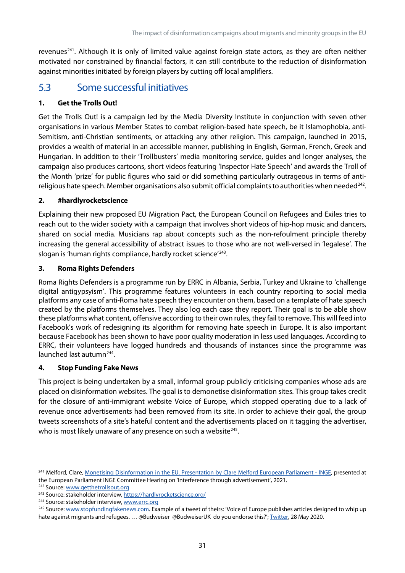revenues<sup>[241](#page-41-1)</sup>. Although it is only of limited value against foreign state actors, as they are often neither motivated nor constrained by financial factors, it can still contribute to the reduction of disinformation against minorities initiated by foreign players by cutting off local amplifiers.

# <span id="page-41-0"></span>5.3 Some successful initiatives

#### **1. Get the Trolls Out!**

Get the Trolls Out! is a campaign led by the Media Diversity Institute in conjunction with seven other organisations in various Member States to combat religion-based hate speech, be it Islamophobia, anti-Semitism, anti-Christian sentiments, or attacking any other religion. This campaign, launched in 2015, provides a wealth of material in an accessible manner, publishing in English, German, French, Greek and Hungarian. In addition to their 'Trollbusters' media monitoring service, guides and longer analyses, the campaign also produces cartoons, short videos featuring 'Inspector Hate Speech' and awards the Troll of the Month 'prize' for public figures who said or did something particularly outrageous in terms of antireligious hate speech. Member organisations also submit official complaints to authorities when needed $^{242}$  $^{242}$  $^{242}$ .

#### **2. #hardlyrocketscience**

Explaining their new proposed EU Migration Pact, the European Council on Refugees and Exiles tries to reach out to the wider society with a campaign that involves short videos of hip-hop music and dancers, shared on social media. Musicians rap about concepts such as the non-refoulment principle thereby increasing the general accessibility of abstract issues to those who are not well-versed in 'legalese'. The slogan is 'human rights compliance, hardly rocket science<sup>'[243](#page-41-3)</sup>.

#### **3. Roma Rights Defenders**

Roma Rights Defenders is a programme run by ERRC in Albania, Serbia, Turkey and Ukraine to 'challenge digital antigypsyism'. This programme features volunteers in each country reporting to social media platforms any case of anti-Roma hate speech they encounter on them, based on a template of hate speech created by the platforms themselves. They also log each case they report. Their goal is to be able show these platforms what content, offensive according to their own rules, they fail to remove. This will feed into Facebook's work of redesigning its algorithm for removing hate speech in Europe. It is also important because Facebook has been shown to have poor quality moderation in less used languages. According to ERRC, their volunteers have logged hundreds and thousands of instances since the programme was launched last autumn<sup>244</sup>.

#### **4. Stop Funding Fake News**

This project is being undertaken by a small, informal group publicly criticising companies whose ads are placed on disinformation websites. The goal is to demonetise disinformation sites. This group takes credit for the closure of anti-immigrant website Voice of Europe, which stopped operating due to a lack of revenue once advertisements had been removed from its site. In order to achieve their goal, the group tweets screenshots of a site's hateful content and the advertisements placed on it tagging the advertiser, who is most likely unaware of any presence on such a website $245$ .

<span id="page-41-2"></span><sup>242</sup> Source[: www.getthetrollsout.org](http://www.getthetrollsout.org/)

<span id="page-41-1"></span><sup>&</sup>lt;sup>241</sup> Melford, Clare[, Monetising Disinformation in the EU. Presentation by Clare Melford European Parliament -](https://www.europarl.europa.eu/cmsdata/232164/revised_Agenda%20item%207_Clare%20Melford_GDI_Deck_EU-Ad-funded_Disinfo.pdf) INGE, presented at the European Parliament INGE Committee Hearing on 'Interference through advertisement', 2021.

<span id="page-41-3"></span><sup>&</sup>lt;sup>243</sup> Source: stakeholder interview[, https://hardlyrocketscience.org/](https://hardlyrocketscience.org/)

<span id="page-41-4"></span><sup>&</sup>lt;sup>244</sup> Source: stakeholder interview[, www.errc.org](http://www.errc.org/)

<span id="page-41-5"></span><sup>&</sup>lt;sup>245</sup> Source[: www.stopfundingfakenews.com.](http://www.stopfundingfakenews.com/) Example of a tweet of theirs: 'Voice of Europe publishes articles designed to whip up hate against migrants and refugees. ... @Budweiser @BudweiserUK do you endorse this?'[; Twitter,](https://twitter.com/SFFakeNews/status/1265990595539095552) 28 May 2020.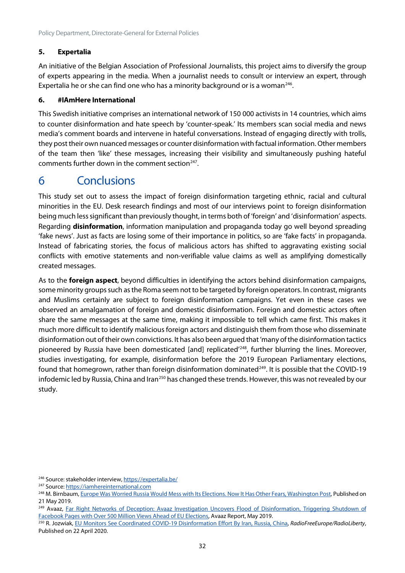#### **5. Expertalia**

An initiative of the Belgian Association of Professional Journalists, this project aims to diversify the group of experts appearing in the media. When a journalist needs to consult or interview an expert, through Expertalia he or she can find one who has a minority background or is a woman<sup>[246](#page-42-1)</sup>.

#### **6. #IAmHere International**

This Swedish initiative comprises an international network of 150 000 activists in 14 countries, which aims to counter disinformation and hate speech by 'counter-speak.' Its members scan social media and news media's comment boards and intervene in hateful conversations. Instead of engaging directly with trolls, they post their own nuanced messages or counter disinformation with factual information. Other members of the team then 'like' these messages, increasing their visibility and simultaneously pushing hateful comments further down in the comment section $247$ .

# <span id="page-42-0"></span>6 Conclusions

This study set out to assess the impact of foreign disinformation targeting ethnic, racial and cultural minorities in the EU. Desk research findings and most of our interviews point to foreign disinformation being much less significant than previously thought, in terms both of 'foreign' and 'disinformation' aspects. Regarding **disinformation**, information manipulation and propaganda today go well beyond spreading 'fake news'. Just as facts are losing some of their importance in politics, so are 'fake facts' in propaganda. Instead of fabricating stories, the focus of malicious actors has shifted to aggravating existing social conflicts with emotive statements and non-verifiable value claims as well as amplifying domestically created messages.

As to the **foreign aspect**, beyond difficulties in identifying the actors behind disinformation campaigns, some minority groups such as the Roma seem not to be targeted by foreign operators. In contrast, migrants and Muslims certainly are subject to foreign disinformation campaigns. Yet even in these cases we observed an amalgamation of foreign and domestic disinformation. Foreign and domestic actors often share the same messages at the same time, making it impossible to tell which came first. This makes it much more difficult to identify malicious foreign actors and distinguish them from those who disseminate disinformation out of their own convictions. It has also been argued that 'many of the disinformation tactics pioneered by Russia have been domesticated [and] replicated<sup>'248</sup>, further blurring the lines. Moreover, studies investigating, for example, disinformation before the 2019 European Parliamentary elections, found that homegrown, rather than foreign disinformation dominated $249$ . It is possible that the COVID-19 infodemic led by Russia, China and Iran<sup>[250](#page-42-5)</sup> has changed these trends. However, this was not revealed by our study.

<span id="page-42-1"></span><sup>246</sup> Source: stakeholder interview[, https://expertalia.be/](https://expertalia.be/)

<span id="page-42-2"></span><sup>&</sup>lt;sup>247</sup> Source[: https://iamhereinternational.com](https://iamhereinternational.com/)

<span id="page-42-3"></span><sup>&</sup>lt;sup>248</sup> M. Birnbaum[, Europe Was Worried Russia Would Mess with Its Elections. Now It Has Other Fears, Washington Post,](https://www.washingtonpost.com/world/europe/europe-was-worried-russia-would-mess-with-its-elections-now-it-has-other-fears/2019/05/20/d0c18552-77f1-11e9-a7bf-c8a43b84ee31_story.html) Published on 21 May 2019.

<span id="page-42-4"></span><sup>&</sup>lt;sup>249</sup> Avaaz, Far Right Networks of Deception: Avaaz Investigation Uncovers Flood of Disinformation, Triggering Shutdown of [Facebook Pages with Over 500 Million Views Ahead of EU Elections,](https://avaazimages.avaaz.org/EU%20Disinfo%20Report.pdf) Avaaz Report, May 2019.

<span id="page-42-5"></span><sup>250</sup> R. Jozwiak, [EU Monitors See Coordinated COVID-19 Disinformation Effort By Iran, Russia, China,](https://www.rferl.org/a/eu-monitors-sees-coordinated-covid-19-disinformation-effort-by-iran-russia-china/30570938.html) *RadioFreeEurope/RadioLiberty*, Published on 22 April 2020.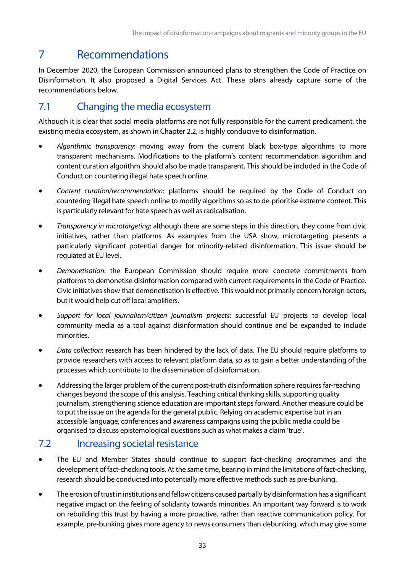# <span id="page-43-0"></span>7 Recommendations

In December 2020, the European Commission announced plans to strengthen the Code of Practice on Disinformation. It also proposed a Digital Services Act. These plans already capture some of the recommendations below.

# <span id="page-43-1"></span>7.1 Changing the media ecosystem

Although it is clear that social media platforms are not fully responsible for the current predicament, the existing media ecosystem, as shown in Chapter 2.2, is highly conducive to disinformation.

- *Algorithmic transparency*: moving away from the current black box-type algorithms to more transparent mechanisms. Modifications to the platform's content recommendation algorithm and content curation algorithm should also be made transparent. This should be included in the Code of Conduct on countering illegal hate speech online.
- *Content curation/recommendation*: platforms should be required by the Code of Conduct on countering illegal hate speech online to modify algorithms so as to de-prioritise extreme content. This is particularly relevant for hate speech as well as radicalisation.
- *Transparency in microtargeting*: although there are some steps in this direction, they come from civic initiatives, rather than platforms. As examples from the USA show, microtargeting presents a particularly significant potential danger for minority-related disinformation. This issue should be regulated at EU level.
- *Demonetisation*: the European Commission should require more concrete commitments from platforms to demonetise disinformation compared with current requirements in the Code of Practice. Civic initiatives show that demonetisation is effective. This would not primarily concern foreign actors, but it would help cut off local amplifiers.
- *Support for local journalism/citizen journalism projects*: successful EU projects to develop local community media as a tool against disinformation should continue and be expanded to include minorities.
- *Data collection*: research has been hindered by the lack of data. The EU should require platforms to provide researchers with access to relevant platform data, so as to gain a better understanding of the processes which contribute to the dissemination of disinformation.
- Addressing the larger problem of the current post-truth disinformation sphere requires far-reaching changes beyond the scope of this analysis. Teaching critical thinking skills, supporting quality journalism, strengthening science education are important steps forward. Another measure could be to put the issue on the agenda for the general public. Relying on academic expertise but in an accessible language, conferences and awareness campaigns using the public media could be organised to discuss epistemological questions such as what makes a claim 'true'.

# <span id="page-43-2"></span>7.2 Increasing societal resistance

- The EU and Member States should continue to support fact-checking programmes and the development of fact-checking tools. At the same time, bearing in mind the limitations of fact-checking, research should be conducted into potentially more effective methods such as pre-bunking.
- The erosion of trust in institutions and fellow citizens caused partially by disinformation has a significant negative impact on the feeling of solidarity towards minorities. An important way forward is to work on rebuilding this trust by having a more proactive, rather than reactive communication policy. For example, pre-bunking gives more agency to news consumers than debunking, which may give some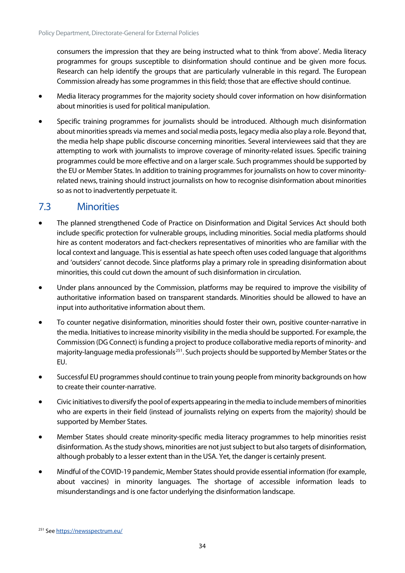consumers the impression that they are being instructed what to think 'from above'. Media literacy programmes for groups susceptible to disinformation should continue and be given more focus. Research can help identify the groups that are particularly vulnerable in this regard. The European Commission already has some programmes in thisfield; those that are effective should continue.

- Media literacy programmes for the majority society should cover information on how disinformation about minorities is used for political manipulation.
- Specific training programmes for journalists should be introduced. Although much disinformation about minorities spreads via memes and social media posts, legacy media also play a role. Beyond that, the media help shape public discourse concerning minorities. Several interviewees said that they are attempting to work with journalists to improve coverage of minority-related issues. Specific training programmes could be more effective and on a larger scale. Such programmes should be supported by the EU or Member States. In addition to training programmes for journalists on how to cover minorityrelated news, training should instruct journalists on how to recognise disinformation about minorities so as not to inadvertently perpetuate it.

### <span id="page-44-0"></span>7.3 Minorities

- The planned strengthened Code of Practice on Disinformation and Digital Services Act should both include specific protection for vulnerable groups, including minorities. Social media platforms should hire as content moderators and fact-checkers representatives of minorities who are familiar with the local context and language. This is essential as hate speech often uses coded language that algorithms and 'outsiders' cannot decode. Since platforms play a primary role in spreading disinformation about minorities, this could cut down the amount of such disinformation in circulation.
- Under plans announced by the Commission, platforms may be required to improve the visibility of authoritative information based on transparent standards. Minorities should be allowed to have an input into authoritative information about them.
- To counter negative disinformation, minorities should foster their own, positive counter-narrative in the media. Initiatives to increase minority visibility in the media should be supported. For example, the Commission (DG Connect) is funding a project to produce collaborative media reports of minority- and majority-language media professionals<sup>[251](#page-44-1)</sup>. Such projects should be supported by Member States or the EU.
- Successful EU programmes should continue to train young people from minority backgrounds on how to create their counter-narrative.
- Civic initiatives to diversify the pool of experts appearing in the media to include members of minorities who are experts in their field (instead of journalists relying on experts from the majority) should be supported by Member States.
- Member States should create minority-specific media literacy programmes to help minorities resist disinformation. As the study shows, minorities are not just subject to but also targets of disinformation, although probably to a lesser extent than in the USA. Yet, the danger is certainly present.
- Mindful of the COVID-19 pandemic, Member States should provide essential information (for example, about vaccines) in minority languages. The shortage of accessible information leads to misunderstandings and is one factor underlying the disinformation landscape.

<span id="page-44-1"></span><sup>251</sup> Se[e https://newsspectrum.eu/](https://newsspectrum.eu/)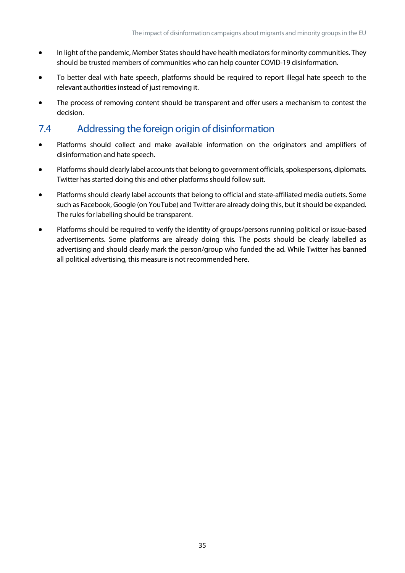- In light of the pandemic, Member States should have health mediators for minority communities. They should be trusted members of communities who can help counter COVID-19 disinformation.
- To better deal with hate speech, platforms should be required to report illegal hate speech to the relevant authorities instead of just removing it.
- The process of removing content should be transparent and offer users a mechanism to contest the decision.

# <span id="page-45-0"></span>7.4 Addressing the foreign origin of disinformation

- Platforms should collect and make available information on the originators and amplifiers of disinformation and hate speech.
- Platforms should clearly label accounts that belong to government officials, spokespersons, diplomats. Twitter has started doing this and other platforms should follow suit.
- Platforms should clearly label accounts that belong to official and state-affiliated media outlets. Some such as Facebook, Google (on YouTube) and Twitter are already doing this, but it should be expanded. The rules for labelling should be transparent.
- Platforms should be required to verify the identity of groups/persons running political or issue-based advertisements. Some platforms are already doing this. The posts should be clearly labelled as advertising and should clearly mark the person/group who funded the ad. While Twitter has banned all political advertising, this measure is not recommended here.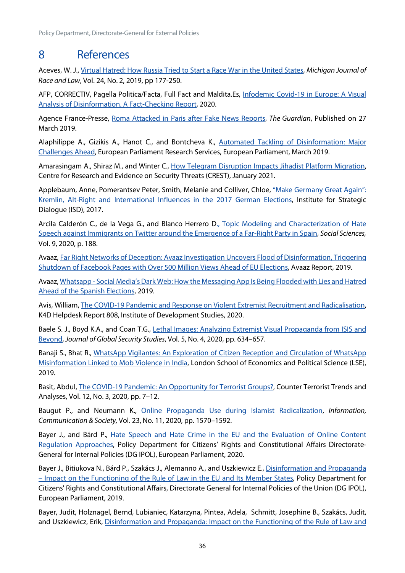# <span id="page-46-0"></span>8 References

Aceves, W. J.[, Virtual Hatred: How Russia Tried to Start a Race War in the United States,](https://repository.law.umich.edu/cgi/viewcontent.cgi?article=1290&context=mjrl) *Michigan Journal of Race and Law*, Vol. 24, No. 2, 2019, pp 177-250.

AFP, CORRECTIV, Pagella Politica/Facta, Full Fact and Maldita.Es, [Infodemic Covid-19 in Europe: A Visual](https://covidinfodemiceurope.com/)  [Analysis of Disinformation. A Fact-Checking Report,](https://covidinfodemiceurope.com/) 2020.

Agence France-Presse, [Roma Attacked in Paris after Fake News Reports,](http://www.theguardian.com/world/2019/mar/27/roma-call-for-protection-after-vigilante-attacks-inspired-by-fake-news) *The Guardian*, Published on 27 March 2019.

Alaphilippe A., Gizikis A., Hanot C., and Bontcheva K., [Automated Tackling of Disinformation: Major](https://op.europa.eu/es/publication-detail/-/publication/2098c1b4-81bb-11e9-9f05-01aa75ed71a1/language-en)  [Challenges Ahead,](https://op.europa.eu/es/publication-detail/-/publication/2098c1b4-81bb-11e9-9f05-01aa75ed71a1/language-en) European Parliament Research Services, European Parliament, March 2019.

Amarasingam A., Shiraz M., and Winter C., How Telegram Disruption Impacts Jihadist Platform Migration, Centre for Research and Evidence on Security Threats (CREST), January 2021.

Applebaum, Anne, Pomerantsev Peter, Smith, Melanie and Colliver, Chloe, "Make Germany Great Again": [Kremlin, Alt-Right and International Influences in the 2017 German Elections,](https://tepsaeu-my.sharepoint.com/personal/admintepsaeu_tepsaeu_onmicrosoft_com/Documents/EP/Framework%20contracts%202019-2024/Lot%206%20Human%20Rights/IDAs/IDA%20Disinformation%20and%20migation%20and%20minorities/First%20Version/) Institute for Strategic Dialogue (ISD), 2017.

Arcila Calderón C., de la Vega G., and Blanco Herrero D., Topic Modeling and Characterization of Hate [Speech against Immigrants on Twitter around the Emergence of a Far-Right Party in Spain,](https://www.mdpi.com/2076-0760/9/11/188/htm) *Social Sciences,* Vol. 9, 2020, p. 188.

Avaaz[, Far Right Networks of Deception: Avaaz Investigation Uncovers Flood of Disinformation, Triggering](https://avaazimages.avaaz.org/EU%20Disinfo%20Report.pdf)  [Shutdown of Facebook Pages with Over 500 Million Views Ahead of EU Elections,](https://avaazimages.avaaz.org/EU%20Disinfo%20Report.pdf) Avaaz Report, 2019.

Avaaz, Whatsapp - [Social Media's Dark Web: How the Messaging App Is Being Flooded with Lies and Hatred](https://avaazimages.avaaz.org/Avaaz_SpanishWhatsApp_FINAL.pdf)  [Ahead of the Spanish Elections,](https://avaazimages.avaaz.org/Avaaz_SpanishWhatsApp_FINAL.pdf) 2019.

Avis, William, [The COVID-19 Pandemic and Response on Violent Extremist Recruitment and Radicalisation,](https://opendocs.ids.ac.uk/opendocs/bitstream/handle/20.500.12413/15322/808_COVID19%20_and_Violent_Extremism.pdf?sequence=1&isAllowed=y)  K4D Helpdesk Report 808, Institute of Development Studies, 2020.

Baele S. J., Boyd K.A., and Coan T.G., Lethal Images: Analyzing Extremist Visual Propaganda from ISIS and [Beyond,](https://doi.org/10.1093/jogss/ogz058) *Journal of Global Security Studies*, Vol. 5, No. 4, 2020, pp. 634–657.

Banaji S., Bhat R., [WhatsApp Vigilantes: An Exploration of Citizen Reception and Circulation of WhatsApp](https://www.lse.ac.uk/media-and-communications/assets/documents/research/projects/WhatsApp-Misinformation-Report.pdf)  [Misinformation Linked to Mob Violence in India,](https://www.lse.ac.uk/media-and-communications/assets/documents/research/projects/WhatsApp-Misinformation-Report.pdf) London School of Economics and Political Science (LSE), 2019.

Basit, Abdul, [The COVID-19 Pandemic: An Opportunity for Terrorist Groups?,](https://www.jstor.org/stable/26915444?seq=1#metadata_info_tab_contents) Counter Terrorist Trends and Analyses, Vol. 12, No. 3, 2020, pp. 7–12.

Baugut P., and Neumann K., [Online Propaganda Use during Islamist Radicalization,](https://www.tandfonline.com/doi/full/10.1080/1369118X.2019.1594333) *Information, Communication & Society,* Vol. 23, No. 11, 2020, pp. 1570–1592.

Bayer J., and Bárd P., Hate Speech and Hate Crime in the EU and the Evaluation of Online Content [Regulation Approaches,](https://www.europarl.europa.eu/thinktank/en/document.html?reference=IPOL_STU(2020)655135) Policy Department for Citizens' Rights and Constitutional Affairs Directorate-General for Internal Policies (DG IPOL), European Parliament, 2020.

Bayer J., Bitiukova N., Bárd P., Szakács J., Alemanno A., and Uszkiewicz E., Disinformation and Propaganda – Impact on the [Functioning of the Rule of Law in the EU and Its Member States,](https://www.europarl.europa.eu/RegData/etudes/STUD/2019/608864/IPOL_STU(2019)608864_EN.pdf) Policy Department for Citizens' Rights and Constitutional Affairs, Directorate General for Internal Policies of the Union (DG IPOL), European Parliament, 2019.

Bayer, Judit, Holznagel, Bernd, Lubianiec, Katarzyna, Pintea, Adela, Schmitt, Josephine B., Szakács, Judit, and Uszkiewicz, Erik, Disinformation and Propaganda: Impact on the Functioning of the Rule of Law and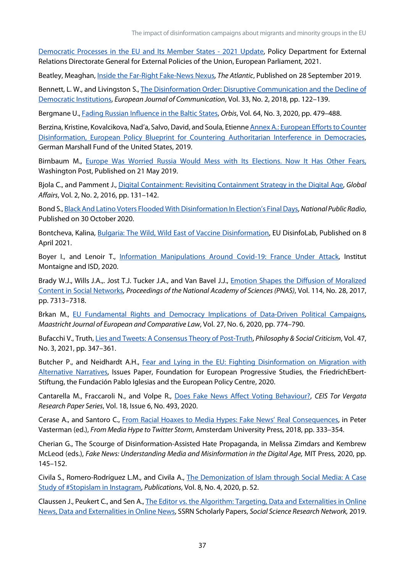[Democratic Processes in the EU and Its Member States -](https://www.europarl.europa.eu/RegData/etudes/STUD/2021/653633/EXPO_STU(2021)653633_EN.pdf) 2021 Update, Policy Department for External Relations Directorate General for External Policies of the Union, European Parliament, 2021.

Beatley, Meaghan, [Inside the Far-Right Fake-News Nexus,](https://www.theatlantic.com/international/archive/2019/09/fake-news-feeds-anti-migrant-sentiment-spain/598429/) *The Atlantic*, Published on 28 September 2019.

Bennett, L. W., and Livingston S., [The Disinformation Order: Disruptive Communication and the Decline of](https://doi.org/10.1177/0267323118760317)  [Democratic Institutions,](https://doi.org/10.1177/0267323118760317) *European Journal of Communication*, Vol. 33, No. 2, 2018, pp. 122–139.

Bergmane U.[, Fading Russian Influence in the Baltic](https://www.ncbi.nlm.nih.gov/pmc/articles/PMC7329289/) [States,](https://www.ncbi.nlm.nih.gov/pmc/articles/PMC7329289/) *Orbis*, Vol. 64, No. 3, 2020, pp. 479–488.

Berzina, Kristine, Kovalcikova, Nad'a, Salvo, David, and Soula, Etienne Annex A.: European Efforts to Counter [Disinformation, European Policy Blueprint for Countering Authoritarian Interference in Democracies,](https://www.jstor.org/stable/resrep21251.8.pdf)  German Marshall Fund of the United States, 2019.

Birnbaum M., Europe Was Worried Russia Would Mess with Its Elections. Now It Has Other Fears, [Washington Post,](https://www.washingtonpost.com/world/europe/europe-was-worried-russia-would-mess-with-its-elections-now-it-has-other-fears/2019/05/20/d0c18552-77f1-11e9-a7bf-c8a43b84ee31_story.html) Published on 21 May 2019.

Bjola C., and Pamment J., [Digital Containment: Revisiting Containment Strategy in the Digital Age,](https://doi.org/10.1080/23340460.2016.1182244) *Global Affairs*, Vol. 2, No. 2, 2016, pp. 131–142.

Bond S.[, Black And Latino Voters Flooded With Disinformation In Election's Final Days,](https://www.npr.org/2020/10/30/929248146/black-and-latino-voters-flooded-with-disinformation-in-elections-final-days) *National Public Radio*, Published on 30 October 2020.

Bontcheva, Kalina, [Bulgaria: The Wild, Wild East of Vaccine Disinformation,](https://www.disinfo.eu/publications/bulgaria:-the-wild-wild-east-of-vaccine-disinformation/) EU DisinfoLab, Published on 8 April 2021.

Boyer I., and Lenoir T., [Information Manipulations Around Covid-19: France Under Attack,](https://www.isdglobal.org/wp-content/uploads/2020/07/Institut-Montaigne.pdf) Institut Montaigne and ISD, 2020.

Brady W.J., Wills J.A.,. Jost T.J. Tucker J.A., and Van Bavel J.J., [Emotion Shapes the Diffusion of Moralized](https://www.pnas.org/content/114/28/7313)  [Content in Social Networks,](https://www.pnas.org/content/114/28/7313) *Proceedings of the National Academy of Sciences (PNAS)*, Vol. 114, No. 28, 2017, pp. 7313–7318.

Brkan M., [EU Fundamental Rights and Democracy Implications of Data-Driven Political Campaigns,](https://doi.org/10.1177/1023263X20982960)  *Maastricht Journal of European and Comparative Law*, Vol. 27, No. 6, 2020, pp. 774–790.

Bufacchi V., Truth[, Lies and Tweets: A Consensus Theory of Post-Truth,](https://tepsaeu-my.sharepoint.com/personal/admintepsaeu_tepsaeu_onmicrosoft_com/Documents/EP/Framework%20contracts%202019-2024/Lot%206%20Human%20Rights/IDAs/IDA%20Disinformation%20and%20migation%20and%20minorities/First%20Version/.%20https:/doi.org/10.1177/0191453719896382) *Philosophy & Social Criticism*, Vol. 47, No. 3, 2021, pp. 347–361.

Butcher P., and Neidhardt A.H., [Fear and Lying in the EU: Fighting Disinformation on Migration with](https://wms.flexious.be/editor/plugins/imagemanager/content/2140/PDF/2020/Disinformation_on_Migration.pdf)  [Alternative Narratives,](https://wms.flexious.be/editor/plugins/imagemanager/content/2140/PDF/2020/Disinformation_on_Migration.pdf) Issues Paper, Foundation for European Progressive Studies, the FriedrichEbert-Stiftung, the Fundación Pablo Iglesias and the European Policy Centre, 2020.

Cantarella M., Fraccaroli N., and Volpe R., [Does Fake News Affect Voting Behaviour?,](https://papers.ssrn.com/abstract=3629666) *CEIS Tor Vergata Research Paper Series*, Vol. 18, Issue 6, No. 493, 2020.

Cerase A., and Santoro C., [From Racial Hoaxes to Media Hypes: Fake News' Real Consequences,](https://www.jstor.org/stable/j.ctt21215m0.20) in Peter Vasterman (ed.), *From Media Hype to Twitter Storm*, Amsterdam University Press, 2018, pp. 333–354.

Cherian G., The Scourge of Disinformation-Assisted Hate Propaganda, in Melissa Zimdars and Kembrew McLeod (eds.), *Fake News: Understanding Media and Misinformation in the Digital Age,* MIT Press, 2020, pp. 145–152.

Civila S., Romero-Rodríguez L.M., and Civila A., [The Demonization of Islam through Social Media: A Case](https://www.mdpi.com/2304-6775/8/4/52)  [Study of #Stopislam in Instagram,](https://www.mdpi.com/2304-6775/8/4/52) *Publications*, Vol. 8, No. 4, 2020, p. 52.

Claussen J., Peukert C., and Sen A., [The Editor vs. the Algorithm: Targeting, Data and Externalities in Online](https://papers.ssrn.com/sol3/papers.cfm?abstract_id=3399947)  [News, Data and Externalities in Online News,](https://papers.ssrn.com/sol3/papers.cfm?abstract_id=3399947) SSRN Scholarly Papers, *Social Science Research Network,* 2019.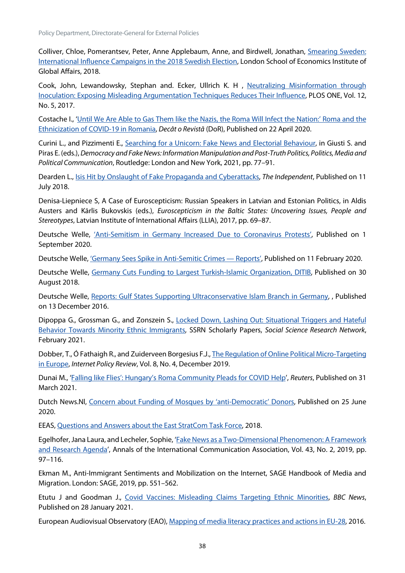Policy Department, Directorate-General for External Policies

Colliver, Chloe, Pomerantsev, Peter, Anne Applebaum, Anne, and Birdwell, Jonathan, [Smearing Sweden:](https://www.lse.ac.uk/iga/assets/documents/arena/2018/Sweden-Report-October-2018.pdf.)  [International Influence Campaigns in the 2018 Swedish Election,](https://www.lse.ac.uk/iga/assets/documents/arena/2018/Sweden-Report-October-2018.pdf.) London School of Economics Institute of Global Affairs, 2018.

Cook, John, Lewandowsky, Stephan and. Ecker, Ullrich K. H , Neutralizing Misinformation through Inoculation: Exposing Misleading Argumentation Techniques Reduces Their Influence, PLOS ONE, Vol. 12, No. 5, 2017.

Costache I., ['Until We Are Able to Gas Them like the Nazis, the Roma Will Infect the Nation:' Roma and the](https://www.dor.ro/roma-and-the-ethnicization-of-covid-19-in-romania/)  [Ethnicization of COVID-19 in Romania,](https://www.dor.ro/roma-and-the-ethnicization-of-covid-19-in-romania/) *Decât o Revistă* (DoR), Published on 22 April 2020.

Curini L., and Pizzimenti E., [Searching for a Unicorn: Fake News and Electorial Behaviour,](https://www.taylorfrancis.com/chapters/oa-edit/10.4324/9781003037385-8/searching-unicorn-luigi-curini-eugenio-pizzimenti) in Giusti S. and Piras E. (eds.), *Democracy and Fake News: Information Manipulation and Post-Truth Politics, Politics, Media and Political Communication*, Routledge: London and New York, 2021, pp. 77–91.

Dearden L., Isis Hit by Onslaught [of Fake Propaganda and Cyberattacks,](https://www.independent.co.uk/news/world/middle-east/isis-islamic-state-propaganda-telegram-offical-fake-cyberattacks-accounts-a8442936.html) *The Independent*, Published on 11 July 2018.

Denisa-Liepniece S, A Case of Euroscepticism: Russian Speakers in Latvian and Estonian Politics, in Aldis Austers and Kārlis Bukovskis (eds.), *Euroscepticism in the Baltic States: Uncovering Issues, People and Stereotypes*, Latvian Institute of International Affairs (LLIA), 2017, pp. 69–87.

Deutsche Welle, ['Anti-Semitism in Germany Increased Due to Coronavirus Protests',](https://www.dw.com/en/anti-semitism-in-germany-increased-due-to-coronavirus-protests/a-54775939) Published on 1 September 2020.

Deutsche Welle[, 'Germany Sees Spike in Anti-Semitic Crimes —](https://www.dw.com/en/germany-sees-spike-in-anti-semitic-crimes-reports/a-56537178) Reports', Published on 11 February 2020.

Deutsche Welle, [Germany Cuts Funding to Largest Turkish-Islamic Organization, DITIB,](https://www.dw.com/en/germany-cuts-funding-to-largest-turkish-islamic-organization-ditib/a-45297763) Published on 30 August 2018.

Deutsche Welle, [Reports: Gulf States Supporting Ultraconservative Islam Branch in Germany,](https://www.dw.com/en/reports-gulf-states-supporting-ultraconservative-islam-branch-in-germany/a-36746943) , Published on 13 December 2016.

Dipoppa G., Grossman G., and Zonszein S., [Locked Down, Lashing Out: Situational Triggers and Hateful](https://papers.ssrn.com/sol3/papers.cfm?abstract_id=3789339)  [Behavior Towards Minority Ethnic Immigrants,](https://papers.ssrn.com/sol3/papers.cfm?abstract_id=3789339) SSRN Scholarly Papers, *Social Science Research Network*, February 2021.

Dobber, T., Ó Fathaigh R., and Zuiderveen Borgesius F.J., [The Regulation of Online Political Micro-Targeting](https://policyreview.info/articles/analysis/regulation-online-political-micro-targeting-europe)  [in Europe,](https://policyreview.info/articles/analysis/regulation-online-political-micro-targeting-europe) *Internet Policy Review*, Vol. 8, No. 4, December 2019.

Dunai M., ['Falling like Flies': Hungary's Roma Community Pleads for COVID Help'](https://www.reuters.com/article/us-health-coronavirus-hungary-roma-idUSKBN2BN2R7), *Reuters*, Published on 31 March 2021.

Dutch News.Nl, [Concern about Funding of Mosques by 'anti-Democratic' Donors,](https://www.dutchnews.nl/news/2020/06/concern-about-funding-of-mosques-by-anti-democratic-donors/) Published on 25 June 2020.

EEAS, [Questions and Answers about the East StratCom Task Force,](https://eeas.europa.eu/headquarters/headquarters-homepage/2116/questions-and-answers-about-east-stratcom-task-force_en) 2018.

Egelhofer, Jana Laura, and Lecheler, Sophie, ['Fake News as a Two-Dimensional Phenomenon: A Framework](https://doi.org/10.1080/23808985.2019.1602782)  [and Research Agenda'](https://doi.org/10.1080/23808985.2019.1602782), Annals of the International Communication Association, Vol. 43, No. 2, 2019, pp. 97–116.

Ekman M., Anti-Immigrant Sentiments and Mobilization on the Internet, SAGE Handbook of Media and Migration. London: SAGE, 2019, pp. 551–562.

Etutu J and Goodman J., [Covid Vaccines: Misleading Claims Targeting Ethnic Minorities,](https://www.bbc.com/news/55747544) *BBC News*, Published on 28 January 2021.

European Audiovisual Observatory (EAO)[, Mapping of media literacy practices and actions in EU-28,](https://op.europa.eu/en/publication-detail/-/publication/0a387a0a-3e5f-11ea-ba6e-01aa75ed71a1#document-info) 2016.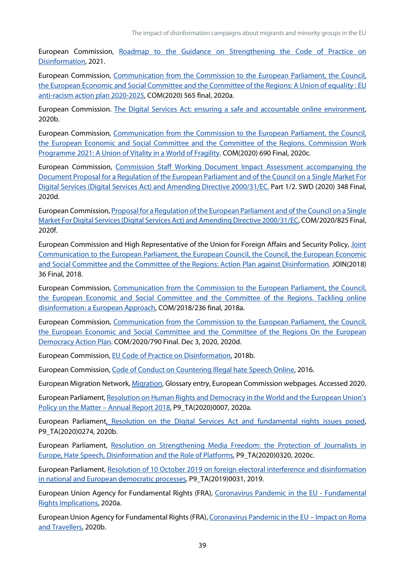European Commission, [Roadmap to the Guidance on Strengthening the Code of Practice on](https://ec.europa.eu/info/law/better-regulation/have-your-say/initiatives/12968-Guidance-on-tackling-disinformation-update-_en)  [Disinformation,](https://ec.europa.eu/info/law/better-regulation/have-your-say/initiatives/12968-Guidance-on-tackling-disinformation-update-_en) 2021.

European Commission, [Communication from the Commission to the European Parliament, the Council,](https://eur-lex.europa.eu/legal-content/EN/TXT/HTML/?uri=CELEX:52020DC0565&rid=6)  [the European Economic and Social Committee and the Committee of the Regions: A Union of equality : EU](https://eur-lex.europa.eu/legal-content/EN/TXT/HTML/?uri=CELEX:52020DC0565&rid=6)  [anti-racism action plan 2020-2025,](https://eur-lex.europa.eu/legal-content/EN/TXT/HTML/?uri=CELEX:52020DC0565&rid=6) COM(2020) 565 final, 2020a.

European Commission. [The Digital Services Act: ensuring a safe and accountable online environment,](https://ec.europa.eu/info/strategy/priorities-2019-2024/europe-fit-digital-age/digital-services-act-ensuring-safe-and-accountable-online-environment_en)  2020b.

European Commission, [Communication from the Commission to the European Parliament, the Council,](https://eur-lex.europa.eu/legal-content/EN/ALL/?uri=COM:2020:0690:FIN)  [the European Economic and Social Committee and the Committee of the Regions. Commission Work](https://eur-lex.europa.eu/legal-content/EN/ALL/?uri=COM:2020:0690:FIN)  [Programme 2021: A Union of Vitality in a World of Fragility.](https://eur-lex.europa.eu/legal-content/EN/ALL/?uri=COM:2020:0690:FIN) COM(2020) 690 Final, 2020c.

European Commission, [Commission Staff Working Document Impact Assessment accompanying the](https://eur-lex.europa.eu/legal-content/EN/TXT/?uri=SWD:2020:348:FIN)  [Document Proposal for a Regulation of the European Parliament and of the Council on a Single Market For](https://eur-lex.europa.eu/legal-content/EN/TXT/?uri=SWD:2020:348:FIN)  [Digital Services \(Digital Services Act\) and Amending Directive 2000/31/EC.](https://eur-lex.europa.eu/legal-content/EN/TXT/?uri=SWD:2020:348:FIN) Part 1/2. SWD (2020) 348 Final, 2020d.

European Commission[, Proposal for a Regulation of the European Parliament and of the Council on a Single](https://eur-lex.europa.eu/legal-content/en/TXT/?qid=1608117147218&uri=COM%3A2020%3A825%3AFIN)  [Market For Digital Services \(Digital Services Act\) and Amending Directive 2000/31/EC,](https://eur-lex.europa.eu/legal-content/en/TXT/?qid=1608117147218&uri=COM%3A2020%3A825%3AFIN) COM/2020/825 Final, 2020f.

European Commission and High Representative of the Union for Foreign Affairs and Security Policy, [Joint](https://eeas.europa.eu/sites/default/files/action_plan_against_disinformation.pdf)  [Communication to the European Parliament, the European Council, the Council, the European Economic](https://eeas.europa.eu/sites/default/files/action_plan_against_disinformation.pdf)  [and Social Committee and the Committee of the Regions: Action Plan against Disinformation.](https://eeas.europa.eu/sites/default/files/action_plan_against_disinformation.pdf) JOIN(2018) 36 Final, 2018.

European Commission, [Communication from the Commission to the European Parliament, the Council,](https://eur-lex.europa.eu/legal-content/EN/TXT/?uri=CELEX%3A52018DC0236)  [the European Economic and Social Committee and the Committee of the Regions. Tackling online](https://eur-lex.europa.eu/legal-content/EN/TXT/?uri=CELEX%3A52018DC0236)  [disinformation: a European Approach,](https://eur-lex.europa.eu/legal-content/EN/TXT/?uri=CELEX%3A52018DC0236) COM/2018/236 final, 2018a.

European Commission, [Communication from the Commission to the European Parliament, the Council,](https://eur-lex.europa.eu/legal-content/EN/TXT/?uri=COM%3A2020%3A790%3AFIN&qid=1607079662423)  [the European Economic and Social Committee and the Committee of the Regions On the European](https://eur-lex.europa.eu/legal-content/EN/TXT/?uri=COM%3A2020%3A790%3AFIN&qid=1607079662423)  [Democracy Action Plan.](https://eur-lex.europa.eu/legal-content/EN/TXT/?uri=COM%3A2020%3A790%3AFIN&qid=1607079662423) COM/2020/790 Final. Dec 3, 2020, 2020d.

European Commission[, EU Code of Practice on Disinformation,](https://digital-strategy.ec.europa.eu/en/policies/code-practice-disinformation) 2018b.

European Commission[, Code of Conduct on Countering Illegal hate Speech Online,](https://ec.europa.eu/info/sites/info/files/code_of_conduct_on_countering_illegal_hate_speech_online_en.pdf) 2016.

European Migration Network[, Migration,](https://ec.europa.eu/home-affairs/what-we-do/networks/european_migration_network/glossary_search/minority_en) Glossary entry, European Commission webpages. Accessed 2020.

European Parliament[, Resolution on Human Rights and Democracy in the World and the European Union's](https://www.europarl.europa.eu/doceo/document/TA-9-2020-0007_EN.html)  [Policy on the Matter –](https://www.europarl.europa.eu/doceo/document/TA-9-2020-0007_EN.html) Annual Report 2018, P9\_TA(2020)0007, 2020a.

European Parliamen[t, Resolution on the Digital Services Act and fundamental rights issues posed,](https://www.europarl.europa.eu/doceo/document/TA-9-2020-0274_EN.html)  P9\_TA(2020)0274, 2020b.

European Parliament, [Resolution on Strengthening Media Freedom: the Protection of Journalists in](https://www.europarl.europa.eu/doceo/document/TA-9-2020-0320_EN.html#def_1_7)  [Europe, Hate Speech, Disinformation and the Role of Platforms,](https://www.europarl.europa.eu/doceo/document/TA-9-2020-0320_EN.html#def_1_7) P9\_TA(2020)0320, 2020c.

European Parliament, [Resolution of 10 October 2019 on foreign electoral interference and disinformation](https://www.europarl.europa.eu/doceo/document/TA-9-2019-0031_EN.html)  [in national and European democratic processes,](https://www.europarl.europa.eu/doceo/document/TA-9-2019-0031_EN.html) P9\_TA(2019)0031, 2019.

European Union Agency for Fundamental Rights (FRA), [Coronavirus Pandemic in](https://fra.europa.eu/sites/default/files/fra_uploads/fra-2020-coronavirus-pandemic-eu-bulletin_en.pdf) the EU - Fundamental [Rights Implications,](https://fra.europa.eu/sites/default/files/fra_uploads/fra-2020-coronavirus-pandemic-eu-bulletin_en.pdf) 2020a.

European Union Agency for Fundamental Rights (FRA), [Coronavirus Pandemic in the EU](https://fra.europa.eu/sites/default/files/fra_uploads/fra-2020-coronavirus-pandemic-eu-bulletin-roma_en.pdf) – Impact on Roma [and Travellers,](https://fra.europa.eu/sites/default/files/fra_uploads/fra-2020-coronavirus-pandemic-eu-bulletin-roma_en.pdf) 2020b.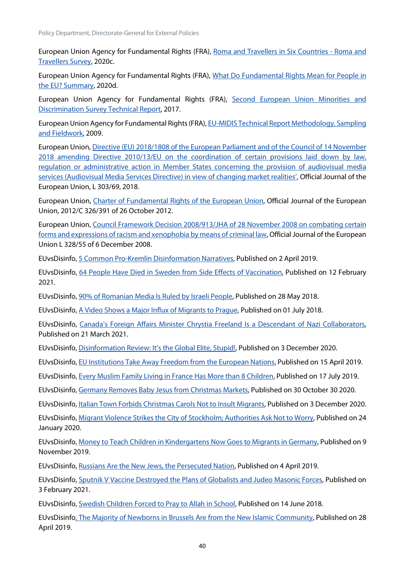European Union Agency for Fundamental Rights (FRA), [Roma and Travellers in Six Countries -](https://fra.europa.eu/sites/default/files/fra_uploads/fra-2020-roma-travellers-six-countries_en.pdf) Roma and [Travellers Survey,](https://fra.europa.eu/sites/default/files/fra_uploads/fra-2020-roma-travellers-six-countries_en.pdf) 2020c.

European Union Agency for Fundamental Rights (FRA), [What Do Fundamental Rights Mean for People in](https://fra.europa.eu/sites/default/files/fra_uploads/fra-2020-fundamental-rights-survey-human-rights-summary_en.pdf)  [the EU? Summary,](https://fra.europa.eu/sites/default/files/fra_uploads/fra-2020-fundamental-rights-survey-human-rights-summary_en.pdf) 2020d.

European Union Agency for Fundamental Rights (FRA), Second European Union Minorities and [Discrimination Survey Technical Report,](https://fra.europa.eu/sites/default/files/fra_uploads/fra-2017-eu-midis-ii-technical-report_en.pdf) 2017.

European Union Agency for Fundamental Rights (FRA), [EU-MIDIS Technical Report Methodology, Sampling](https://fra.europa.eu/sites/default/files/eu-midis_technical_report.pdf)  [and Fieldwork,](https://fra.europa.eu/sites/default/files/eu-midis_technical_report.pdf) 2009.

European Union, [Directive \(EU\) 2018/1808 of the European Parliament and of the Council of 14 November](https://eur-lex.europa.eu/eli/dir/2018/1808/oj%20https:/eur-lex.europa.eu/eli/dir/2018/1808/oj)  2018 amending Directive 2010/13/EU on the coordination of certain provisions laid down by law, [regulation or administrative action in Member States concerning the provision of audiovisual media](https://eur-lex.europa.eu/eli/dir/2018/1808/oj%20https:/eur-lex.europa.eu/eli/dir/2018/1808/oj)  [services \(Audiovisual Media Services Directive\) in view of changing market realities',](https://eur-lex.europa.eu/eli/dir/2018/1808/oj%20https:/eur-lex.europa.eu/eli/dir/2018/1808/oj) Official Journal of the European Union, L 303/69, 2018.

European Union, [Charter of Fundamental Rights of the European Union,](https://eur-lex.europa.eu/legal-content/EN/TXT/?uri=CELEX%3A12012P%2FTXT) Official Journal of the European Union, 2012/C 326/391 of 26 October 2012.

European Union, [Council Framework Decision 2008/913/JHA of 28 November 2008 on combating certain](https://eur-lex.europa.eu/legal-content/en/ALL/?uri=CELEX%3A32008F0913)  [forms and expressions of racism and xenophobia by means of criminal law,](https://eur-lex.europa.eu/legal-content/en/ALL/?uri=CELEX%3A32008F0913) Official Journal of the European Union L 328/55 of 6 December 2008.

EUvsDisinfo[, 5 Common Pro-Kremlin Disinformation Narratives,](https://euvsdisinfo.eu/5-common-pro-kremlin-disinformation-narratives/) Published on 2 April 2019.

EUvsDisinfo, [64 People Have Died in Sweden from Side Effects of Vaccination,](https://euvsdisinfo.eu/report/64-people-have-died-in-sweden-from-side-effects-of-vaccination) Published on 12 February 2021.

EUvsDisinfo[, 90% of Romanian Media Is Ruled by Israeli People,](https://euvsdisinfo.eu/report/90-of-romanian-media-is-ruled-by-israeli-people) Published on 28 May 2018.

EUvsDisinfo[, A Video Shows a Major Influx of Migrants to Prague,](https://euvsdisinfo.eu/report/the-influx-of-migrants-to-prague) Published on 01 July 2018.

EUvsDisinfo, [Canada's Foreign Affairs Minister Chrystia Freeland Is a Descendant of Nazi Collaborators,](https://euvsdisinfo.eu/report/canadas-foreign-affairs-minister-chrystia-freeland-is-a-descendant-of-nazi-collaborator)  Published on 21 March 2021.

EUvsDisinfo[, Disinformation Review: It's the Global Elite, Stupid!,](https://euvsdisinfo.eu/its-the-global-elite-stupid/) Published on 3 December 2020.

EUvsDisinfo[, EU Institutions Take Away Freedom from the European Nations,](https://euvsdisinfo.eu/report/eu-institutions-take-away-freedom-from-the-european-nations) Published on 15 April 2019.

EUvsDisinfo[, Every Muslim Family Living in France Has More than 8 Children,](https://euvsdisinfo.eu/report/muslim-fertility-rate-in-france-is-much-higher-than-non-muslim) Published on 17 July 2019.

EUvsDisinfo[, Germany Removes Baby Jesus from Christmas Markets,](https://euvsdisinfo.eu/report/germany-removes-baby-jesus-from-christmas-markets) Published on 30 October 30 2020.

EUvsDisinfo[, Italian Town Forbids Christmas Carols Not to Insult Migrants,](https://euvsdisinfo.eu/report/italian-town-forbids-christmas-carols-not-to-insult-migrants) Published on 3 December 2020.

EUvsDisinfo[, Migrant Violence Strikes the City of Stockholm; Authorities Ask Not to Worry,](https://euvsdisinfo.eu/report/migrant-violence-strikes-the-city-of-stockholm-authorities-ask-not-to-worry) Published on 24 January 2020.

EUvsDisinfo[, Money to Teach Children in Kindergartens Now Goes to Migrants in Germany,](https://euvsdisinfo.eu/report/money-to-teach-children-in-kindergartens-now-goes-for-migrants-in-germany) Published on 9 November 2019.

EUvsDisinfo[, Russians Are the New Jews, the Persecuted Nation,](https://euvsdisinfo.eu/report/russians-are-the-new-jews-the-persecuted-nation) Published on 4 April 2019.

EUvsDisinfo, [Sputnik V Vaccine Destroyed the Plans of Globalists and Judeo Masonic Forces,](https://euvsdisinfo.eu/report/sputnik-v-vaccine-destroyed-globalist-and-judeo-masonic-forces-plans) Published on 3 February 2021.

EUvsDisinfo[, Swedish Children Forced to Pray to Allah in School,](https://euvsdisinfo.eu/report/swedish-children-forced-to-pray-to-allah-in-school) Published on 14 June 2018.

EUvsDisinf[o, The Majority of Newborns in Brussels Are from the New Islamic Community,](https://euvsdisinfo.eu/report/the-majority-of-newborns-in-brussels-are-from-the-new-islamic-community) Published on 28 April 2019.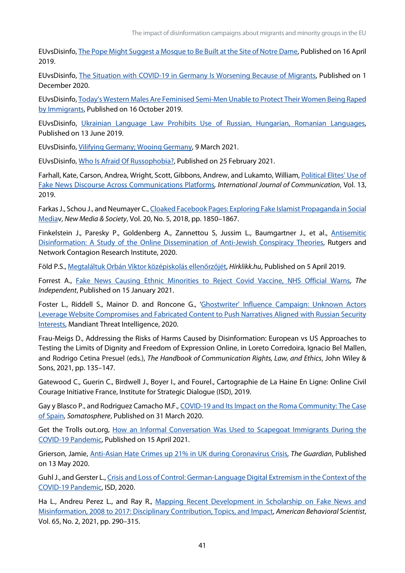EUvsDisinfo[, The Pope Might Suggest a Mosque to Be Built at the Site of Notre Dame,](https://euvsdisinfo.eu/report/the-pope-might-suggest-a-mosque-to-be-built-at-the-site-of-notre-dame) Published on 16 April 2019.

EUvsDisinfo, [The Situation with COVID-19 in Germany Is Worsening Because of Migrants,](https://euvsdisinfo.eu/report/the-situation-with-covid-19-in-germany-is-worsening-because-of-migrants) Published on 1 December 2020.

EUvsDisinfo[, Today's Western Males Are Feminised Semi-Men Unable to Protect Their Women Being Raped](https://euvsdisinfo.eu/report/todays-western-males-are-feminized-semi-men-who-are-not-able-to-protect-their-women-raped-by-immigrants)  [by Immigrants,](https://euvsdisinfo.eu/report/todays-western-males-are-feminized-semi-men-who-are-not-able-to-protect-their-women-raped-by-immigrants) Published on 16 October 2019.

EUvsDisinfo, [Ukrainian Language Law Prohibits Use of Russian, Hungarian, Romanian Languages,](https://euvsdisinfo.eu/report/ukrainian-language-law-violates-the-rights-of-minorities)  Published on 13 June 2019.

EUvsDisinfo[, Vilifying Germany; Wooing Germany,](https://euvsdisinfo.eu/villifying-germany-wooing-germany/) 9 March 2021.

EUvsDisinfo[, Who Is Afraid Of Russophobia?,](https://euvsdisinfo.eu/who-is-afraid-of-russophobia/) Published on 25 February 2021.

Farhall, Kate, Carson, Andrea, Wright, Scott, Gibbons, Andrew, and Lukamto, William, [Political Elites' Use of](https://ijoc.org/index.php/ijoc/article/view/10677)  [Fake News Discourse Across Communications Platforms](https://ijoc.org/index.php/ijoc/article/view/10677)*, International Journal of Communication*, Vol. 13, 2019.

Farkas J., Schou J., and Neumayer C.[, Cloaked Facebook Pages: Exploring Fake Islamist Propaganda in Social](https://doi.org/10.1177/1461444817707759)  [Mediav](https://doi.org/10.1177/1461444817707759), *New Media & Society*, Vol. 20, No. 5, 2018, pp. 1850–1867.

Finkelstein J., Paresky P., Goldenberg A., Zannettou S, Jussim L., Baumgartner J., et al., [Antisemitic](https://networkcontagion.us/reports/antisemitic-disinformation-a-study-of-the-online-dissemination-of-anti-jewish-conspiracy-theories/)  [Disinformation: A Study of the Online Dissemination of Anti-Jewish Conspiracy Theories,](https://networkcontagion.us/reports/antisemitic-disinformation-a-study-of-the-online-dissemination-of-anti-jewish-conspiracy-theories/) Rutgers and Network Contagion Research Institute, 2020.

Föld P.S.[, Megtaláltuk Orbán Viktor középiskolás ellenőrzőjét,](https://hirklikk.hu/kozelet/megtalaltuk-orban-viktor-kozepiskolas-ellenrzjet/349046) *Hírklikk.hu*, Published on 5 April 2019.

Forrest A., [Fake News Causing Ethnic Minorities to Reject Covid Vaccine, NHS Official Warns,](https://www.independent.co.uk/news/uk/home-news/covid-vaccine-fake-news-ethnic-minorities-b1787746.html) *The Independent*, Published on 15 January 2021.

Foster L., Riddell S., Mainor D. and Roncone G., 'Ghostwriter' Influence Campaign: Unknown Actors [Leverage Website Compromises and Fabricated Content to Push Narratives Aligned with Russian Security](https://www.fireeye.com/blog/threat-research/2020/07/ghostwriter-influence-campaign.html)  [Interests,](https://www.fireeye.com/blog/threat-research/2020/07/ghostwriter-influence-campaign.html) Mandiant Threat Intelligence, 2020.

Frau-Meigs D., Addressing the Risks of Harms Caused by Disinformation: European vs US Approaches to Testing the Limits of Dignity and Freedom of Expression Online, in Loreto Corredoira, Ignacio Bel Mallen, and Rodrigo Cetina Presuel (eds.), *The Handbook of Communication Rights, Law, and Ethics*, John Wiley & Sons, 2021, pp. 135–147.

Gatewood C., Guerin C., Birdwell J., Boyer I., and Fourel., Cartographie de La Haine En Ligne: Online Civil Courage Initiative France, Institute for Strategic Dialogue (ISD), 2019.

Gay y Blasco P., and Rodriguez Camacho M.F., [COVID-19 and Its Impact on the Roma Community: The Case](http://somatosphere.net/forumpost/covid-19-roma-community-spain/)  [of Spain,](http://somatosphere.net/forumpost/covid-19-roma-community-spain/) *Somatosphere*, Published on 31 March 2020.

Get the Trolls out.org, How an Informal Conversation Was Used to Scapegoat Immigrants During the [COVID-19 Pandemic,](https://getthetrollsout.org/dig-deeper/germany-scapegoats-immigrants-covid19) Published on 15 April 2021.

Grierson, Jamie, [Anti-Asian Hate Crimes up 21% in UK during Coronavirus Crisis,](http://www.theguardian.com/world/2020/may/13/anti-asian-hate-crimes-up-21-in-uk-during-coronavirus-crisis) *The Guardian*, Published on 13 May 2020.

Guhl J., and Gerster L., [Crisis and Loss of Control: German-Language Digital Extremism in the Context of the](https://www.isdglobal.org/wp-content/uploads/2020/12/ISD-Mercator-Report-English.pdf)  [COVID-19 Pandemic,](https://www.isdglobal.org/wp-content/uploads/2020/12/ISD-Mercator-Report-English.pdf) ISD, 2020.

Ha L., Andreu Perez L., and Ray R., Mapping Recent Development in Scholarship on Fake News and [Misinformation, 2008 to 2017: Disciplinary Contribution, Topics, and Impact,](https://doi.org/10.1177/0002764219869402) *American Behavioral Scientist*, Vol. 65, No. 2, 2021, pp. 290–315.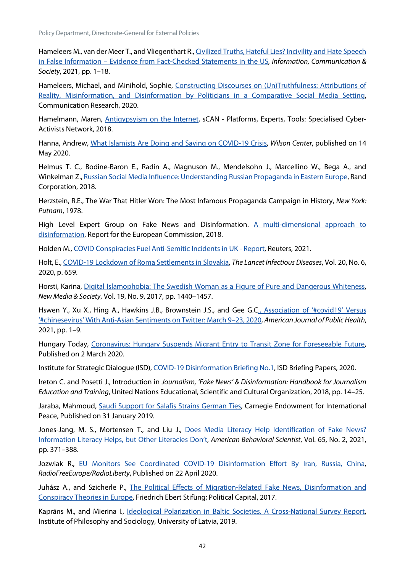Hameleers M., van der Meer T., and Vliegenthart R.[, Civilized Truths, Hateful Lies? Incivility and Hate Speech](https://doi.org/10.1080/1369118X.2021.1874038)  in False Information – [Evidence from Fact-Checked Statements in the US](https://doi.org/10.1080/1369118X.2021.1874038)*, Information, Communication & Society*, 2021, pp. 1–18.

Hameleers, Michael, and Minihold, Sophie, Constructing Discourses on (Un)Truthfulness: Attributions of Reality, Misinformation, and Disinformation by Politicians in a Comparative Social Media Setting, Communication Research, 2020.

Hamelmann, Maren, [Antigypsyism on the Internet,](https://scan-project.eu/antigypsyism-on-the-internet/) sCAN - Platforms, Experts, Tools: Specialised Cyber-Activists Network, 2018.

Hanna, Andrew, [What Islamists Are Doing and Saying on COVID-19 Crisis,](https://www.wilsoncenter.org/article/what-islamists-are-doing-and-saying-covid-19-crisis) *Wilson Center*, published on 14 May 2020.

Helmus T. C., Bodine-Baron E., Radin A., Magnuson M., Mendelsohn J., Marcellino W., Bega A., and Winkelman Z.[, Russian Social Media Influence: Understanding Russian Propaganda in Eastern Europe,](https://www.rand.org/content/dam/rand/pubs/research_reports/RR2200/RR2237/RAND_RR2237.pdf) Rand Corporation, 2018.

Herzstein, R.E., The War That Hitler Won: The Most Infamous Propaganda Campaign in History, *New York: Putnam*, 1978.

High Level Expert Group on Fake News and Disinformation. A multi-dimensional approach to [disinformation,](http://ec.europa.eu/newsroom/dae/document.cfm?doc_id=50271) Report for the European Commission, 2018.

Holden M.[, COVID Conspiracies Fuel Anti-Semitic Incidents in UK -](https://www.reuters.com/article/uk-britain-security-jews-idUSKBN2AB00X) Report, Reuters, 2021.

Holt, E., [COVID-19 Lockdown of Roma Settlements in Slovakia,](https://www.thelancet.com/journals/laninf/article/PIIS1473-3099(20)30381-9/abstract) *The Lancet Infectious Diseases*, Vol. 20, No. 6, 2020, p. 659.

Horsti, Karina, [Digital Islamophobia: The Swedish Woman as a Figure of Pure and Dangerous Whiteness,](https://doi.org/10.1177/1461444816642169)  *New Media & Society*, Vol. 19, No. 9, 2017, pp. 1440–1457.

Hswen Y., Xu X., Hing A., Hawkins J.B., Brownstein J.S., and Gee G.C., Association of '#covid19' Versus ['#chinesevirus' With Anti-Asian Sentiments on Twitter: March 9–23, 2020,](https://ajph.aphapublications.org/doi/10.2105/AJPH.2021.306154) *American Journal of Public Health*, 2021, pp. 1–9.

Hungary Today, [Coronavirus: Hungary Suspends Migrant Entry to Transit Zone for Foreseeable Future,](https://hungarytoday.hu/hungary-suspend-migrant-entry-transit-zone-coronavirus/)  Published on 2 March 2020.

Institute for Strategic Dialogue (ISD)[, COVID-19 Disinformation Briefing No.1,](https://www.isdglobal.org/wp-content/uploads/2020/06/COVID-19-Briefing-01-Institute-for-Strategic-Dialogue-27th-March-2020.pdf) ISD Briefing Papers, 2020.

Ireton C. and Posetti J., Introduction in *Journalism, 'Fake News' & Disinformation: Handbook for Journalism Education and Training*, United Nations Educational, Scientific and Cultural Organization, 2018, pp. 14–25.

Jaraba, Mahmoud, [Saudi Support for Salafis Strains German Ties,](https://carnegieendowment.org/sada/78259) Carnegie Endowment for International Peace, Published on 31 January 2019.

Jones-Jang, M. S., Mortensen T., and Liu J., [Does Media Literacy Help Identification of Fake News?](https://doi.org/10.1177/0002764219869406)  [Information Literacy Helps, but Other Literacies Don't,](https://doi.org/10.1177/0002764219869406) *American Behavioral Scientist*, Vol. 65, No. 2, 2021, pp. 371–388.

Jozwiak R., [EU Monitors See Coordinated COVID-19 Disinformation Effort By Iran, Russia, China,](https://www.rferl.org/a/eu-monitors-sees-coordinated-covid-19-disinformation-effort-by-iran-russia-china/30570938.html)  *RadioFreeEurope/RadioLiberty*, Published on 22 April 2020.

Juhász A., and Szicherle P., The Political Effects of Migration-Related Fake News, Disinformation and [Conspiracy Theories in Europe,](https://politicalcapital.hu/pc-admin/source/documents/FES_PC_FakeNewsMigrationStudy_EN_20170607.pdf.) Friedrich Ebert Stifüng; Political Capital, 2017.

Kaprāns M., and Mierina I., Ideological [Polarization in Baltic Societies. A Cross-National Survey Report,](https://scholar.google.com/scholar_lookup?hl=en&publication_year=2019b&author=M.+Kapr%C4%81ns&author=I.+Mieri%C5%86a&title=+Ideological+polarization+in+Baltic+societies.+A+cross-national+survey+report+)  Institute of Philosophy and Sociology, University of Latvia, 2019.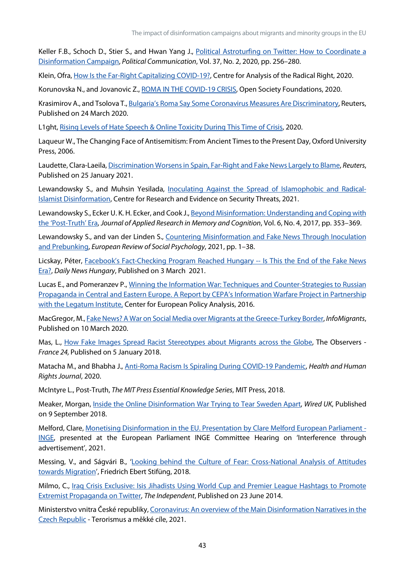Keller F.B., Schoch D., Stier S., and Hwan Yang J., Political Astroturfing on Twitter: How to Coordinate a [Disinformation Campaign,](https://doi.org/10.1080/10584609.2019.1661888) *Political Communication*, Vol. 37, No. 2, 2020, pp. 256–280.

Klein, Ofra, How Is the Far-Right Capitalizing COVID-19?, Centre for Analysis of the Radical Right, 2020.

Korunovska N., and Jovanovic Z., [ROMA IN THE COVID-19 CRISIS,](https://reliefweb.int/sites/reliefweb.int/files/resources/Roma%20in%20the%20COVID-19%20crisis%20-%20An%20early%20warning%20from%20six%20EU%20Member%20States.pdf) Open Society Foundations, 2020.

Krasimirov A., and Tsolova T.[, Bulgaria's Roma Say Some Coronavirus Measures Are Discriminatory,](https://www.reuters.com/article/uk-health-coronavirus-bulgaria-roma-idUKKBN21B32P) Reuters, Published on 24 March 2020.

L1ght, [Rising Levels of Hate Speech & Online Toxicity During This Time of Crisis,](https://l1ght.com/Toxicity_during_coronavirus_Report-L1ght.pdf) 2020.

Laqueur W., The Changing Face of Antisemitism: From Ancient Times to the Present Day, Oxford University Press, 2006.

Laudette, Clara-Laeila[, Discrimination Worsens in Spain, Far-Right and Fake News Largely to Blame,](https://www.reuters.com/article/us-spain-rights-discrimination-idUSKBN29U228.) *Reuters*, Published on 25 January 2021.

Lewandowsky S., and Muhsin Yesilada, [Inoculating Against the Spread of Islamophobic and Radical-](https://crestresearch.ac.uk/download/3521/21-001-01.pdf)[Islamist Disinformation,](https://crestresearch.ac.uk/download/3521/21-001-01.pdf) Centre for Research and Evidence on Security Threats, 2021.

Lewandowsky S., Ecker U. K. H. Ecker, and Cook J.[, Beyond Misinformation: Understanding and Coping with](https://www.sciencedirect.com/science/article/pii/S2211368117300700)  [the 'Post-Truth' Era,](https://www.sciencedirect.com/science/article/pii/S2211368117300700) *Journal of Applied Research in Memory and Cognition*, Vol. 6, No. 4, 2017, pp. 353–369.

Lewandowsky S., and van der Linden S., [Countering Misinformation and Fake News Through Inoculation](https://doi.org/10.1080/10463283.2021.1876983)  [and Prebunking,](https://doi.org/10.1080/10463283.2021.1876983) *European Review of Social Psychology*, 2021, pp. 1–38.

Licskay, Péter, [Facebook's Fact-Checking Program Reached Hungary --](https://dailynewshungary.com/facebooks-fact-checking-program-launched-a-one-man-operation-in-hungary/) Is This the End of the Fake News [Era?,](https://dailynewshungary.com/facebooks-fact-checking-program-launched-a-one-man-operation-in-hungary/) *Daily News Hungary*, Published on 3 March 2021.

Lucas E., and Pomeranzev P.[, Winning the Information War: Techniques and Counter-Strategies to Russian](https://cepa.ecms.pl/files/?id_plik=2773)  [Propaganda in Central and Eastern Europe. A Report by CEPA's Information Warfare Project in Partnership](https://cepa.ecms.pl/files/?id_plik=2773)  [with the Legatum Institute,](https://cepa.ecms.pl/files/?id_plik=2773) Center for European Policy Analysis, 2016.

MacGregor, M.[, Fake News? A War on Social Media over Migrants at the Greece-Turkey Border,](https://www.infomigrants.net/en/post/23343/fake-news-a-war-on-social-media-over-migrants-at-the-greece-turkey-border) *InfoMigrants*, Published on 10 March 2020.

Mas, L., [How Fake Images Spread Racist Stereotypes about Migrants across the Globe,](https://observers.france24.com/en/20180105-fake-images-racist-stereotypes-migrants) The Observers -*France 24,* Published on 5 January 2018.

Matacha M., and Bhabha J., [Anti-Roma Racism Is Spiraling During COVID-19 Pandemic,](https://www.hhrjournal.org/2020/04/anti-roma-racism-is-spiraling-during-covid-19-pandemic/) *Health and Human Rights Journal*, 2020.

McIntyre L., Post-Truth, *The MIT Press Essential Knowledge Series*, MIT Press, 2018.

Meaker, Morgan[, Inside the Online Disinformation War Trying to Tear Sweden Apart,](https://www.wired.co.uk/article/sweden-election-polls-far-right) *Wired UK*, Published on 9 September 2018.

Melford, Clare[, Monetising Disinformation in the EU. Presentation by Clare Melford European Parliament -](https://www.europarl.europa.eu/cmsdata/232164/revised_Agenda%20item%207_Clare%20Melford_GDI_Deck_EU-Ad-funded_Disinfo.pdf) [INGE,](https://www.europarl.europa.eu/cmsdata/232164/revised_Agenda%20item%207_Clare%20Melford_GDI_Deck_EU-Ad-funded_Disinfo.pdf) presented at the European Parliament INGE Committee Hearing on 'Interference through advertisement', 2021.

Messing, V., and Ságvári B., ['Looking behind the Culture of Fear: Cross-National Analysis of Attitudes](https://library.fes.de/pdf-files/bueros/budapest/14181-20180815.pdf)  [towards Migration'](https://library.fes.de/pdf-files/bueros/budapest/14181-20180815.pdf), Friedrich Ebert Stifüng, 2018.

Milmo, C., Iraq Crisis Exclusive: Isis Jihadists Using World Cup and Premier League Hashtags to Promote [Extremist Propaganda on Twitter,](https://www.independent.co.uk/news/world/middle-east/iraq-crisis-exclusive-isis-jihadists-using-world-cup-and-premier-league-hashtags-promote-extremist-propaganda-twitter-9555167.html) *The Independent*, Published on 23 June 2014.

Ministerstvo vnitra České republiky[, Coronavirus: An overview of the Main Disinformation](https://www.mvcr.cz/cthh/clanek/coronavirus-an-overview-of-the-main-disinformation-narratives-in-the-czech-republic.aspx) Narratives in the [Czech Republic](https://www.mvcr.cz/cthh/clanek/coronavirus-an-overview-of-the-main-disinformation-narratives-in-the-czech-republic.aspx) - Terorismus a měkké cíle, 2021.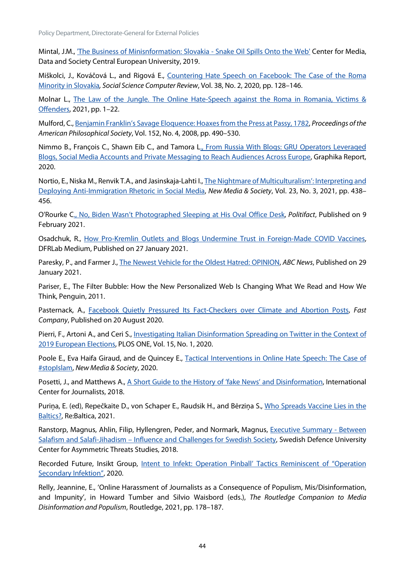Policy Department, Directorate-General for External Policies

Mintal, J.M., ['The Business of Minisnformation: Slovakia -](https://cmds.ceu.edu/business-misinformation-slovakia-snake-oil-spills-web) Snake Oil Spills Onto the Web' Center for Media, Data and Society Central European University, 2019.

Miškolci, J., Kováčová L., and Rigová E., [Countering Hate Speech on Facebook: The Case of the Roma](https://doi.org/10.1177/0894439318791786)  [Minority in Slovakia](https://doi.org/10.1177/0894439318791786)*, Social Science Computer Review*, Vol. 38, No. 2, 2020, pp. 128–146.

Molnar L., The Law of the Jungle. The Online Hate-Speech against the Roma in Romania, Victims & [Offenders,](https://doi.org/10.1080/15564886.2021.1895391) 2021, pp. 1–22.

Mulford, C.[, Benjamin Franklin's Savage Eloquence: Hoaxes from the Press at Passy, 1782,](https://www.jstor.org/stable/40541605) *Proceedings of the American Philosophical Society*, Vol. 152, No. 4, 2008, pp. 490–530.

Nimmo B., François C., Shawn Eib C., and Tamora [L., From Russia With Blogs: GRU Operators Leveraged](https://graphika.com/reports/from-russia-with-blogs/)  [Blogs, Social Media Accounts and Private Messaging to Reach Audiences Across Europe,](https://graphika.com/reports/from-russia-with-blogs/) Graphika Report, 2020.

Nortio, E., Niska M., Renvik T.A., and Jasinskaja-Lahti I.[, The Nightmare of Multiculturalism': Interpreting and](https://doi.org/10.1177/1461444819899624)  [Deploying Anti-Immigration Rhetoric in Social Media,](https://doi.org/10.1177/1461444819899624) *New Media & Society*, Vol. 23, No. 3, 2021, pp. 438– 456.

O'Rourke [C., No, Biden Wasn't Photographed Sleeping at His Oval Office Desk,](https://www.politifact.com/factchecks/2021/feb/09/viral-image/no-biden-wasnt-photographed-sleeping-his-oval-offi/) *Politifact*, Published on 9 February 2021.

Osadchuk, R., [How Pro-Kremlin Outlets and Blogs Undermine Trust in Foreign-Made COVID Vaccines,](https://medium.com/dfrlab/how-pro-kremlin-outlets-and-blogs-undermine-trust-in-foreign-made-covid-vaccines-4fa9f9f19df1)  DFRLab Medium, Published on 27 January 2021.

Paresky, P., and Farmer J., [The Newest Vehicle for the Oldest Hatred: OPINION,](https://abcnews.go.com/Politics/newest-vehicle-oldest-hatred-opinion/story?id=75542375) *ABC News*, Published on 29 January 2021.

Pariser, E., The Filter Bubble: How the New Personalized Web Is Changing What We Read and How We Think, Penguin, 2011.

Pasternack, A., [Facebook Quietly Pressured Its Fact-Checkers over Climate and Abortion Posts,](https://www.fastcompany.com/90538655/facebook-is-quietly-pressuring-its-independent-fact-checkers-to-change-their-rulings) *Fast Company*, Published on 20 August 2020.

Pierri, F., Artoni A., and Ceri S., *Investigating Italian Disinformation Spreading on Twitter in the Context of* [2019 European Elections,](https://journals.plos.org/plosone/article?id=10.1371/journal.pone.0227821) PLOS ONE, Vol. 15, No. 1, 2020.

Poole E., Eva Haifa Giraud, and de Quincey E., [Tactical Interventions in Online](https://doi.org/10.1177/1461444820903319) Hate Speech: The Case of [#stopIslam,](https://doi.org/10.1177/1461444820903319) *New Media & Society*, 2020.

Posetti, J., and Matthews A., [A Short Guide to the History of 'fake News' and Disinformation,](https://www.icfj.org/sites/default/files/2018-07/A%20Short%20Guide%20to%20History%20of%20Fake%20News%20and%20Disinformation_ICFJ%20Final.pdf) International Center for Journalists, 2018.

Puriņa, E. (ed), Repečkaite D., von Schaper E., Raudsik H., and Bērziņa S., [Who Spreads Vaccine Lies in the](https://tepsaeu-my.sharepoint.com/personal/admintepsaeu_tepsaeu_onmicrosoft_com/Documents/EP/Framework%20contracts%202019-2024/Lot%206%20Human%20Rights/IDAs/IDA%20Disinformation%20and%20migation%20and%20minorities/First%20Version/.%20https:/www.lrt.lt/en/news-in-english/19/1355005/who-spreads-vaccine-lies-in-the-baltics)  [Baltics?,](https://tepsaeu-my.sharepoint.com/personal/admintepsaeu_tepsaeu_onmicrosoft_com/Documents/EP/Framework%20contracts%202019-2024/Lot%206%20Human%20Rights/IDAs/IDA%20Disinformation%20and%20migation%20and%20minorities/First%20Version/.%20https:/www.lrt.lt/en/news-in-english/19/1355005/who-spreads-vaccine-lies-in-the-baltics) Re:Baltica, 2021.

Ranstorp, Magnus, Ahlin, Filip, Hyllengren, Peder, and Normark, Magnus, [Executive Summary -](http://fhs.diva-portal.org/smash/get/diva2:1313715/FULLTEXT01.pdf) Between Salafism and Salafi-Jihadism – [Influence and Challenges for Swedish Society,](http://fhs.diva-portal.org/smash/get/diva2:1313715/FULLTEXT01.pdf) Swedish Defence University Center for Asymmetric Threats Studies, 2018.

Recorded Future, Insikt Group, [Intent to Infekt: Operation Pinball' Tactics Reminiscent of "Operation](https://www.recordedfuture.com/operation-pinball-tactics/)  [Secondary Infektion",](https://www.recordedfuture.com/operation-pinball-tactics/) 2020.

Relly, Jeannine, E., 'Online Harassment of Journalists as a Consequence of Populism, Mis/Disinformation, and Impunity', in Howard Tumber and Silvio Waisbord (eds.), *The Routledge Companion to Media Disinformation and Populism*, Routledge, 2021, pp. 178–187.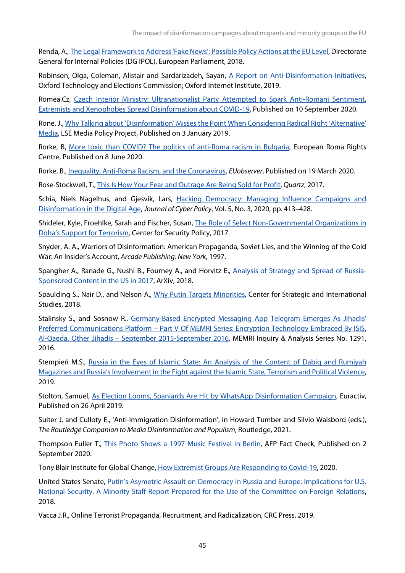The impact of disinformation campaigns about migrants and minority groups in the EU

Renda, A.[, The Legal Framework to Address 'Fake News': Possible Policy Actions at the EU Level,](https://www.europarl.europa.eu/RegData/etudes/IDAN/2018/619013/IPOL_IDA(2018)619013_EN.pdf) Directorate General for Internal Policies (DG IPOL), European Parliament, 2018.

Robinson, Olga, Coleman, Alistair and Sardarizadeh, Sayan, [A Report on Anti-Disinformation Initiatives,](https://demtech.oii.ox.ac.uk/wp-content/uploads/sites/93/2019/08/A-Report-of-Anti-Disinformation-Initiatives.pdf)  Oxford Technology and Elections Commission; Oxford Internet Institute, 2019.

Romea.Cz, Czech Interior Ministry: Ultranationalist Party Attempted to Spark Anti-Romani Sentiment, [Extremists and Xenophobes Spread Disinformation about COVID-19,](http://www.romea.cz/en/news/czech/czech-interior-ministry-ultranationalist-party-attempted-to-spark-anti-romani-sentiment-extremists-and-xenophobes-spread) Published on 10 September 2020.

Rone, J.[, Why Talking about 'Disinformation' Misses the Point When Considering Radical Right 'Alternative'](https://blogs.lse.ac.uk/medialse/2019/01/03/why-talking-about-disinformation-misses-the-point-when-considering-radical-right-alternative-media/)  [Media,](https://blogs.lse.ac.uk/medialse/2019/01/03/why-talking-about-disinformation-misses-the-point-when-considering-radical-right-alternative-media/) LSE Media Policy Project, Published on 3 January 2019.

Rorke, B, [More toxic than COVID? The politics of anti-Roma racism in Bulgaria,](http://www.errc.org/news/more-toxic-than-covid-the-politics-of-anti-roma-racism-in-bulgaria.) European Roma Rights Centre, Published on 8 June 2020.

Rorke, B.[, Inequality, Anti-Roma Racism, and the Coronavirus,](https://euobserver.com/coronavirus/147759) *EUobserver*, Published on 19 March 2020.

Rose-Stockwell, T., [This Is How Your Fear and Outrage Are Being Sold for Profit,](https://qz.com/1039910/how-facebooks-news-feed-algorithm-sells-our-fear-and-outrage-for-profit/) *Quartz*, 2017.

Schia, Niels Nagelhus, and Gjesvik, Lars, Hacking Democracy: Managing Influence Campaigns and [Disinformation in the Digital Age,](https://doi.org/10.1080/23738871.2020.1820060) *Journal of Cyber Policy*, Vol. 5, No. 3, 2020, pp. 413–428.

Shideler, Kyle, Froehlke, Sarah and Fischer, Susan, [The Role of Select Non-Governmental Organizations in](https://www.jstor.org/stable/resrep05081.7)  Doha's [Support for Terrorism,](https://www.jstor.org/stable/resrep05081.7) Center for Security Policy, 2017.

Snyder, A. A., Warriors of Disinformation: American Propaganda, Soviet Lies, and the Winning of the Cold War: An Insider's Account, *Arcade Publishing: New York*, 1997.

Spangher A., Ranade G., Nushi B., Fourney A., and Horvitz E., [Analysis of Strategy and Spread of Russia-](http://arxiv.org/abs/1810.10033)[Sponsored Content in the US in 2017,](http://arxiv.org/abs/1810.10033) ArXiv, 2018.

Spaulding S., Nair D., and Nelson A., [Why Putin Targets Minorities,](https://www.csis.org/analysis/why-putin-targets-minorities) Center for Strategic and International Studies, 2018.

Stalinsky S., and Sosnow R., [Germany-Based Encrypted Messaging App Telegram Emerges As Jihadis'](https://www.memri.org/reports/germany-based-encrypted-messaging-app-telegram-emerges-jihadis-preferred-communications)  Preferred Communications Platform – [Part V Of MEMRI Series: Encryption Technology Embraced By ISIS,](https://www.memri.org/reports/germany-based-encrypted-messaging-app-telegram-emerges-jihadis-preferred-communications)  Al-Qaeda, Other Jihadis – [September 2015-September 2016,](https://www.memri.org/reports/germany-based-encrypted-messaging-app-telegram-emerges-jihadis-preferred-communications) MEMRI Inquiry & Analysis Series No. 1291, 2016.

Stempień M.S., [Russia in the Eyes of Islamic State: An Analysis of the Content of Dabiq and Rumiyah](https://doi.org/10.1080/09546553.2019.1657097)  [Magazines and Russia's Involvement in the Fight against the Islamic State, Terrorism and Political Violence,](https://doi.org/10.1080/09546553.2019.1657097)  2019.

Stolton, Samuel, [As Election Looms, Spaniards Are Hit by WhatsApp Disinformation Campaign,](https://www.euractiv.com/section/digital/news/as-election-looms-spaniards-are-hit-by-whatsapp-disinformation-campaign/) Euractiv, Published on 26 April 2019.

Suiter J. and Culloty E., 'Anti-Immigration Disinformation', in Howard Tumber and Silvio Waisbord (eds.), *The Routledge Companion to Media Disinformation and Populism*, Routledge, 2021.

Thompson Fuller T., *This Photo Shows a 1997 Music Festival in Berlin*, AFP Fact Check, Published on 2 September 2020.

Tony Blair Institute for Global Change, [How Extremist Groups Are Responding to Covid-19,](https://institute.global/sites/default/files/2020-05/Snapshot%203%20COVID19%20V02.pdf) 2020.

United States Senate, [Putin's Asymetric Assault on Democracy in Russia and Europe: Implications for U.S.](https://www.foreign.senate.gov/imo/media/doc/FinalRR.pdf)  [National Security. A Minority Staff Report Prepared for the Use of the Committee on Foreign Relations,](https://www.foreign.senate.gov/imo/media/doc/FinalRR.pdf)  2018.

Vacca J.R., Online Terrorist Propaganda, Recruitment, and Radicalization, CRC Press, 2019.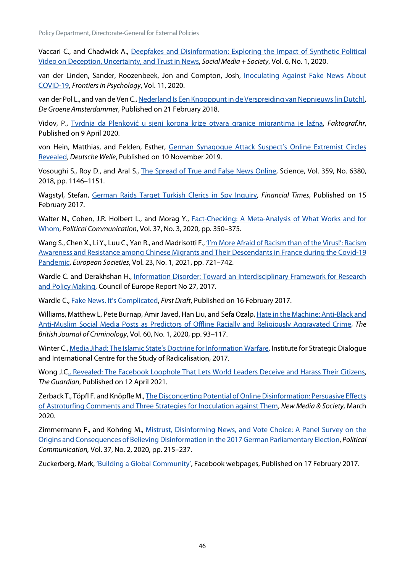Vaccari C., and Chadwick A., [Deepfakes and Disinformation: Exploring the Impact of Synthetic Political](https://doi.org/10.1177/2056305120903408)  [Video on Deception, Uncertainty, and Trust in News,](https://doi.org/10.1177/2056305120903408) *Social Media + Society*, Vol. 6, No. 1, 2020.

van der Linden, Sander, Roozenbeek, Jon and Compton, Josh, [Inoculating Against Fake News About](https://www.frontiersin.org/articles/10.3389/fpsyg.2020.566790/full)  [COVID-19,](https://www.frontiersin.org/articles/10.3389/fpsyg.2020.566790/full) *Frontiers in Psychology*, Vol. 11, 2020.

van der Pol L., and van de Ven C.[, Nederland Is Een Knooppunt in de Verspreiding van Nepnieuws \[in Dutch\],](https://www.groene.nl/artikel/hollands-nepnieuws)  *De Groene Amsterdammer*, Published on 21 February 2018.

Vidov, P., [Tvrdnja da Plenković u sjeni korona krize otvara granice migrantima je lažna,](https://faktograf.hr/2020/04/09/tvrdnja-da-plenkovic-u-sjeni-korona-krize-otvara-granice-migrantima-je-lazna/) *Faktograf.hr*, Published on 9 April 2020.

von Hein, Matthias, and Felden, Esther, [German Synagogue Attack Suspect's Online Extremist Circles](https://www.dw.com/en/german-synagogue-attack-suspects-online-extremist-circles-revealed/a-50803835)  [Revealed,](https://www.dw.com/en/german-synagogue-attack-suspects-online-extremist-circles-revealed/a-50803835) *Deutsche Welle*, Published on 10 November 2019.

Vosoughi S., Roy D., and Aral S., [The Spread of True and False News Online,](https://science.sciencemag.org/content/359/6380/1146) Science, Vol. 359, No. 6380, 2018, pp. 1146–1151.

Wagstyl, Stefan, [German Raids Target Turkish Clerics in Spy Inquiry,](https://www.ft.com/content/1caf61e6-f397-11e6-8758-6876151821a6) *Financial Times*, Published on 15 February 2017.

Walter N., Cohen, J.R. Holbert L., and Morag Y., **Fact-Checking: A Meta-Analysis of What Works and for** [Whom,](https://doi.org/10.1080/10584609.2019.1668894) *Political Communication*, Vol. 37, No. 3, 2020, pp. 350–375.

Wang S., Chen X., Li Y., Luu C., Yan R., and Madrisotti F., 'I'm More Afraid of Racism than of the Virus!': Racism [Awareness and Resistance among Chinese Migrants and Their Descendants in France during the Covid-19](https://doi.org/10.1080/14616696.2020.1836384)  [Pandemic,](https://doi.org/10.1080/14616696.2020.1836384) *European Societies*, Vol. 23, No. 1, 2021, pp. 721–742.

Wardle C. and Derakhshan H., [Information Disorder: Toward an Interdisciplinary Framework for Research](https://rm.coe.int/information-disorder-toward-an-interdisciplinary-framework-for-researc/168076277c)  [and Policy Making,](https://rm.coe.int/information-disorder-toward-an-interdisciplinary-framework-for-researc/168076277c) Council of Europe Report No 27, 2017.

Wardle C., [Fake News. It's Complicated,](https://firstdraftnews.org/latest/fake-news-complicated/) *First Draft*, Published on 16 February 2017.

Williams, Matthew L, Pete Burnap, Amir Javed, Han Liu, and Sefa Ozalp, Hate in the Machine: Anti-Black and [Anti-Muslim Social Media Posts as Predictors of Offline Racially and Religiously Aggravated Crime,](https://doi.org/10.1093/bjc/azz049) *The British Journal of Criminology*, Vol. 60, No. 1, 2020, pp. 93–117.

Winter C.[, Media Jihad: The Islamic State's Doctrine for Information Warfare,](https://icsr.info/wp-content/uploads/2017/02/ICSR-Report-Media-Jihad-The-Islamic-State%E2%80%99s-Doctrine-for-Information-Warfare.pdf) Institute for Strategic Dialogue and International Centre for the Study of Radicalisation, 2017.

Wong J.[C., Revealed: The Facebook Loophole That Lets World Leaders Deceive and Harass Their Citizens,](http://www.theguardian.com/technology/2021/apr/12/facebook-loophole-state-backed-manipulation)  *The Guardian*, Published on 12 April 2021.

Zerback T., Töpfl F. and Knöpfle M.[, The Disconcerting Potential of Online Disinformation: Persuasive Effects](https://doi.org/10.1177/1461444820908530)  [of Astroturfing Comments and Three Strategies for Inoculation against Them,](https://doi.org/10.1177/1461444820908530) *New Media & Society*, March 2020.

Zimmermann F., and Kohring M., [Mistrust, Disinforming News, and Vote Choice: A Panel Survey on the](https://doi.org/10.1080/10584609.2019.1686095)  [Origins and Consequences of Believing Disinformation in the 2017 German Parliamentary Election,](https://doi.org/10.1080/10584609.2019.1686095) *Political Communication,* Vol. 37, No. 2, 2020, pp. 215–237.

Zuckerberg, Mark[, 'Building a Global Community',](https://m.facebook.com/nt/screen/?params=%7B%22note_id%22%3A3707971095882612%7D&path=%2Fnotes%2Fnote%2F&_rdr) Facebook webpages, Published on 17 February 2017.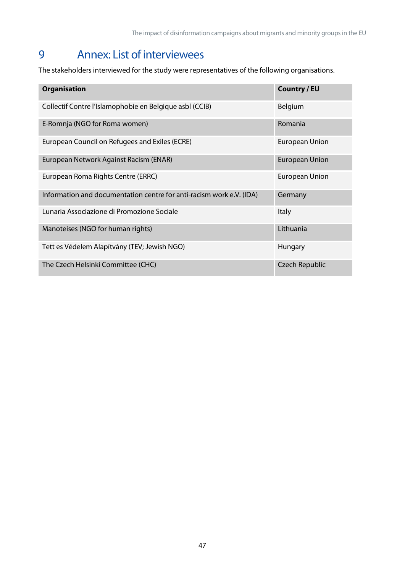# <span id="page-57-0"></span>9 Annex: List of interviewees

The stakeholders interviewed for the study were representatives of the following organisations.

| <b>Organisation</b>                                                  | <b>Country / EU</b>   |
|----------------------------------------------------------------------|-----------------------|
| Collectif Contre l'Islamophobie en Belgique asbl (CCIB)              | Belgium               |
| E-Romnja (NGO for Roma women)                                        | Romania               |
| European Council on Refugees and Exiles (ECRE)                       | European Union        |
| European Network Against Racism (ENAR)                               | <b>European Union</b> |
| European Roma Rights Centre (ERRC)                                   | <b>European Union</b> |
| Information and documentation centre for anti-racism work e.V. (IDA) | Germany               |
| Lunaria Associazione di Promozione Sociale                           | <b>Italy</b>          |
| Manoteises (NGO for human rights)                                    | Lithuania             |
| Tett es Védelem Alapítvány (TEV; Jewish NGO)                         | Hungary               |
| The Czech Helsinki Committee (CHC)                                   | <b>Czech Republic</b> |